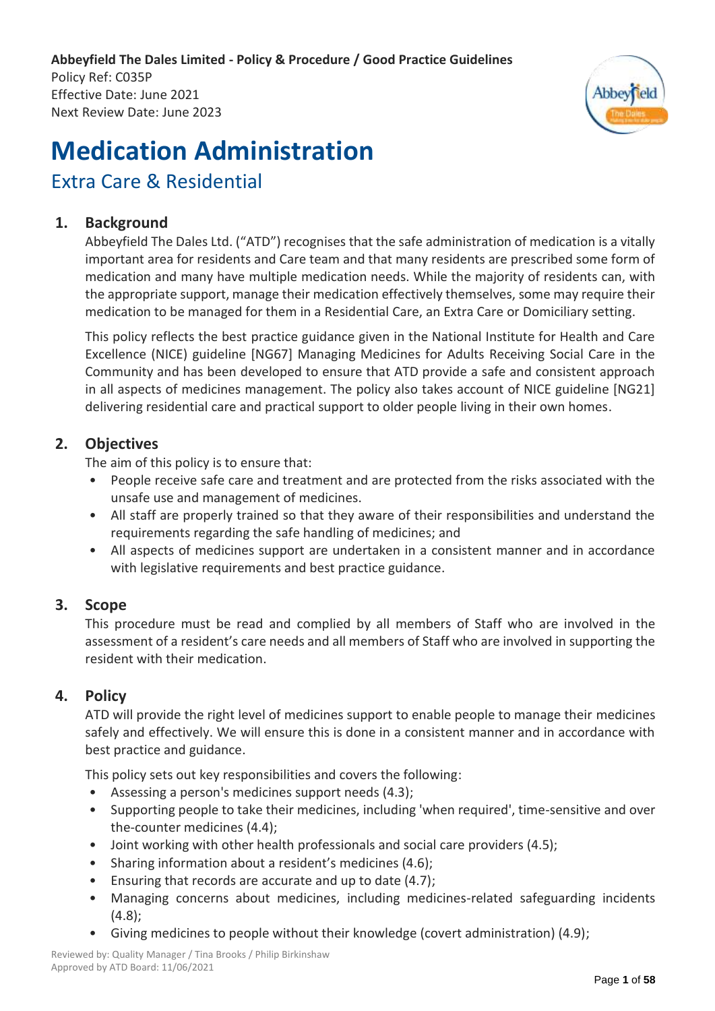**Abbeyfield The Dales Limited - Policy & Procedure / Good Practice Guidelines**

Policy Ref: C035P Effective Date: June 2021 Next Review Date: June 2023



# **Medication Administration**

## Extra Care & Residential

## **1. Background**

Abbeyfield The Dales Ltd. ("ATD") recognises that the safe administration of medication is a vitally important area for residents and Care team and that many residents are prescribed some form of medication and many have multiple medication needs. While the majority of residents can, with the appropriate support, manage their medication effectively themselves, some may require their medication to be managed for them in a Residential Care, an Extra Care or Domiciliary setting.

This policy reflects the best practice guidance given in the National Institute for Health and Care Excellence (NICE) guideline [NG67] Managing Medicines for Adults Receiving Social Care in the Community and has been developed to ensure that ATD provide a safe and consistent approach in all aspects of medicines management. The policy also takes account of NICE guideline [NG21] delivering residential care and practical support to older people living in their own homes.

## **2. Objectives**

The aim of this policy is to ensure that:

- People receive safe care and treatment and are protected from the risks associated with the unsafe use and management of medicines.
- All staff are properly trained so that they aware of their responsibilities and understand the requirements regarding the safe handling of medicines; and
- All aspects of medicines support are undertaken in a consistent manner and in accordance with legislative requirements and best practice guidance.

## **3. Scope**

This procedure must be read and complied by all members of Staff who are involved in the assessment of a resident's care needs and all members of Staff who are involved in supporting the resident with their medication.

## **4. Policy**

ATD will provide the right level of medicines support to enable people to manage their medicines safely and effectively. We will ensure this is done in a consistent manner and in accordance with best practice and guidance.

This policy sets out key responsibilities and covers the following:

- Assessing a person's medicines support needs (4.3);
- Supporting people to take their medicines, including 'when required', time-sensitive and over the-counter medicines (4.4);
- Joint working with other health professionals and social care providers (4.5);
- Sharing information about a resident's medicines (4.6);
- Ensuring that records are accurate and up to date (4.7);
- Managing concerns about medicines, including medicines-related safeguarding incidents  $(4.8)$ ;
- Giving medicines to people without their knowledge (covert administration) (4.9);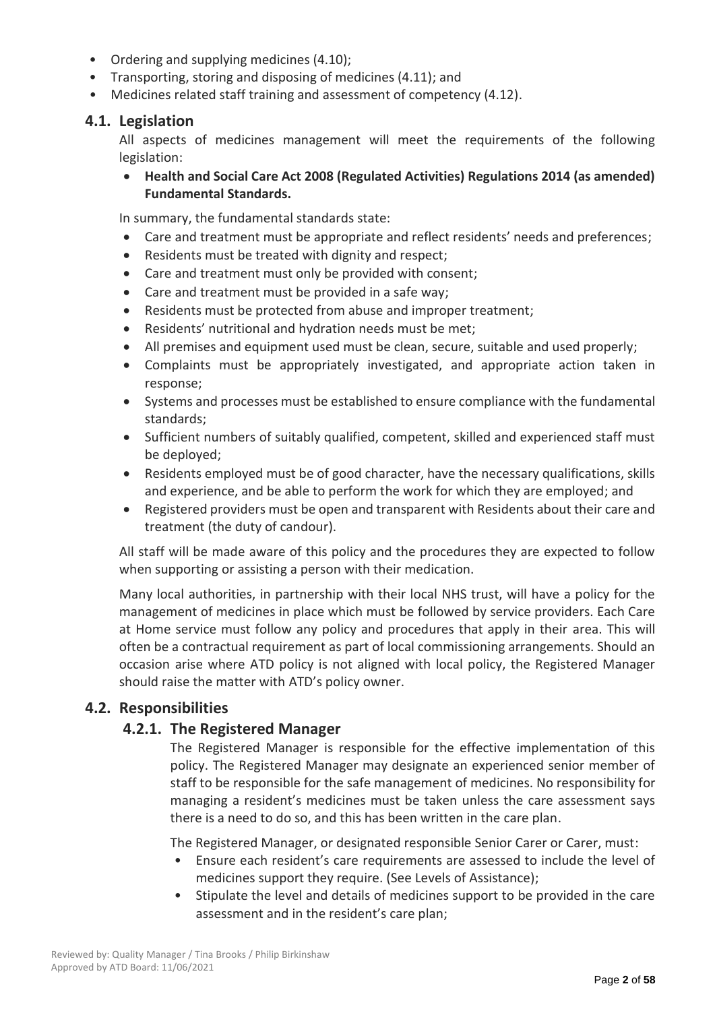- Ordering and supplying medicines (4.10);
- Transporting, storing and disposing of medicines (4.11); and
- Medicines related staff training and assessment of competency (4.12).

## **4.1. Legislation**

All aspects of medicines management will meet the requirements of the following legislation:

• **Health and Social Care Act 2008 (Regulated Activities) Regulations 2014 (as amended) Fundamental Standards.**

In summary, the fundamental standards state:

- Care and treatment must be appropriate and reflect residents' needs and preferences;
- Residents must be treated with dignity and respect;
- Care and treatment must only be provided with consent;
- Care and treatment must be provided in a safe way;
- Residents must be protected from abuse and improper treatment;
- Residents' nutritional and hydration needs must be met;
- All premises and equipment used must be clean, secure, suitable and used properly;
- Complaints must be appropriately investigated, and appropriate action taken in response;
- Systems and processes must be established to ensure compliance with the fundamental standards;
- Sufficient numbers of suitably qualified, competent, skilled and experienced staff must be deployed;
- Residents employed must be of good character, have the necessary qualifications, skills and experience, and be able to perform the work for which they are employed; and
- Registered providers must be open and transparent with Residents about their care and treatment (the duty of candour).

All staff will be made aware of this policy and the procedures they are expected to follow when supporting or assisting a person with their medication.

Many local authorities, in partnership with their local NHS trust, will have a policy for the management of medicines in place which must be followed by service providers. Each Care at Home service must follow any policy and procedures that apply in their area. This will often be a contractual requirement as part of local commissioning arrangements. Should an occasion arise where ATD policy is not aligned with local policy, the Registered Manager should raise the matter with ATD's policy owner.

## **4.2. Responsibilities**

## **4.2.1. The Registered Manager**

The Registered Manager is responsible for the effective implementation of this policy. The Registered Manager may designate an experienced senior member of staff to be responsible for the safe management of medicines. No responsibility for managing a resident's medicines must be taken unless the care assessment says there is a need to do so, and this has been written in the care plan.

The Registered Manager, or designated responsible Senior Carer or Carer, must:

- Ensure each resident's care requirements are assessed to include the level of medicines support they require. (See Levels of Assistance);
- Stipulate the level and details of medicines support to be provided in the care assessment and in the resident's care plan;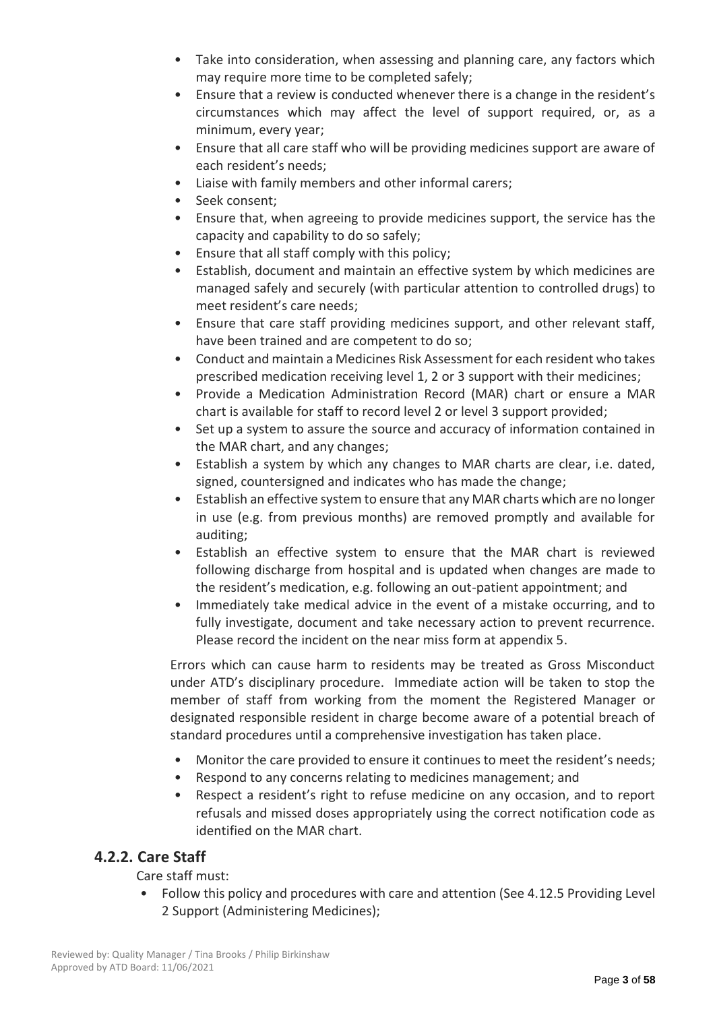- Take into consideration, when assessing and planning care, any factors which may require more time to be completed safely;
- Ensure that a review is conducted whenever there is a change in the resident's circumstances which may affect the level of support required, or, as a minimum, every year;
- Ensure that all care staff who will be providing medicines support are aware of each resident's needs;
- Liaise with family members and other informal carers;
- Seek consent;
- Ensure that, when agreeing to provide medicines support, the service has the capacity and capability to do so safely;
- Ensure that all staff comply with this policy;
- Establish, document and maintain an effective system by which medicines are managed safely and securely (with particular attention to controlled drugs) to meet resident's care needs;
- Ensure that care staff providing medicines support, and other relevant staff, have been trained and are competent to do so;
- Conduct and maintain a Medicines Risk Assessment for each resident who takes prescribed medication receiving level 1, 2 or 3 support with their medicines;
- Provide a Medication Administration Record (MAR) chart or ensure a MAR chart is available for staff to record level 2 or level 3 support provided;
- Set up a system to assure the source and accuracy of information contained in the MAR chart, and any changes;
- Establish a system by which any changes to MAR charts are clear, i.e. dated, signed, countersigned and indicates who has made the change;
- Establish an effective system to ensure that any MAR charts which are no longer in use (e.g. from previous months) are removed promptly and available for auditing;
- Establish an effective system to ensure that the MAR chart is reviewed following discharge from hospital and is updated when changes are made to the resident's medication, e.g. following an out-patient appointment; and
- Immediately take medical advice in the event of a mistake occurring, and to fully investigate, document and take necessary action to prevent recurrence. Please record the incident on the near miss form at appendix 5.

Errors which can cause harm to residents may be treated as Gross Misconduct under ATD's disciplinary procedure. Immediate action will be taken to stop the member of staff from working from the moment the Registered Manager or designated responsible resident in charge become aware of a potential breach of standard procedures until a comprehensive investigation has taken place.

- Monitor the care provided to ensure it continues to meet the resident's needs;
- Respond to any concerns relating to medicines management; and
- Respect a resident's right to refuse medicine on any occasion, and to report refusals and missed doses appropriately using the correct notification code as identified on the MAR chart.

## **4.2.2. Care Staff**

Care staff must:

• Follow this policy and procedures with care and attention (See 4.12.5 Providing Level 2 Support (Administering Medicines);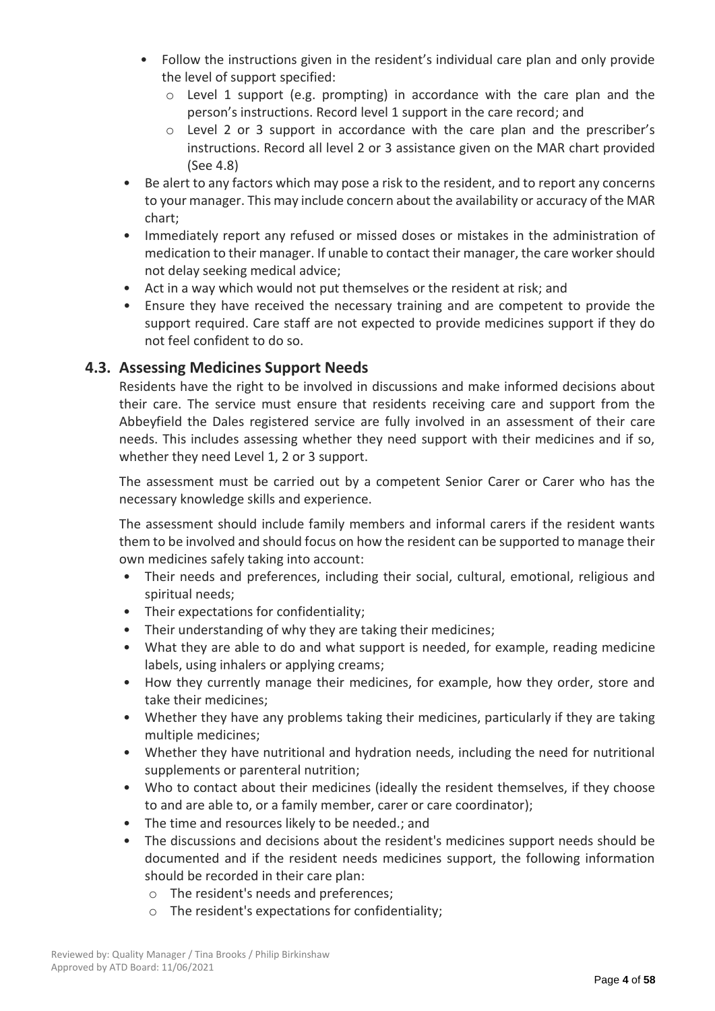- Follow the instructions given in the resident's individual care plan and only provide the level of support specified:
	- $\circ$  Level 1 support (e.g. prompting) in accordance with the care plan and the person's instructions. Record level 1 support in the care record; and
	- o Level 2 or 3 support in accordance with the care plan and the prescriber's instructions. Record all level 2 or 3 assistance given on the MAR chart provided (See 4.8)
- Be alert to any factors which may pose a risk to the resident, and to report any concerns to your manager. This may include concern about the availability or accuracy of the MAR chart;
- Immediately report any refused or missed doses or mistakes in the administration of medication to their manager. If unable to contact their manager, the care worker should not delay seeking medical advice;
- Act in a way which would not put themselves or the resident at risk; and
- Ensure they have received the necessary training and are competent to provide the support required. Care staff are not expected to provide medicines support if they do not feel confident to do so.

## **4.3. Assessing Medicines Support Needs**

Residents have the right to be involved in discussions and make informed decisions about their care. The service must ensure that residents receiving care and support from the Abbeyfield the Dales registered service are fully involved in an assessment of their care needs. This includes assessing whether they need support with their medicines and if so, whether they need Level 1, 2 or 3 support.

The assessment must be carried out by a competent Senior Carer or Carer who has the necessary knowledge skills and experience.

The assessment should include family members and informal carers if the resident wants them to be involved and should focus on how the resident can be supported to manage their own medicines safely taking into account:

- Their needs and preferences, including their social, cultural, emotional, religious and spiritual needs;
- Their expectations for confidentiality;
- Their understanding of why they are taking their medicines;
- What they are able to do and what support is needed, for example, reading medicine labels, using inhalers or applying creams;
- How they currently manage their medicines, for example, how they order, store and take their medicines;
- Whether they have any problems taking their medicines, particularly if they are taking multiple medicines;
- Whether they have nutritional and hydration needs, including the need for nutritional supplements or parenteral nutrition;
- Who to contact about their medicines (ideally the resident themselves, if they choose to and are able to, or a family member, carer or care coordinator);
- The time and resources likely to be needed.; and
- The discussions and decisions about the resident's medicines support needs should be documented and if the resident needs medicines support, the following information should be recorded in their care plan:
	- o The resident's needs and preferences;
	- o The resident's expectations for confidentiality;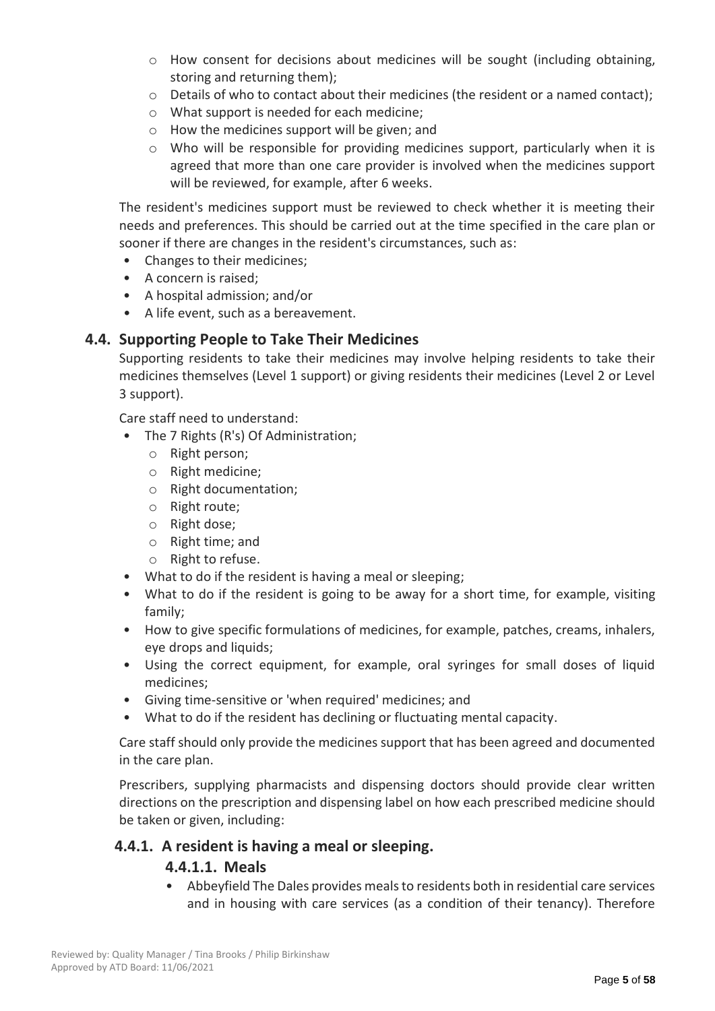- o How consent for decisions about medicines will be sought (including obtaining, storing and returning them);
- $\circ$  Details of who to contact about their medicines (the resident or a named contact);
- o What support is needed for each medicine;
- o How the medicines support will be given; and
- o Who will be responsible for providing medicines support, particularly when it is agreed that more than one care provider is involved when the medicines support will be reviewed, for example, after 6 weeks.

The resident's medicines support must be reviewed to check whether it is meeting their needs and preferences. This should be carried out at the time specified in the care plan or sooner if there are changes in the resident's circumstances, such as:

- Changes to their medicines;
- A concern is raised;
- A hospital admission; and/or
- A life event, such as a bereavement.

## **4.4. Supporting People to Take Their Medicines**

Supporting residents to take their medicines may involve helping residents to take their medicines themselves (Level 1 support) or giving residents their medicines (Level 2 or Level 3 support).

Care staff need to understand:

- The 7 Rights (R's) Of Administration;
	- o Right person;
	- o Right medicine;
	- o Right documentation;
	- o Right route;
	- o Right dose;
	- o Right time; and
	- o Right to refuse.
- What to do if the resident is having a meal or sleeping;
- What to do if the resident is going to be away for a short time, for example, visiting family;
- How to give specific formulations of medicines, for example, patches, creams, inhalers, eye drops and liquids;
- Using the correct equipment, for example, oral syringes for small doses of liquid medicines;
- Giving time-sensitive or 'when required' medicines; and
- What to do if the resident has declining or fluctuating mental capacity.

Care staff should only provide the medicines support that has been agreed and documented in the care plan.

Prescribers, supplying pharmacists and dispensing doctors should provide clear written directions on the prescription and dispensing label on how each prescribed medicine should be taken or given, including:

## **4.4.1. A resident is having a meal or sleeping.**

## **4.4.1.1. Meals**

• Abbeyfield The Dales provides meals to residents both in residential care services and in housing with care services (as a condition of their tenancy). Therefore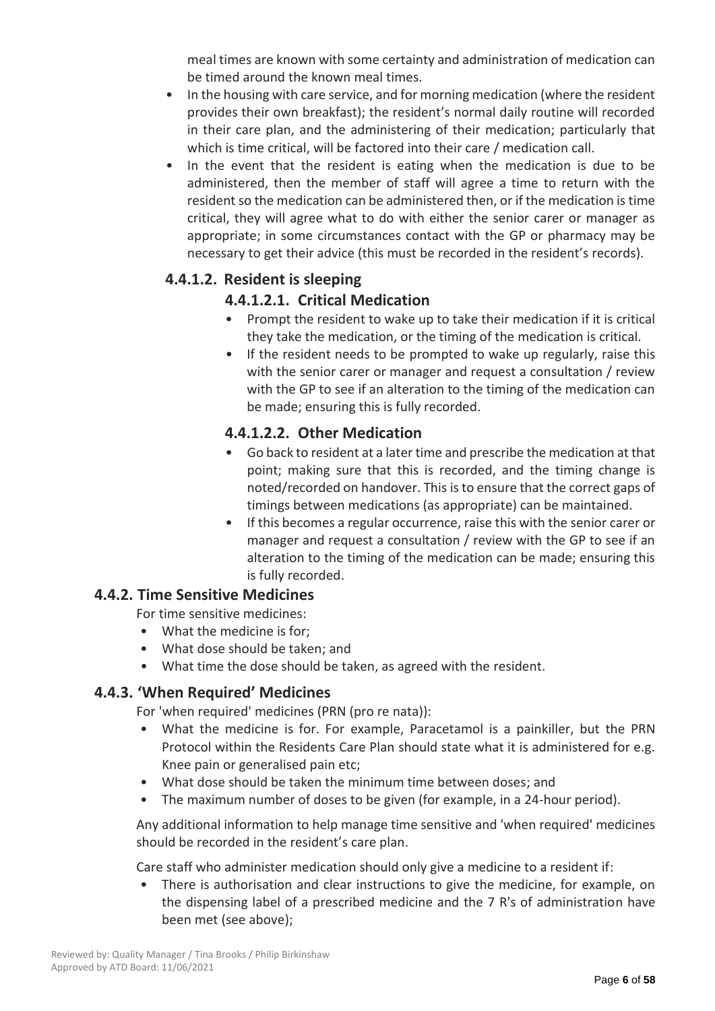meal times are known with some certainty and administration of medication can be timed around the known meal times.

- In the housing with care service, and for morning medication (where the resident provides their own breakfast); the resident's normal daily routine will recorded in their care plan, and the administering of their medication; particularly that which is time critical, will be factored into their care / medication call.
- In the event that the resident is eating when the medication is due to be administered, then the member of staff will agree a time to return with the resident so the medication can be administered then, or if the medication is time critical, they will agree what to do with either the senior carer or manager as appropriate; in some circumstances contact with the GP or pharmacy may be necessary to get their advice (this must be recorded in the resident's records).

## **4.4.1.2. Resident is sleeping**

## **4.4.1.2.1. Critical Medication**

- Prompt the resident to wake up to take their medication if it is critical they take the medication, or the timing of the medication is critical.
- If the resident needs to be prompted to wake up regularly, raise this with the senior carer or manager and request a consultation / review with the GP to see if an alteration to the timing of the medication can be made; ensuring this is fully recorded.

## **4.4.1.2.2. Other Medication**

- Go back to resident at a later time and prescribe the medication at that point; making sure that this is recorded, and the timing change is noted/recorded on handover. This is to ensure that the correct gaps of timings between medications (as appropriate) can be maintained.
- If this becomes a regular occurrence, raise this with the senior carer or manager and request a consultation / review with the GP to see if an alteration to the timing of the medication can be made; ensuring this is fully recorded.

## **4.4.2. Time Sensitive Medicines**

For time sensitive medicines:

- What the medicine is for;
- What dose should be taken; and
- What time the dose should be taken, as agreed with the resident.

## **4.4.3. 'When Required' Medicines**

For 'when required' medicines (PRN (pro re nata)):

- What the medicine is for. For example, Paracetamol is a painkiller, but the PRN Protocol within the Residents Care Plan should state what it is administered for e.g. Knee pain or generalised pain etc;
- What dose should be taken the minimum time between doses; and
- The maximum number of doses to be given (for example, in a 24-hour period).

Any additional information to help manage time sensitive and 'when required' medicines should be recorded in the resident's care plan.

Care staff who administer medication should only give a medicine to a resident if:

• There is authorisation and clear instructions to give the medicine, for example, on the dispensing label of a prescribed medicine and the 7 R's of administration have been met (see above);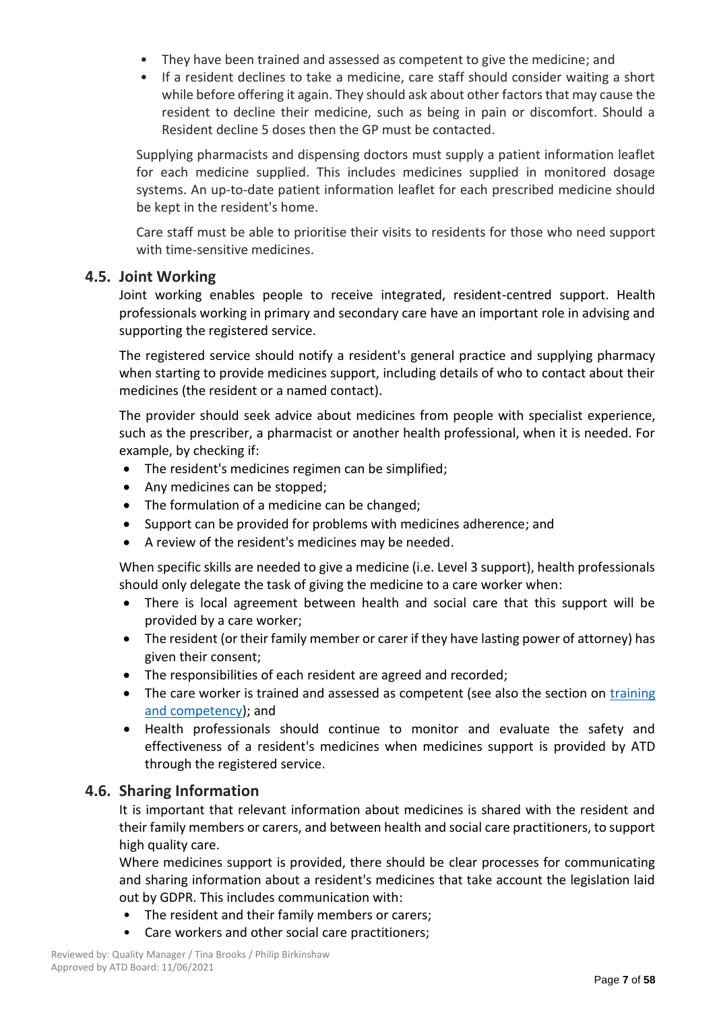- They have been trained and assessed as competent to give the medicine; and
- If a resident declines to take a medicine, care staff should consider waiting a short while before offering it again. They should ask about other factors that may cause the resident to decline their medicine, such as being in pain or discomfort. Should a Resident decline 5 doses then the GP must be contacted.

Supplying pharmacists and dispensing doctors must supply a patient information leaflet for each medicine supplied. This includes medicines supplied in monitored dosage systems. An up-to-date patient information leaflet for each prescribed medicine should be kept in the resident's home.

Care staff must be able to prioritise their visits to residents for those who need support with time-sensitive medicines.

## **4.5. Joint Working**

Joint working enables people to receive integrated, resident-centred support. Health professionals working in primary and secondary care have an important role in advising and supporting the registered service.

The registered service should notify a resident's general practice and supplying pharmacy when starting to provide medicines support, including details of who to contact about their medicines (the resident or a named contact).

The provider should seek advice about medicines from people with specialist experience, such as the prescriber, a pharmacist or another health professional, when it is needed. For example, by checking if:

- The resident's medicines regimen can be simplified;
- Any medicines can be stopped;
- The formulation of a medicine can be changed;
- Support can be provided for problems with medicines adherence; and
- A review of the resident's medicines may be needed.

When specific skills are needed to give a medicine (i.e. Level 3 support), health professionals should only delegate the task of giving the medicine to a care worker when:

- There is local agreement between health and social care that this support will be provided by a care worker;
- The resident (or their family member or carer if they have lasting power of attorney) has given their consent;
- The responsibilities of each resident are agreed and recorded;
- The care worker is trained and assessed as competent (see also the section on training [and competency\)](https://www.nice.org.uk/guidance/ng67/chapter/recommendations#training-and-competency); and
- Health professionals should continue to monitor and evaluate the safety and effectiveness of a resident's medicines when medicines support is provided by ATD through the registered service.

## **4.6. Sharing Information**

It is important that relevant information about medicines is shared with the resident and their family members or carers, and between health and social care practitioners, to support high quality care.

Where medicines support is provided, there should be clear processes for communicating and sharing information about a resident's medicines that take account the legislation laid out by GDPR. This includes communication with:

- The resident and their family members or carers;
- Care workers and other social care practitioners;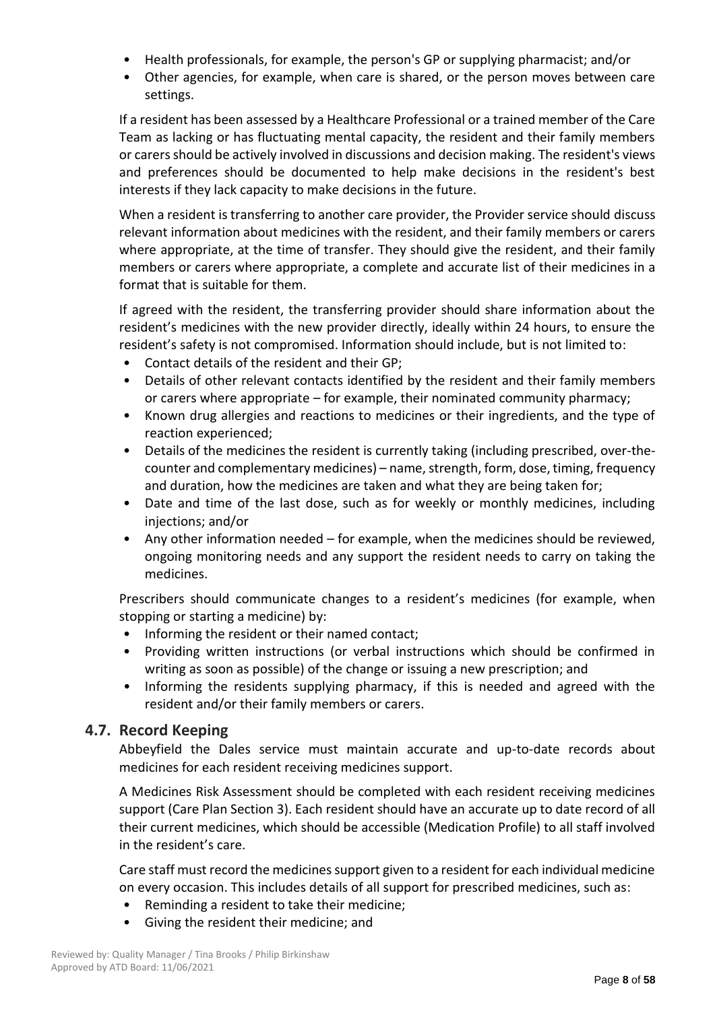- Health professionals, for example, the person's GP or supplying pharmacist; and/or
- Other agencies, for example, when care is shared, or the person moves between care settings.

If a resident has been assessed by a Healthcare Professional or a trained member of the Care Team as lacking or has fluctuating mental capacity, the resident and their family members or carers should be actively involved in discussions and decision making. The resident's views and preferences should be documented to help make decisions in the resident's best interests if they lack capacity to make decisions in the future.

When a resident is transferring to another care provider, the Provider service should discuss relevant information about medicines with the resident, and their family members or carers where appropriate, at the time of transfer. They should give the resident, and their family members or carers where appropriate, a complete and accurate list of their medicines in a format that is suitable for them.

If agreed with the resident, the transferring provider should share information about the resident's medicines with the new provider directly, ideally within 24 hours, to ensure the resident's safety is not compromised. Information should include, but is not limited to:

- Contact details of the resident and their GP;
- Details of other relevant contacts identified by the resident and their family members or carers where appropriate – for example, their nominated community pharmacy;
- Known drug allergies and reactions to medicines or their ingredients, and the type of reaction experienced;
- Details of the medicines the resident is currently taking (including prescribed, over-thecounter and complementary medicines) – name, strength, form, dose, timing, frequency and duration, how the medicines are taken and what they are being taken for;
- Date and time of the last dose, such as for weekly or monthly medicines, including injections; and/or
- Any other information needed for example, when the medicines should be reviewed, ongoing monitoring needs and any support the resident needs to carry on taking the medicines.

Prescribers should communicate changes to a resident's medicines (for example, when stopping or starting a medicine) by:

- Informing the resident or their named contact;
- Providing written instructions (or verbal instructions which should be confirmed in writing as soon as possible) of the change or issuing a new prescription; and
- Informing the residents supplying pharmacy, if this is needed and agreed with the resident and/or their family members or carers.

## **4.7. Record Keeping**

Abbeyfield the Dales service must maintain accurate and up-to-date records about medicines for each resident receiving medicines support.

A Medicines Risk Assessment should be completed with each resident receiving medicines support (Care Plan Section 3). Each resident should have an accurate up to date record of all their current medicines, which should be accessible (Medication Profile) to all staff involved in the resident's care.

Care staff must record the medicines support given to a resident for each individual medicine on every occasion. This includes details of all support for prescribed medicines, such as:

- Reminding a resident to take their medicine;
- Giving the resident their medicine; and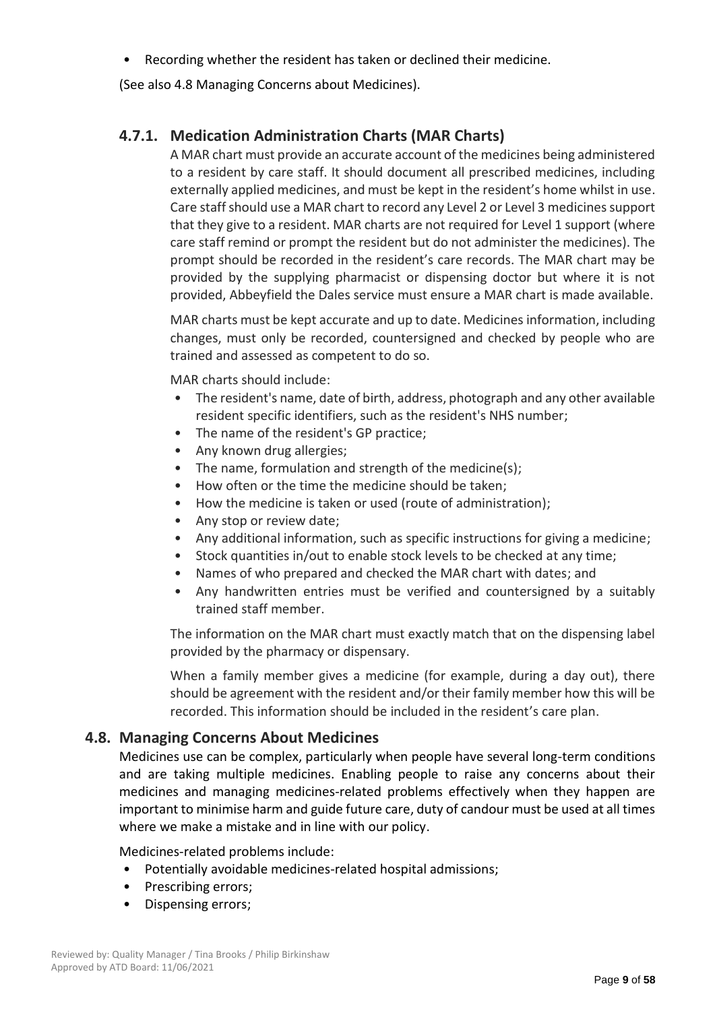• Recording whether the resident has taken or declined their medicine.

(See also 4.8 Managing Concerns about Medicines).

## **4.7.1. Medication Administration Charts (MAR Charts)**

A MAR chart must provide an accurate account of the medicines being administered to a resident by care staff. It should document all prescribed medicines, including externally applied medicines, and must be kept in the resident's home whilst in use. Care staff should use a MAR chart to record any Level 2 or Level 3 medicines support that they give to a resident. MAR charts are not required for Level 1 support (where care staff remind or prompt the resident but do not administer the medicines). The prompt should be recorded in the resident's care records. The MAR chart may be provided by the supplying pharmacist or dispensing doctor but where it is not provided, Abbeyfield the Dales service must ensure a MAR chart is made available.

MAR charts must be kept accurate and up to date. Medicines information, including changes, must only be recorded, countersigned and checked by people who are trained and assessed as competent to do so.

MAR charts should include:

- The resident's name, date of birth, address, photograph and any other available resident specific identifiers, such as the resident's NHS number;
- The name of the resident's GP practice;
- Any known drug allergies;
- The name, formulation and strength of the medicine(s);
- How often or the time the medicine should be taken;
- How the medicine is taken or used (route of administration);
- Any stop or review date;
- Any additional information, such as specific instructions for giving a medicine;
- Stock quantities in/out to enable stock levels to be checked at any time;
- Names of who prepared and checked the MAR chart with dates; and
- Any handwritten entries must be verified and countersigned by a suitably trained staff member.

The information on the MAR chart must exactly match that on the dispensing label provided by the pharmacy or dispensary.

When a family member gives a medicine (for example, during a day out), there should be agreement with the resident and/or their family member how this will be recorded. This information should be included in the resident's care plan.

## **4.8. Managing Concerns About Medicines**

Medicines use can be complex, particularly when people have several long-term conditions and are taking multiple medicines. Enabling people to raise any concerns about their medicines and managing medicines-related problems effectively when they happen are important to minimise harm and guide future care, duty of candour must be used at all times where we make a mistake and in line with our policy.

Medicines-related problems include:

- Potentially avoidable medicines-related hospital admissions;
- Prescribing errors;
- Dispensing errors;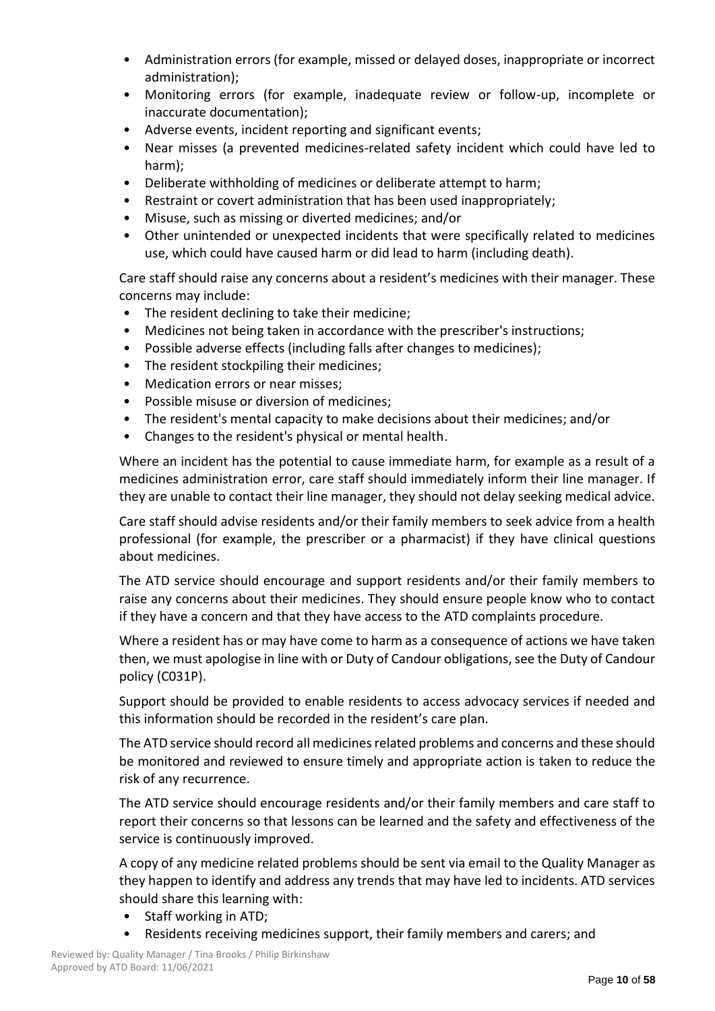- Administration errors (for example, missed or delayed doses, inappropriate or incorrect administration);
- Monitoring errors (for example, inadequate review or follow-up, incomplete or inaccurate documentation);
- Adverse events, incident reporting and significant events;
- Near misses (a prevented medicines-related safety incident which could have led to harm);
- Deliberate withholding of medicines or deliberate attempt to harm;
- Restraint or covert administration that has been used inappropriately;
- Misuse, such as missing or diverted medicines; and/or
- Other unintended or unexpected incidents that were specifically related to medicines use, which could have caused harm or did lead to harm (including death).

Care staff should raise any concerns about a resident's medicines with their manager. These concerns may include:

- The resident declining to take their medicine;
- Medicines not being taken in accordance with the prescriber's instructions;
- Possible adverse effects (including falls after changes to medicines);
- The resident stockpiling their medicines;
- Medication errors or near misses;
- Possible misuse or diversion of medicines;
- The resident's mental capacity to make decisions about their medicines; and/or
- Changes to the resident's physical or mental health.

Where an incident has the potential to cause immediate harm, for example as a result of a medicines administration error, care staff should immediately inform their line manager. If they are unable to contact their line manager, they should not delay seeking medical advice.

Care staff should advise residents and/or their family members to seek advice from a health professional (for example, the prescriber or a pharmacist) if they have clinical questions about medicines.

The ATD service should encourage and support residents and/or their family members to raise any concerns about their medicines. They should ensure people know who to contact if they have a concern and that they have access to the ATD complaints procedure.

Where a resident has or may have come to harm as a consequence of actions we have taken then, we must apologise in line with or Duty of Candour obligations, see the Duty of Candour policy (C031P).

Support should be provided to enable residents to access advocacy services if needed and this information should be recorded in the resident's care plan.

The ATD service should record all medicines related problems and concerns and these should be monitored and reviewed to ensure timely and appropriate action is taken to reduce the risk of any recurrence.

The ATD service should encourage residents and/or their family members and care staff to report their concerns so that lessons can be learned and the safety and effectiveness of the service is continuously improved.

A copy of any medicine related problems should be sent via email to the Quality Manager as they happen to identify and address any trends that may have led to incidents. ATD services should share this learning with:

- Staff working in ATD;
- Residents receiving medicines support, their family members and carers; and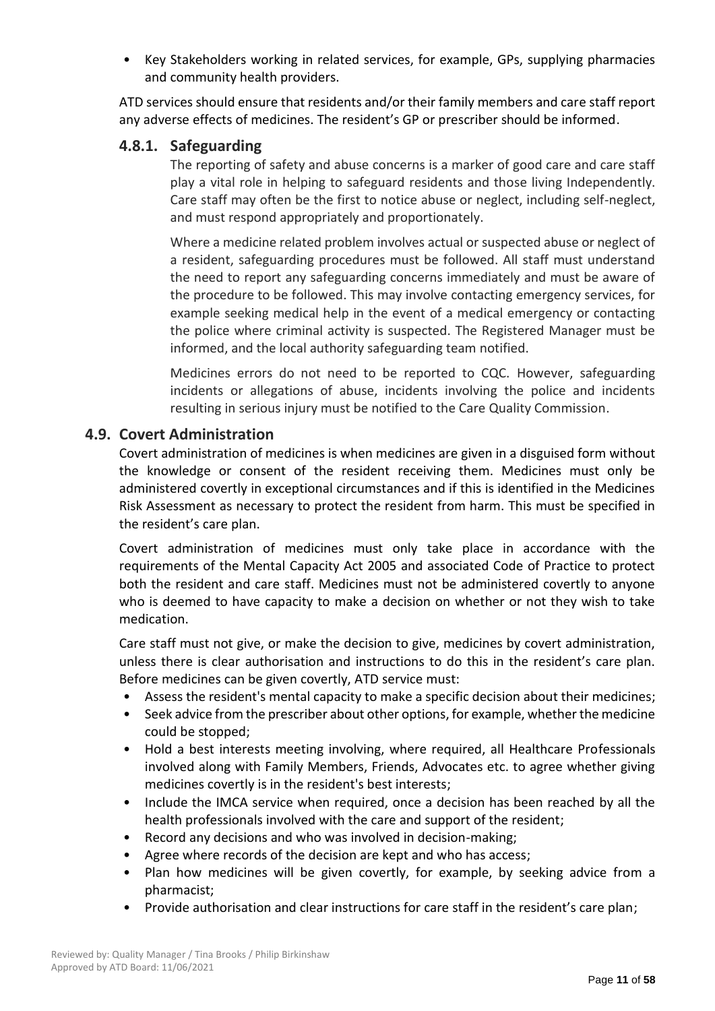• Key Stakeholders working in related services, for example, GPs, supplying pharmacies and community health providers.

ATD services should ensure that residents and/or their family members and care staff report any adverse effects of medicines. The resident's GP or prescriber should be informed.

## **4.8.1. Safeguarding**

The reporting of safety and abuse concerns is a marker of good care and care staff play a vital role in helping to safeguard residents and those living Independently. Care staff may often be the first to notice abuse or neglect, including self-neglect, and must respond appropriately and proportionately.

Where a medicine related problem involves actual or suspected abuse or neglect of a resident, safeguarding procedures must be followed. All staff must understand the need to report any safeguarding concerns immediately and must be aware of the procedure to be followed. This may involve contacting emergency services, for example seeking medical help in the event of a medical emergency or contacting the police where criminal activity is suspected. The Registered Manager must be informed, and the local authority safeguarding team notified.

Medicines errors do not need to be reported to CQC. However, safeguarding incidents or allegations of abuse, incidents involving the police and incidents resulting in serious injury must be notified to the Care Quality Commission.

## **4.9. Covert Administration**

Covert administration of medicines is when medicines are given in a disguised form without the knowledge or consent of the resident receiving them. Medicines must only be administered covertly in exceptional circumstances and if this is identified in the Medicines Risk Assessment as necessary to protect the resident from harm. This must be specified in the resident's care plan.

Covert administration of medicines must only take place in accordance with the requirements of the Mental Capacity Act 2005 and associated Code of Practice to protect both the resident and care staff. Medicines must not be administered covertly to anyone who is deemed to have capacity to make a decision on whether or not they wish to take medication.

Care staff must not give, or make the decision to give, medicines by covert administration, unless there is clear authorisation and instructions to do this in the resident's care plan. Before medicines can be given covertly, ATD service must:

- Assess the resident's mental capacity to make a specific decision about their medicines;
- Seek advice from the prescriber about other options, for example, whether the medicine could be stopped;
- Hold a best interests meeting involving, where required, all Healthcare Professionals involved along with Family Members, Friends, Advocates etc. to agree whether giving medicines covertly is in the resident's best interests;
- Include the IMCA service when required, once a decision has been reached by all the health professionals involved with the care and support of the resident;
- Record any decisions and who was involved in decision-making;
- Agree where records of the decision are kept and who has access;
- Plan how medicines will be given covertly, for example, by seeking advice from a pharmacist;
- Provide authorisation and clear instructions for care staff in the resident's care plan;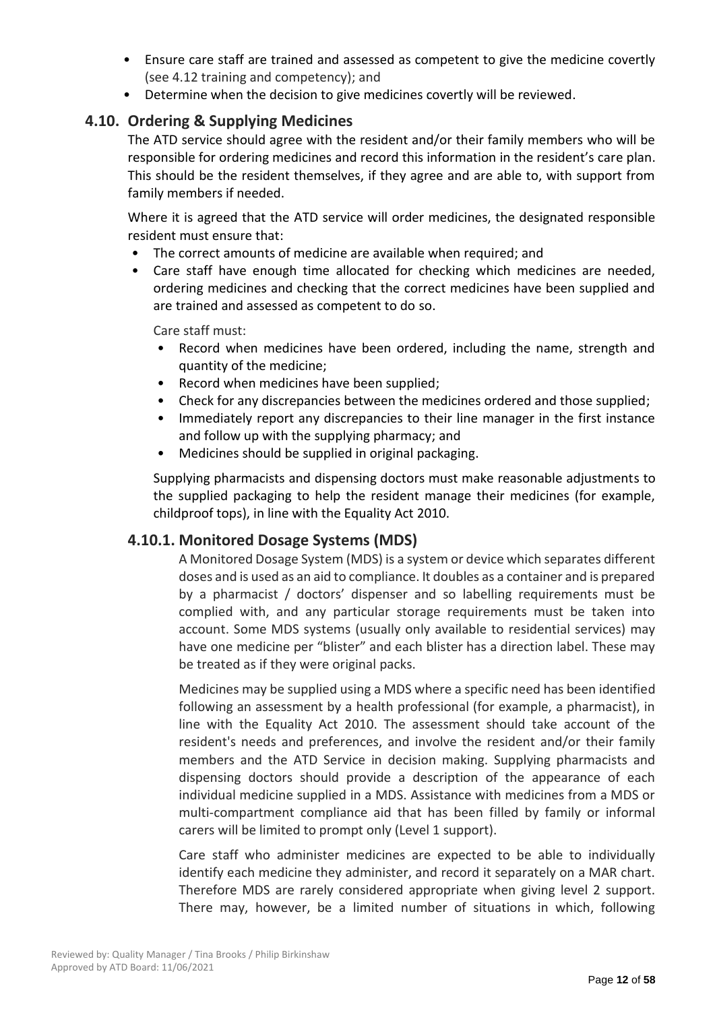- Ensure care staff are trained and assessed as competent to give the medicine covertly (see 4.12 training and competency); and
- Determine when the decision to give medicines covertly will be reviewed.

## **4.10. Ordering & Supplying Medicines**

The ATD service should agree with the resident and/or their family members who will be responsible for ordering medicines and record this information in the resident's care plan. This should be the resident themselves, if they agree and are able to, with support from family members if needed.

Where it is agreed that the ATD service will order medicines, the designated responsible resident must ensure that:

- The correct amounts of medicine are available when required; and
- Care staff have enough time allocated for checking which medicines are needed, ordering medicines and checking that the correct medicines have been supplied and are trained and assessed as competent to do so.

Care staff must:

- Record when medicines have been ordered, including the name, strength and quantity of the medicine;
- Record when medicines have been supplied;
- Check for any discrepancies between the medicines ordered and those supplied;
- Immediately report any discrepancies to their line manager in the first instance and follow up with the supplying pharmacy; and
- Medicines should be supplied in original packaging.

Supplying pharmacists and dispensing doctors must make reasonable adjustments to the supplied packaging to help the resident manage their medicines (for example, childproof tops), in line with the Equality Act 2010.

## **4.10.1. Monitored Dosage Systems (MDS)**

A Monitored Dosage System (MDS) is a system or device which separates different doses and is used as an aid to compliance. It doubles as a container and is prepared by a pharmacist / doctors' dispenser and so labelling requirements must be complied with, and any particular storage requirements must be taken into account. Some MDS systems (usually only available to residential services) may have one medicine per "blister" and each blister has a direction label. These may be treated as if they were original packs.

Medicines may be supplied using a MDS where a specific need has been identified following an assessment by a health professional (for example, a pharmacist), in line with the Equality Act 2010. The assessment should take account of the resident's needs and preferences, and involve the resident and/or their family members and the ATD Service in decision making. Supplying pharmacists and dispensing doctors should provide a description of the appearance of each individual medicine supplied in a MDS. Assistance with medicines from a MDS or multi-compartment compliance aid that has been filled by family or informal carers will be limited to prompt only (Level 1 support).

Care staff who administer medicines are expected to be able to individually identify each medicine they administer, and record it separately on a MAR chart. Therefore MDS are rarely considered appropriate when giving level 2 support. There may, however, be a limited number of situations in which, following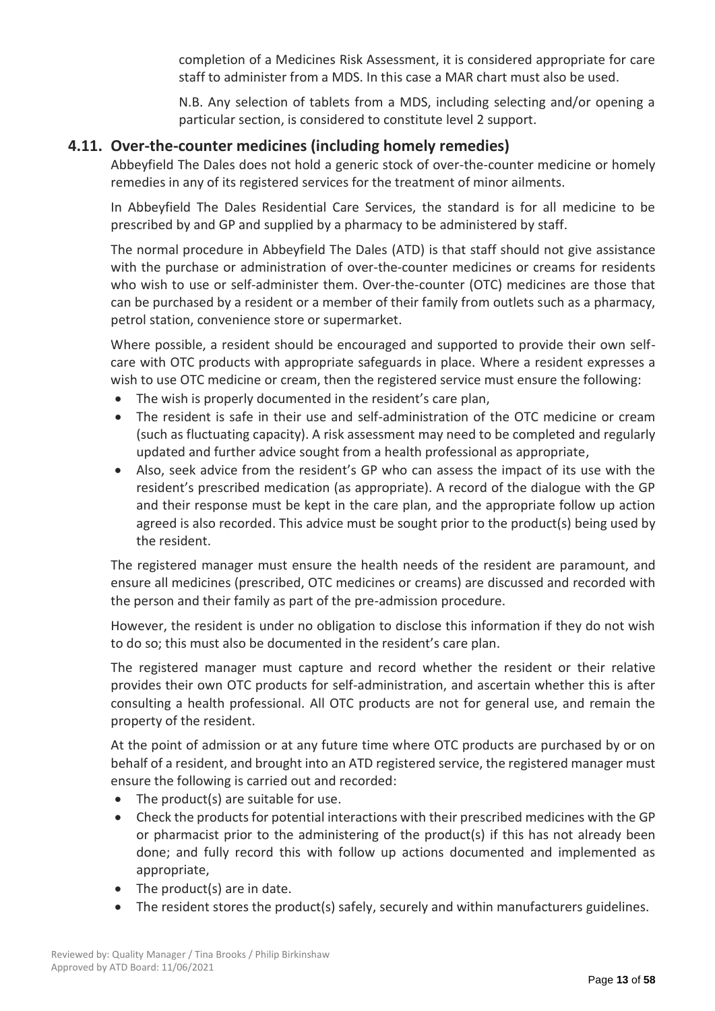completion of a Medicines Risk Assessment, it is considered appropriate for care staff to administer from a MDS. In this case a MAR chart must also be used.

N.B. Any selection of tablets from a MDS, including selecting and/or opening a particular section, is considered to constitute level 2 support.

## **4.11. Over-the-counter medicines (including homely remedies)**

Abbeyfield The Dales does not hold a generic stock of over-the-counter medicine or homely remedies in any of its registered services for the treatment of minor ailments.

In Abbeyfield The Dales Residential Care Services, the standard is for all medicine to be prescribed by and GP and supplied by a pharmacy to be administered by staff.

The normal procedure in Abbeyfield The Dales (ATD) is that staff should not give assistance with the purchase or administration of over-the-counter medicines or creams for residents who wish to use or self-administer them. Over-the-counter (OTC) medicines are those that can be purchased by a resident or a member of their family from outlets such as a pharmacy, petrol station, convenience store or supermarket.

Where possible, a resident should be encouraged and supported to provide their own selfcare with OTC products with appropriate safeguards in place. Where a resident expresses a wish to use OTC medicine or cream, then the registered service must ensure the following:

- The wish is properly documented in the resident's care plan,
- The resident is safe in their use and self-administration of the OTC medicine or cream (such as fluctuating capacity). A risk assessment may need to be completed and regularly updated and further advice sought from a health professional as appropriate,
- Also, seek advice from the resident's GP who can assess the impact of its use with the resident's prescribed medication (as appropriate). A record of the dialogue with the GP and their response must be kept in the care plan, and the appropriate follow up action agreed is also recorded. This advice must be sought prior to the product(s) being used by the resident.

The registered manager must ensure the health needs of the resident are paramount, and ensure all medicines (prescribed, OTC medicines or creams) are discussed and recorded with the person and their family as part of the pre-admission procedure.

However, the resident is under no obligation to disclose this information if they do not wish to do so; this must also be documented in the resident's care plan.

The registered manager must capture and record whether the resident or their relative provides their own OTC products for self-administration, and ascertain whether this is after consulting a health professional. All OTC products are not for general use, and remain the property of the resident.

At the point of admission or at any future time where OTC products are purchased by or on behalf of a resident, and brought into an ATD registered service, the registered manager must ensure the following is carried out and recorded:

- The product(s) are suitable for use.
- Check the products for potential interactions with their prescribed medicines with the GP or pharmacist prior to the administering of the product(s) if this has not already been done; and fully record this with follow up actions documented and implemented as appropriate,
- The product(s) are in date.
- The resident stores the product(s) safely, securely and within manufacturers guidelines.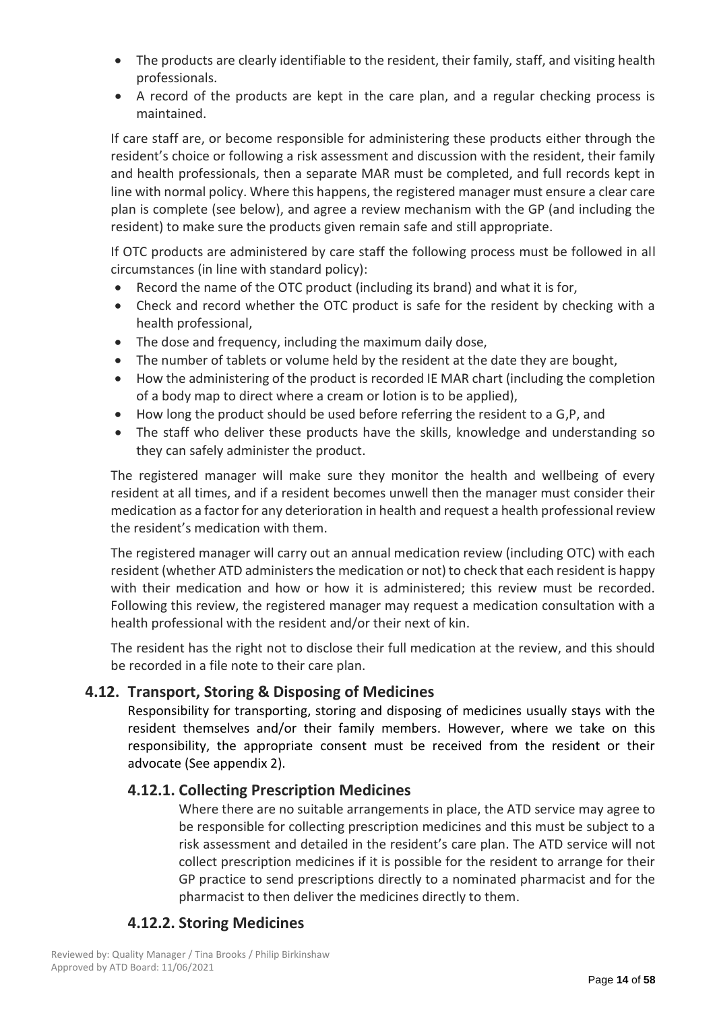- The products are clearly identifiable to the resident, their family, staff, and visiting health professionals.
- A record of the products are kept in the care plan, and a regular checking process is maintained.

If care staff are, or become responsible for administering these products either through the resident's choice or following a risk assessment and discussion with the resident, their family and health professionals, then a separate MAR must be completed, and full records kept in line with normal policy. Where this happens, the registered manager must ensure a clear care plan is complete (see below), and agree a review mechanism with the GP (and including the resident) to make sure the products given remain safe and still appropriate.

If OTC products are administered by care staff the following process must be followed in all circumstances (in line with standard policy):

- Record the name of the OTC product (including its brand) and what it is for,
- Check and record whether the OTC product is safe for the resident by checking with a health professional,
- The dose and frequency, including the maximum daily dose,
- The number of tablets or volume held by the resident at the date they are bought,
- How the administering of the product is recorded IE MAR chart (including the completion of a body map to direct where a cream or lotion is to be applied),
- How long the product should be used before referring the resident to a G,P, and
- The staff who deliver these products have the skills, knowledge and understanding so they can safely administer the product.

The registered manager will make sure they monitor the health and wellbeing of every resident at all times, and if a resident becomes unwell then the manager must consider their medication as a factor for any deterioration in health and request a health professional review the resident's medication with them.

The registered manager will carry out an annual medication review (including OTC) with each resident (whether ATD administers the medication or not) to check that each resident is happy with their medication and how or how it is administered; this review must be recorded. Following this review, the registered manager may request a medication consultation with a health professional with the resident and/or their next of kin.

The resident has the right not to disclose their full medication at the review, and this should be recorded in a file note to their care plan.

## **4.12. Transport, Storing & Disposing of Medicines**

Responsibility for transporting, storing and disposing of medicines usually stays with the resident themselves and/or their family members. However, where we take on this responsibility, the appropriate consent must be received from the resident or their advocate (See appendix 2).

## **4.12.1. Collecting Prescription Medicines**

Where there are no suitable arrangements in place, the ATD service may agree to be responsible for collecting prescription medicines and this must be subject to a risk assessment and detailed in the resident's care plan. The ATD service will not collect prescription medicines if it is possible for the resident to arrange for their GP practice to send prescriptions directly to a nominated pharmacist and for the pharmacist to then deliver the medicines directly to them.

## **4.12.2. Storing Medicines**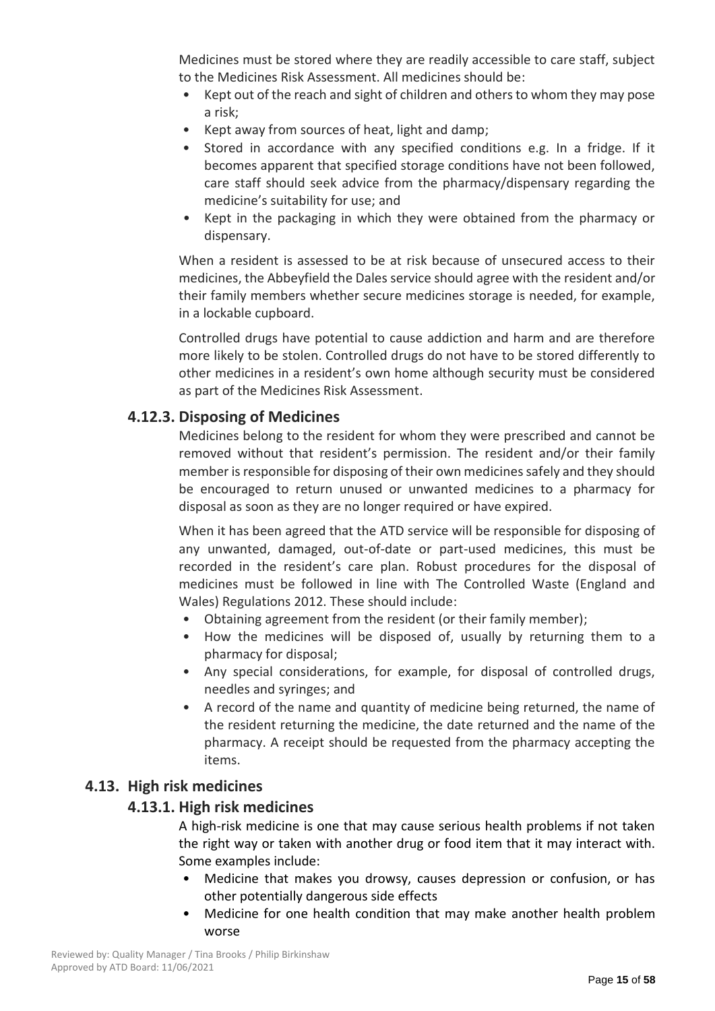Medicines must be stored where they are readily accessible to care staff, subject to the Medicines Risk Assessment. All medicines should be:

- Kept out of the reach and sight of children and others to whom they may pose a risk;
- Kept away from sources of heat, light and damp;
- Stored in accordance with any specified conditions e.g. In a fridge. If it becomes apparent that specified storage conditions have not been followed, care staff should seek advice from the pharmacy/dispensary regarding the medicine's suitability for use; and
- Kept in the packaging in which they were obtained from the pharmacy or dispensary.

When a resident is assessed to be at risk because of unsecured access to their medicines, the Abbeyfield the Dales service should agree with the resident and/or their family members whether secure medicines storage is needed, for example, in a lockable cupboard.

Controlled drugs have potential to cause addiction and harm and are therefore more likely to be stolen. Controlled drugs do not have to be stored differently to other medicines in a resident's own home although security must be considered as part of the Medicines Risk Assessment.

## **4.12.3. Disposing of Medicines**

Medicines belong to the resident for whom they were prescribed and cannot be removed without that resident's permission. The resident and/or their family member is responsible for disposing of their own medicines safely and they should be encouraged to return unused or unwanted medicines to a pharmacy for disposal as soon as they are no longer required or have expired.

When it has been agreed that the ATD service will be responsible for disposing of any unwanted, damaged, out-of-date or part-used medicines, this must be recorded in the resident's care plan. Robust procedures for the disposal of medicines must be followed in line with The Controlled Waste (England and Wales) Regulations 2012. These should include:

- Obtaining agreement from the resident (or their family member);
- How the medicines will be disposed of, usually by returning them to a pharmacy for disposal;
- Any special considerations, for example, for disposal of controlled drugs, needles and syringes; and
- A record of the name and quantity of medicine being returned, the name of the resident returning the medicine, the date returned and the name of the pharmacy. A receipt should be requested from the pharmacy accepting the items.

## **4.13. High risk medicines**

## **4.13.1. High risk medicines**

A high-risk medicine is one that may cause serious health problems if not taken the right way or taken with another drug or food item that it may interact with. Some examples include:

- Medicine that makes you drowsy, causes depression or confusion, or has other potentially dangerous side effects
- Medicine for one health condition that may make another health problem worse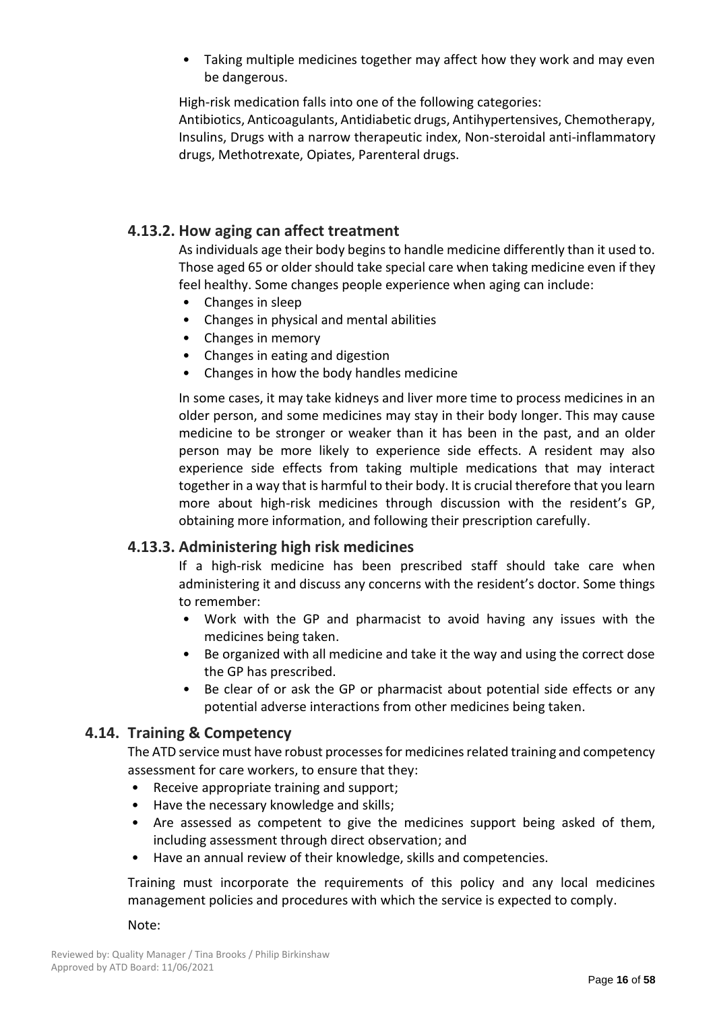• Taking multiple medicines together may affect how they work and may even be dangerous.

High-risk medication falls into one of the following categories:

Antibiotics, Anticoagulants, Antidiabetic drugs, Antihypertensives, Chemotherapy, Insulins, Drugs with a narrow therapeutic index, Non-steroidal anti-inflammatory drugs, Methotrexate, Opiates, Parenteral drugs.

## **4.13.2. How aging can affect treatment**

As individuals age their body begins to handle medicine differently than it used to. Those aged 65 or older should take special care when taking medicine even if they feel healthy. Some changes people experience when aging can include:

- Changes in sleep
- Changes in physical and mental abilities
- Changes in memory
- Changes in eating and digestion
- Changes in how the body handles medicine

In some cases, it may take kidneys and liver more time to process medicines in an older person, and some medicines may stay in their body longer. This may cause medicine to be stronger or weaker than it has been in the past, and an older person may be more likely to experience side effects. A resident may also experience side effects from taking multiple medications that may interact together in a way that is harmful to their body. It is crucial therefore that you learn more about high-risk medicines through discussion with the resident's GP, obtaining more information, and following their prescription carefully.

## **4.13.3. Administering high risk medicines**

If a high-risk medicine has been prescribed staff should take care when administering it and discuss any concerns with the resident's doctor. Some things to remember:

- Work with the GP and pharmacist to avoid having any issues with the medicines being taken.
- Be organized with all medicine and take it the way and using the correct dose the GP has prescribed.
- Be clear of or ask the GP or pharmacist about potential side effects or any potential adverse interactions from other medicines being taken.

## **4.14. Training & Competency**

The ATD service must have robust processes for medicines related training and competency assessment for care workers, to ensure that they:

- Receive appropriate training and support;
- Have the necessary knowledge and skills;
- Are assessed as competent to give the medicines support being asked of them, including assessment through direct observation; and
- Have an annual review of their knowledge, skills and competencies.

Training must incorporate the requirements of this policy and any local medicines management policies and procedures with which the service is expected to comply.

Note: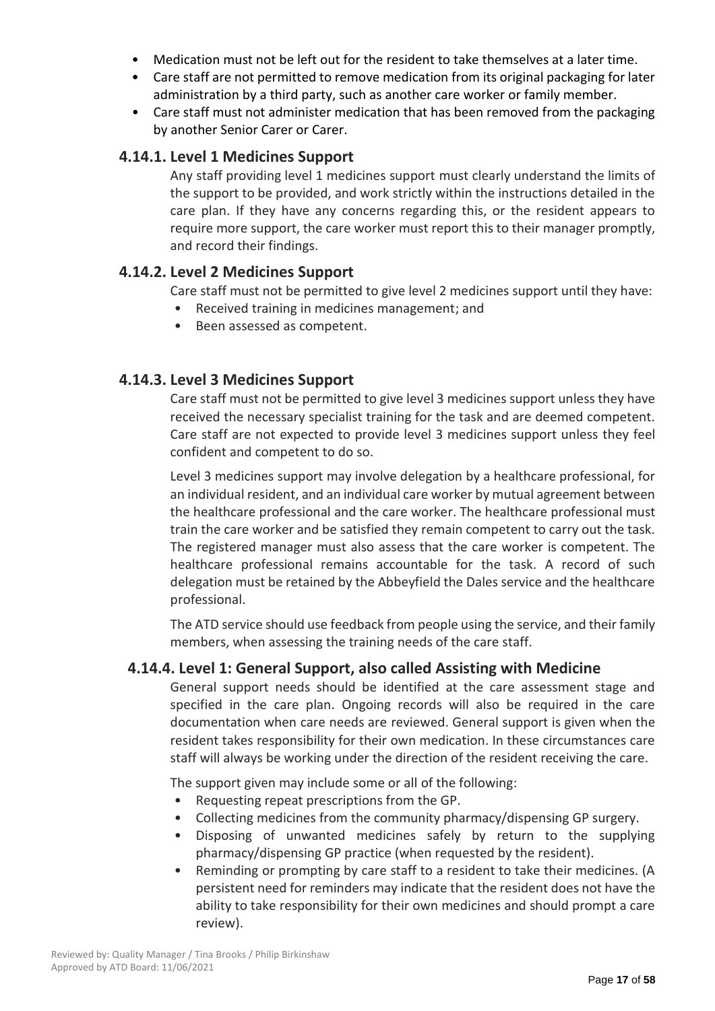- Medication must not be left out for the resident to take themselves at a later time.
- Care staff are not permitted to remove medication from its original packaging for later administration by a third party, such as another care worker or family member.
- Care staff must not administer medication that has been removed from the packaging by another Senior Carer or Carer.

## **4.14.1. Level 1 Medicines Support**

Any staff providing level 1 medicines support must clearly understand the limits of the support to be provided, and work strictly within the instructions detailed in the care plan. If they have any concerns regarding this, or the resident appears to require more support, the care worker must report this to their manager promptly, and record their findings.

## **4.14.2. Level 2 Medicines Support**

Care staff must not be permitted to give level 2 medicines support until they have:

- Received training in medicines management; and
- Been assessed as competent.

## **4.14.3. Level 3 Medicines Support**

Care staff must not be permitted to give level 3 medicines support unless they have received the necessary specialist training for the task and are deemed competent. Care staff are not expected to provide level 3 medicines support unless they feel confident and competent to do so.

Level 3 medicines support may involve delegation by a healthcare professional, for an individual resident, and an individual care worker by mutual agreement between the healthcare professional and the care worker. The healthcare professional must train the care worker and be satisfied they remain competent to carry out the task. The registered manager must also assess that the care worker is competent. The healthcare professional remains accountable for the task. A record of such delegation must be retained by the Abbeyfield the Dales service and the healthcare professional.

The ATD service should use feedback from people using the service, and their family members, when assessing the training needs of the care staff.

## **4.14.4. Level 1: General Support, also called Assisting with Medicine**

General support needs should be identified at the care assessment stage and specified in the care plan. Ongoing records will also be required in the care documentation when care needs are reviewed. General support is given when the resident takes responsibility for their own medication. In these circumstances care staff will always be working under the direction of the resident receiving the care.

The support given may include some or all of the following:

- Requesting repeat prescriptions from the GP.
- Collecting medicines from the community pharmacy/dispensing GP surgery.
- Disposing of unwanted medicines safely by return to the supplying pharmacy/dispensing GP practice (when requested by the resident).
- Reminding or prompting by care staff to a resident to take their medicines. (A persistent need for reminders may indicate that the resident does not have the ability to take responsibility for their own medicines and should prompt a care review).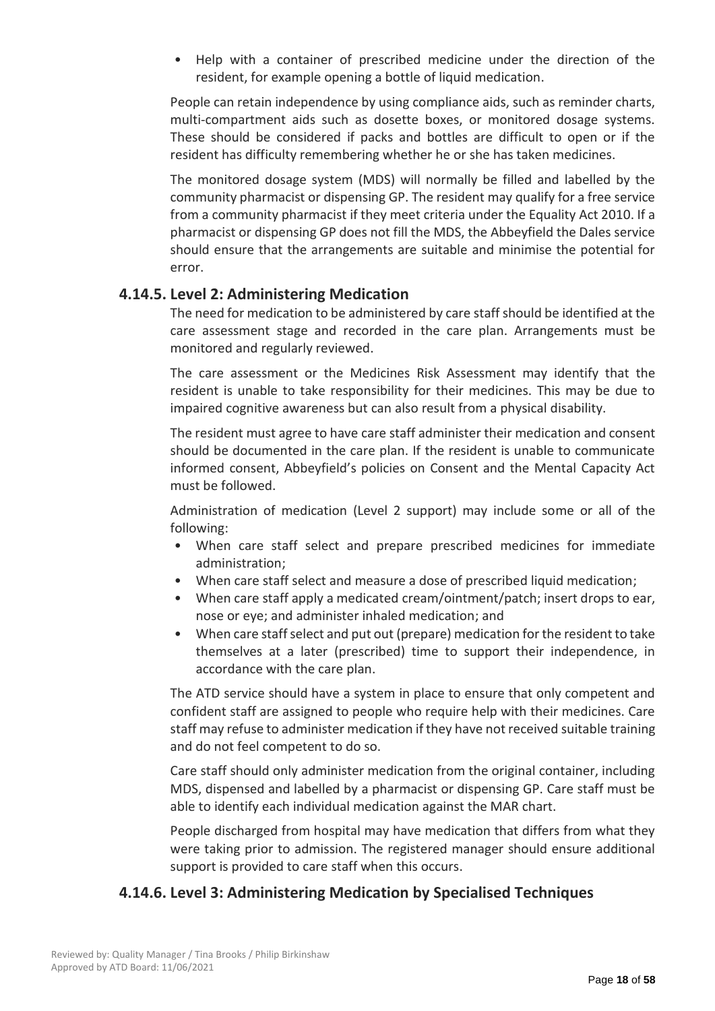• Help with a container of prescribed medicine under the direction of the resident, for example opening a bottle of liquid medication.

People can retain independence by using compliance aids, such as reminder charts, multi-compartment aids such as dosette boxes, or monitored dosage systems. These should be considered if packs and bottles are difficult to open or if the resident has difficulty remembering whether he or she has taken medicines.

The monitored dosage system (MDS) will normally be filled and labelled by the community pharmacist or dispensing GP. The resident may qualify for a free service from a community pharmacist if they meet criteria under the Equality Act 2010. If a pharmacist or dispensing GP does not fill the MDS, the Abbeyfield the Dales service should ensure that the arrangements are suitable and minimise the potential for error.

## **4.14.5. Level 2: Administering Medication**

The need for medication to be administered by care staff should be identified at the care assessment stage and recorded in the care plan. Arrangements must be monitored and regularly reviewed.

The care assessment or the Medicines Risk Assessment may identify that the resident is unable to take responsibility for their medicines. This may be due to impaired cognitive awareness but can also result from a physical disability.

The resident must agree to have care staff administer their medication and consent should be documented in the care plan. If the resident is unable to communicate informed consent, Abbeyfield's policies on Consent and the Mental Capacity Act must be followed.

Administration of medication (Level 2 support) may include some or all of the following:

- When care staff select and prepare prescribed medicines for immediate administration;
- When care staff select and measure a dose of prescribed liquid medication;
- When care staff apply a medicated cream/ointment/patch; insert drops to ear, nose or eye; and administer inhaled medication; and
- When care staff select and put out (prepare) medication for the resident to take themselves at a later (prescribed) time to support their independence, in accordance with the care plan.

The ATD service should have a system in place to ensure that only competent and confident staff are assigned to people who require help with their medicines. Care staff may refuse to administer medication if they have not received suitable training and do not feel competent to do so.

Care staff should only administer medication from the original container, including MDS, dispensed and labelled by a pharmacist or dispensing GP. Care staff must be able to identify each individual medication against the MAR chart.

People discharged from hospital may have medication that differs from what they were taking prior to admission. The registered manager should ensure additional support is provided to care staff when this occurs.

## **4.14.6. Level 3: Administering Medication by Specialised Techniques**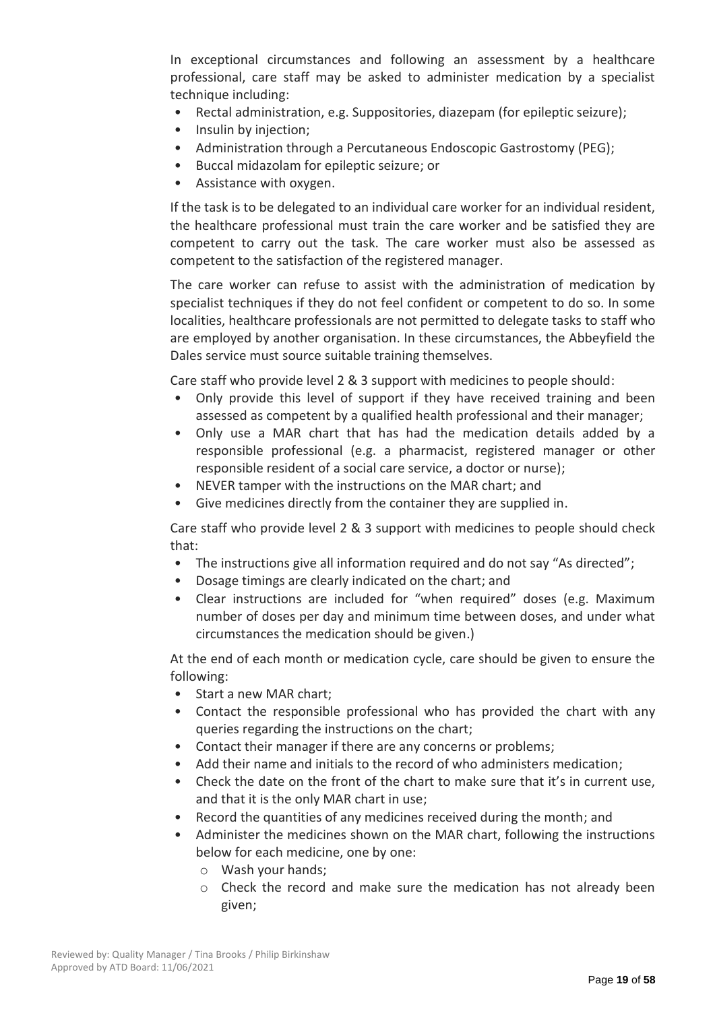In exceptional circumstances and following an assessment by a healthcare professional, care staff may be asked to administer medication by a specialist technique including:

- Rectal administration, e.g. Suppositories, diazepam (for epileptic seizure);
- Insulin by injection;
- Administration through a Percutaneous Endoscopic Gastrostomy (PEG);
- Buccal midazolam for epileptic seizure; or
- Assistance with oxygen.

If the task is to be delegated to an individual care worker for an individual resident, the healthcare professional must train the care worker and be satisfied they are competent to carry out the task. The care worker must also be assessed as competent to the satisfaction of the registered manager.

The care worker can refuse to assist with the administration of medication by specialist techniques if they do not feel confident or competent to do so. In some localities, healthcare professionals are not permitted to delegate tasks to staff who are employed by another organisation. In these circumstances, the Abbeyfield the Dales service must source suitable training themselves.

Care staff who provide level 2 & 3 support with medicines to people should:

- Only provide this level of support if they have received training and been assessed as competent by a qualified health professional and their manager;
- Only use a MAR chart that has had the medication details added by a responsible professional (e.g. a pharmacist, registered manager or other responsible resident of a social care service, a doctor or nurse);
- NEVER tamper with the instructions on the MAR chart; and
- Give medicines directly from the container they are supplied in.

Care staff who provide level 2 & 3 support with medicines to people should check that:

- The instructions give all information required and do not say "As directed";
- Dosage timings are clearly indicated on the chart; and
- Clear instructions are included for "when required" doses (e.g. Maximum number of doses per day and minimum time between doses, and under what circumstances the medication should be given.)

At the end of each month or medication cycle, care should be given to ensure the following:

- Start a new MAR chart;
- Contact the responsible professional who has provided the chart with any queries regarding the instructions on the chart;
- Contact their manager if there are any concerns or problems;
- Add their name and initials to the record of who administers medication;
- Check the date on the front of the chart to make sure that it's in current use, and that it is the only MAR chart in use;
- Record the quantities of any medicines received during the month; and
- Administer the medicines shown on the MAR chart, following the instructions below for each medicine, one by one:
	- o Wash your hands;
	- $\circ$  Check the record and make sure the medication has not already been given;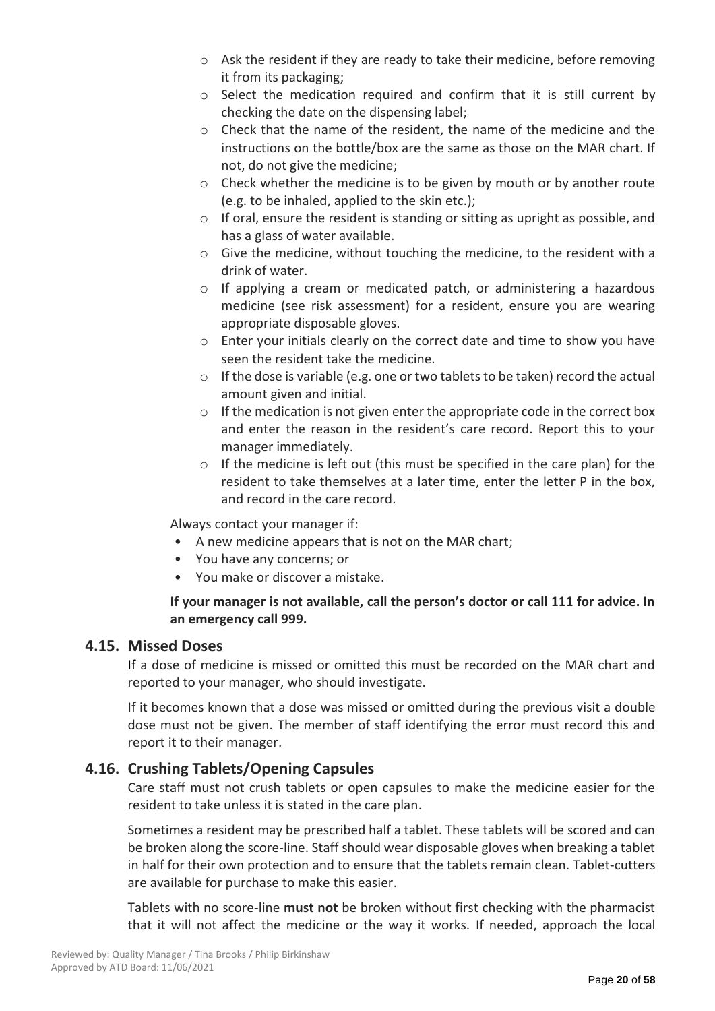- o Ask the resident if they are ready to take their medicine, before removing it from its packaging;
- $\circ$  Select the medication required and confirm that it is still current by checking the date on the dispensing label;
- $\circ$  Check that the name of the resident, the name of the medicine and the instructions on the bottle/box are the same as those on the MAR chart. If not, do not give the medicine;
- $\circ$  Check whether the medicine is to be given by mouth or by another route (e.g. to be inhaled, applied to the skin etc.);
- $\circ$  If oral, ensure the resident is standing or sitting as upright as possible, and has a glass of water available.
- o Give the medicine, without touching the medicine, to the resident with a drink of water.
- $\circ$  If applying a cream or medicated patch, or administering a hazardous medicine (see risk assessment) for a resident, ensure you are wearing appropriate disposable gloves.
- o Enter your initials clearly on the correct date and time to show you have seen the resident take the medicine.
- $\circ$  If the dose is variable (e.g. one or two tablets to be taken) record the actual amount given and initial.
- $\circ$  If the medication is not given enter the appropriate code in the correct box and enter the reason in the resident's care record. Report this to your manager immediately.
- $\circ$  If the medicine is left out (this must be specified in the care plan) for the resident to take themselves at a later time, enter the letter P in the box, and record in the care record.

Always contact your manager if:

- A new medicine appears that is not on the MAR chart;
- You have any concerns; or
- You make or discover a mistake.

## **If your manager is not available, call the person's doctor or call 111 for advice. In an emergency call 999.**

## **4.15. Missed Doses**

If a dose of medicine is missed or omitted this must be recorded on the MAR chart and reported to your manager, who should investigate.

If it becomes known that a dose was missed or omitted during the previous visit a double dose must not be given. The member of staff identifying the error must record this and report it to their manager.

## **4.16. Crushing Tablets/Opening Capsules**

Care staff must not crush tablets or open capsules to make the medicine easier for the resident to take unless it is stated in the care plan.

Sometimes a resident may be prescribed half a tablet. These tablets will be scored and can be broken along the score-line. Staff should wear disposable gloves when breaking a tablet in half for their own protection and to ensure that the tablets remain clean. Tablet-cutters are available for purchase to make this easier.

Tablets with no score-line **must not** be broken without first checking with the pharmacist that it will not affect the medicine or the way it works. If needed, approach the local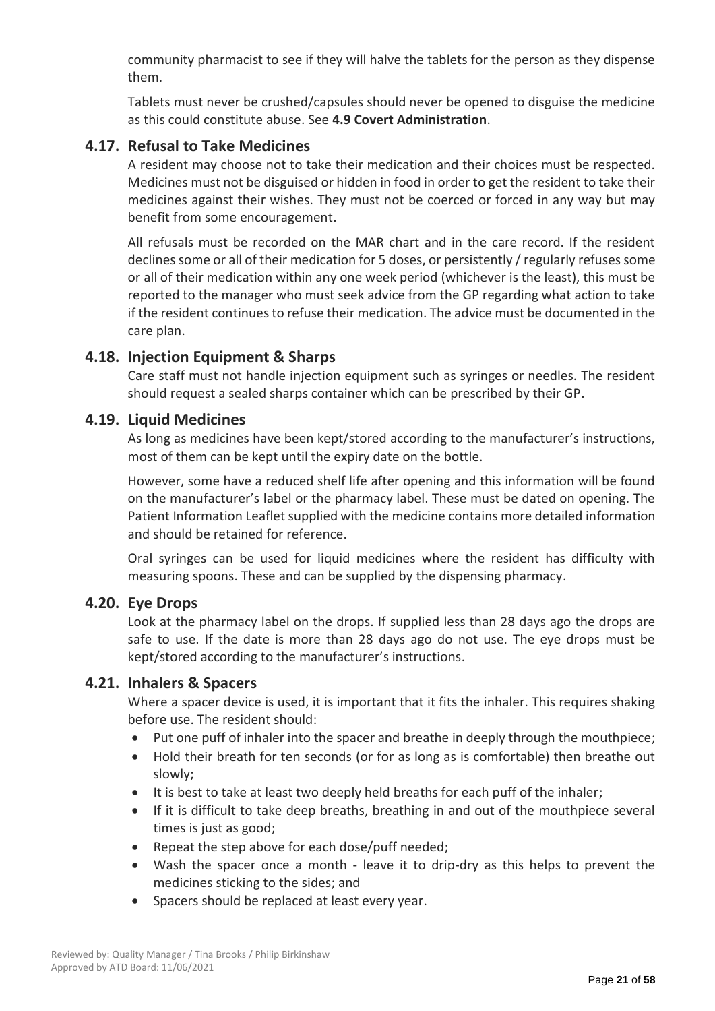community pharmacist to see if they will halve the tablets for the person as they dispense them.

Tablets must never be crushed/capsules should never be opened to disguise the medicine as this could constitute abuse. See **4.9 Covert Administration**.

## **4.17. Refusal to Take Medicines**

A resident may choose not to take their medication and their choices must be respected. Medicines must not be disguised or hidden in food in order to get the resident to take their medicines against their wishes. They must not be coerced or forced in any way but may benefit from some encouragement.

All refusals must be recorded on the MAR chart and in the care record. If the resident declines some or all of their medication for 5 doses, or persistently / regularly refuses some or all of their medication within any one week period (whichever is the least), this must be reported to the manager who must seek advice from the GP regarding what action to take if the resident continues to refuse their medication. The advice must be documented in the care plan.

## **4.18. Injection Equipment & Sharps**

Care staff must not handle injection equipment such as syringes or needles. The resident should request a sealed sharps container which can be prescribed by their GP.

## **4.19. Liquid Medicines**

As long as medicines have been kept/stored according to the manufacturer's instructions, most of them can be kept until the expiry date on the bottle.

However, some have a reduced shelf life after opening and this information will be found on the manufacturer's label or the pharmacy label. These must be dated on opening. The Patient Information Leaflet supplied with the medicine contains more detailed information and should be retained for reference.

Oral syringes can be used for liquid medicines where the resident has difficulty with measuring spoons. These and can be supplied by the dispensing pharmacy.

## **4.20. Eye Drops**

Look at the pharmacy label on the drops. If supplied less than 28 days ago the drops are safe to use. If the date is more than 28 days ago do not use. The eye drops must be kept/stored according to the manufacturer's instructions.

## **4.21. Inhalers & Spacers**

Where a spacer device is used, it is important that it fits the inhaler. This requires shaking before use. The resident should:

- Put one puff of inhaler into the spacer and breathe in deeply through the mouthpiece;
- Hold their breath for ten seconds (or for as long as is comfortable) then breathe out slowly;
- It is best to take at least two deeply held breaths for each puff of the inhaler;
- If it is difficult to take deep breaths, breathing in and out of the mouthpiece several times is just as good;
- Repeat the step above for each dose/puff needed;
- Wash the spacer once a month leave it to drip-dry as this helps to prevent the medicines sticking to the sides; and
- Spacers should be replaced at least every year.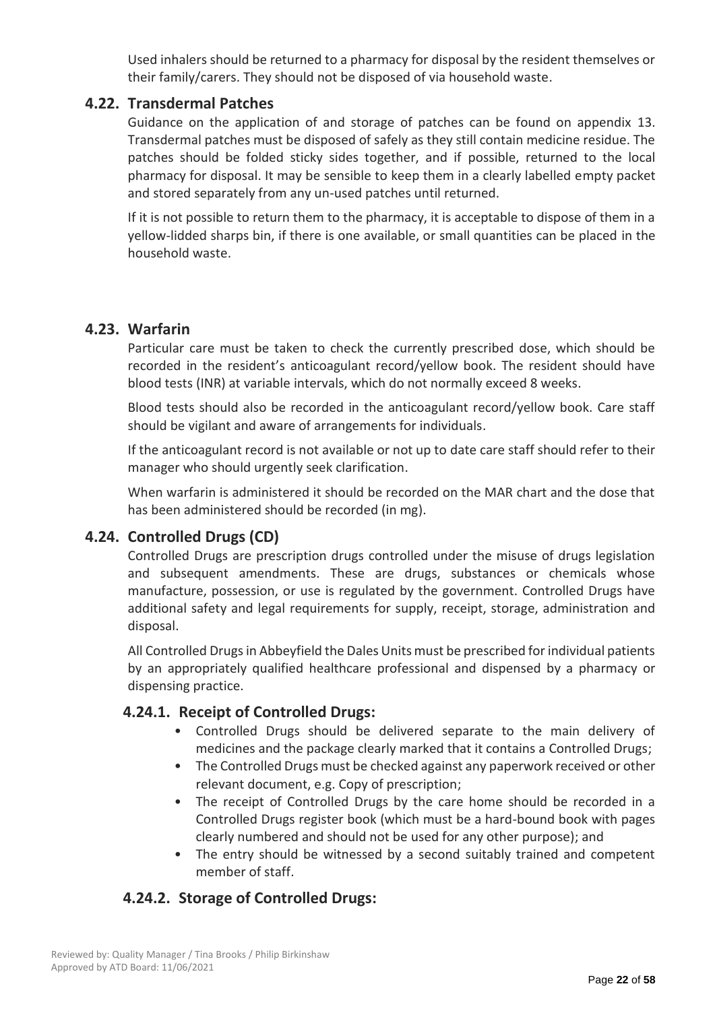Used inhalers should be returned to a pharmacy for disposal by the resident themselves or their family/carers. They should not be disposed of via household waste.

## **4.22. Transdermal Patches**

Guidance on the application of and storage of patches can be found on appendix 13. Transdermal patches must be disposed of safely as they still contain medicine residue. The patches should be folded sticky sides together, and if possible, returned to the local pharmacy for disposal. It may be sensible to keep them in a clearly labelled empty packet and stored separately from any un-used patches until returned.

If it is not possible to return them to the pharmacy, it is acceptable to dispose of them in a yellow-lidded sharps bin, if there is one available, or small quantities can be placed in the household waste.

## **4.23. Warfarin**

Particular care must be taken to check the currently prescribed dose, which should be recorded in the resident's anticoagulant record/yellow book. The resident should have blood tests (INR) at variable intervals, which do not normally exceed 8 weeks.

Blood tests should also be recorded in the anticoagulant record/yellow book. Care staff should be vigilant and aware of arrangements for individuals.

If the anticoagulant record is not available or not up to date care staff should refer to their manager who should urgently seek clarification.

When warfarin is administered it should be recorded on the MAR chart and the dose that has been administered should be recorded (in mg).

## **4.24. Controlled Drugs (CD)**

Controlled Drugs are prescription drugs controlled under the misuse of drugs legislation and subsequent amendments. These are drugs, substances or chemicals whose manufacture, possession, or use is regulated by the government. Controlled Drugs have additional safety and legal requirements for supply, receipt, storage, administration and disposal.

All Controlled Drugs in Abbeyfield the Dales Units must be prescribed for individual patients by an appropriately qualified healthcare professional and dispensed by a pharmacy or dispensing practice.

## **4.24.1. Receipt of Controlled Drugs:**

- Controlled Drugs should be delivered separate to the main delivery of medicines and the package clearly marked that it contains a Controlled Drugs;
- The Controlled Drugs must be checked against any paperwork received or other relevant document, e.g. Copy of prescription;
- The receipt of Controlled Drugs by the care home should be recorded in a Controlled Drugs register book (which must be a hard-bound book with pages clearly numbered and should not be used for any other purpose); and
- The entry should be witnessed by a second suitably trained and competent member of staff.

## **4.24.2. Storage of Controlled Drugs:**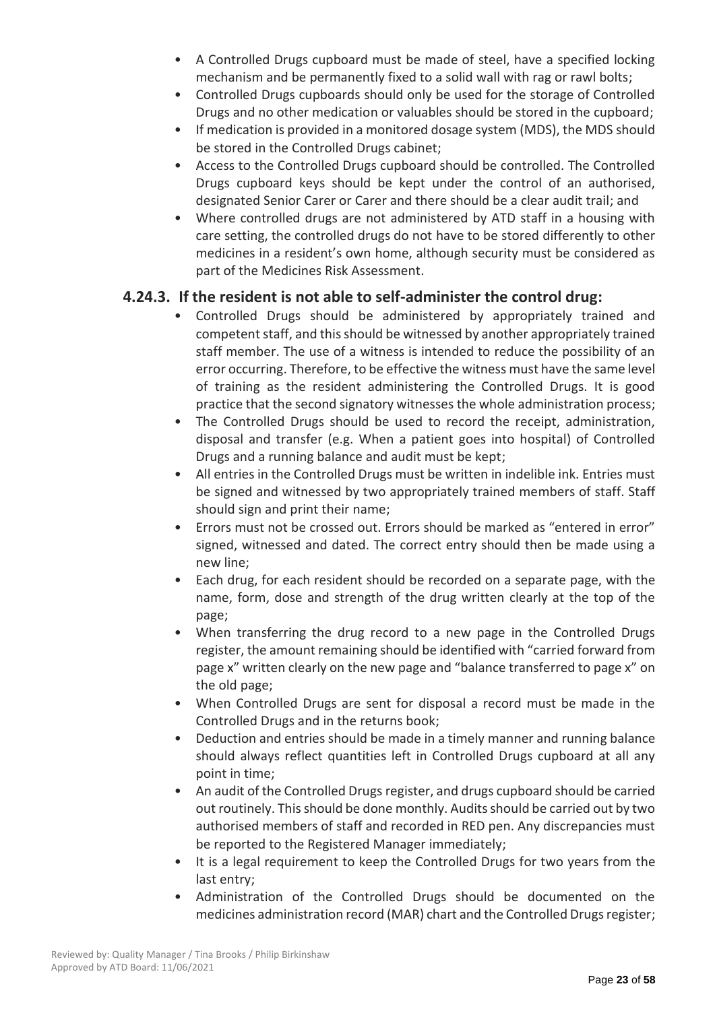- A Controlled Drugs cupboard must be made of steel, have a specified locking mechanism and be permanently fixed to a solid wall with rag or rawl bolts;
- Controlled Drugs cupboards should only be used for the storage of Controlled Drugs and no other medication or valuables should be stored in the cupboard;
- If medication is provided in a monitored dosage system (MDS), the MDS should be stored in the Controlled Drugs cabinet;
- Access to the Controlled Drugs cupboard should be controlled. The Controlled Drugs cupboard keys should be kept under the control of an authorised, designated Senior Carer or Carer and there should be a clear audit trail; and
- Where controlled drugs are not administered by ATD staff in a housing with care setting, the controlled drugs do not have to be stored differently to other medicines in a resident's own home, although security must be considered as part of the Medicines Risk Assessment.

## **4.24.3. If the resident is not able to self-administer the control drug:**

- Controlled Drugs should be administered by appropriately trained and competent staff, and this should be witnessed by another appropriately trained staff member. The use of a witness is intended to reduce the possibility of an error occurring. Therefore, to be effective the witness must have the same level of training as the resident administering the Controlled Drugs. It is good practice that the second signatory witnesses the whole administration process;
- The Controlled Drugs should be used to record the receipt, administration, disposal and transfer (e.g. When a patient goes into hospital) of Controlled Drugs and a running balance and audit must be kept;
- All entries in the Controlled Drugs must be written in indelible ink. Entries must be signed and witnessed by two appropriately trained members of staff. Staff should sign and print their name;
- Errors must not be crossed out. Errors should be marked as "entered in error" signed, witnessed and dated. The correct entry should then be made using a new line;
- Each drug, for each resident should be recorded on a separate page, with the name, form, dose and strength of the drug written clearly at the top of the page;
- When transferring the drug record to a new page in the Controlled Drugs register, the amount remaining should be identified with "carried forward from page x" written clearly on the new page and "balance transferred to page x" on the old page;
- When Controlled Drugs are sent for disposal a record must be made in the Controlled Drugs and in the returns book;
- Deduction and entries should be made in a timely manner and running balance should always reflect quantities left in Controlled Drugs cupboard at all any point in time;
- An audit of the Controlled Drugs register, and drugs cupboard should be carried out routinely. This should be done monthly. Audits should be carried out by two authorised members of staff and recorded in RED pen. Any discrepancies must be reported to the Registered Manager immediately;
- It is a legal requirement to keep the Controlled Drugs for two years from the last entry;
- Administration of the Controlled Drugs should be documented on the medicines administration record (MAR) chart and the Controlled Drugs register;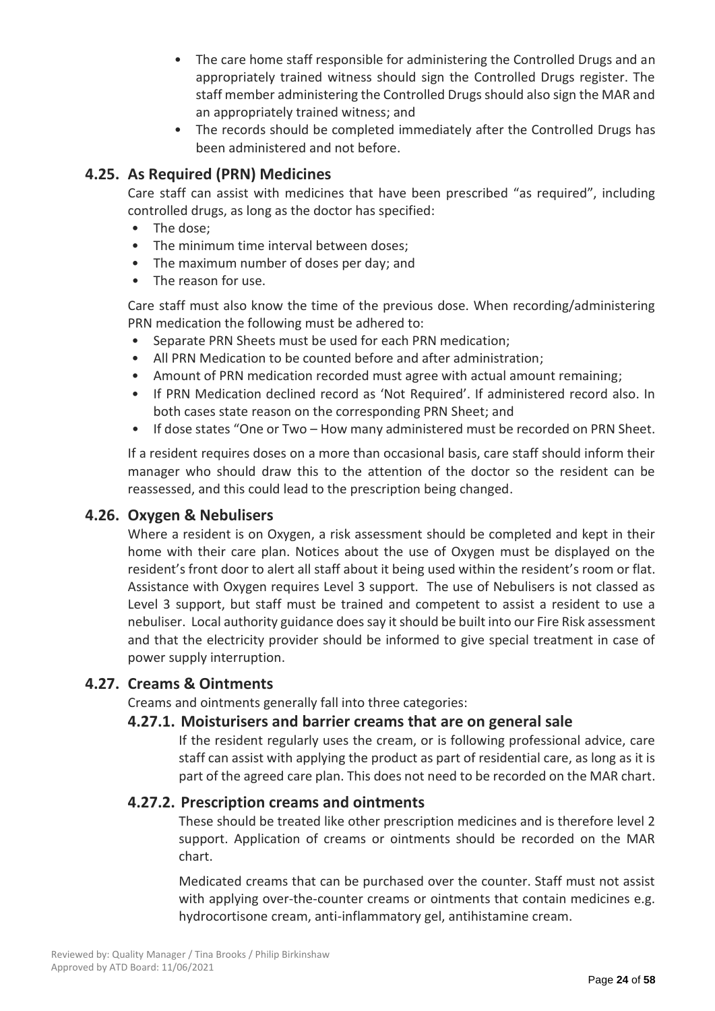- The care home staff responsible for administering the Controlled Drugs and an appropriately trained witness should sign the Controlled Drugs register. The staff member administering the Controlled Drugs should also sign the MAR and an appropriately trained witness; and
- The records should be completed immediately after the Controlled Drugs has been administered and not before.

## **4.25. As Required (PRN) Medicines**

Care staff can assist with medicines that have been prescribed "as required", including controlled drugs, as long as the doctor has specified:

- The dose;
- The minimum time interval between doses:
- The maximum number of doses per day; and
- The reason for use.

Care staff must also know the time of the previous dose. When recording/administering PRN medication the following must be adhered to:

- Separate PRN Sheets must be used for each PRN medication;
- All PRN Medication to be counted before and after administration;
- Amount of PRN medication recorded must agree with actual amount remaining;
- If PRN Medication declined record as 'Not Required'. If administered record also. In both cases state reason on the corresponding PRN Sheet; and
- If dose states "One or Two How many administered must be recorded on PRN Sheet.

If a resident requires doses on a more than occasional basis, care staff should inform their manager who should draw this to the attention of the doctor so the resident can be reassessed, and this could lead to the prescription being changed.

## **4.26. Oxygen & Nebulisers**

Where a resident is on Oxygen, a risk assessment should be completed and kept in their home with their care plan. Notices about the use of Oxygen must be displayed on the resident's front door to alert all staff about it being used within the resident's room or flat. Assistance with Oxygen requires Level 3 support. The use of Nebulisers is not classed as Level 3 support, but staff must be trained and competent to assist a resident to use a nebuliser. Local authority guidance does say it should be built into our Fire Risk assessment and that the electricity provider should be informed to give special treatment in case of power supply interruption.

## **4.27. Creams & Ointments**

Creams and ointments generally fall into three categories:

## **4.27.1. Moisturisers and barrier creams that are on general sale**

If the resident regularly uses the cream, or is following professional advice, care staff can assist with applying the product as part of residential care, as long as it is part of the agreed care plan. This does not need to be recorded on the MAR chart.

## **4.27.2. Prescription creams and ointments**

These should be treated like other prescription medicines and is therefore level 2 support. Application of creams or ointments should be recorded on the MAR chart.

Medicated creams that can be purchased over the counter. Staff must not assist with applying over-the-counter creams or ointments that contain medicines e.g. hydrocortisone cream, anti-inflammatory gel, antihistamine cream.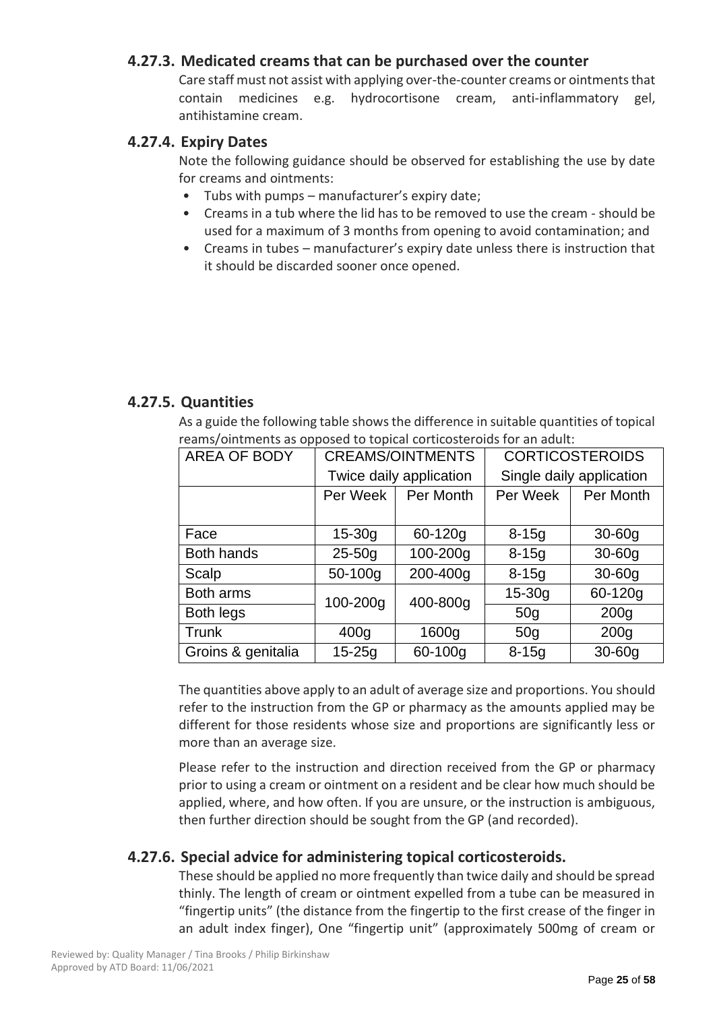## **4.27.3. Medicated creams that can be purchased over the counter**

Care staff must not assist with applying over-the-counter creams or ointments that contain medicines e.g. hydrocortisone cream, anti-inflammatory gel, antihistamine cream.

## **4.27.4. Expiry Dates**

Note the following guidance should be observed for establishing the use by date for creams and ointments:

- Tubs with pumps manufacturer's expiry date;
- Creams in a tub where the lid has to be removed to use the cream should be used for a maximum of 3 months from opening to avoid contamination; and
- Creams in tubes manufacturer's expiry date unless there is instruction that it should be discarded sooner once opened.

## **4.27.5. Quantities**

As a guide the following table shows the difference in suitable quantities of topical reams/ointments as opposed to topical corticosteroids for an adult:

| <b>AREA OF BODY</b> | <b>CREAMS/OINTMENTS</b> |          | <b>CORTICOSTEROIDS</b>   |                  |
|---------------------|-------------------------|----------|--------------------------|------------------|
|                     | Twice daily application |          | Single daily application |                  |
|                     | Per Week<br>Per Month   |          | Per Week                 | Per Month        |
|                     |                         |          |                          |                  |
| Face                | 60-120g<br>$15 - 30g$   |          | $8 - 15g$                | $30-60g$         |
| <b>Both hands</b>   | $25 - 50g$              | 100-200g | $8 - 15g$                | $30-60g$         |
| Scalp               | 50-100g                 | 200-400g | $8 - 15g$                | $30-60q$         |
| Both arms           | 100-200g                | 400-800g | $15 - 30g$               | 60-120g          |
| Both legs           |                         |          | 50 <sub>q</sub>          | 200 <sub>g</sub> |
| Trunk               | 400 <sub>g</sub>        | 1600g    | 50 <sub>q</sub>          | 200 <sub>g</sub> |
| Groins & genitalia  | $15 - 25q$              | 60-100g  | $8 - 15q$                | $30-60q$         |

The quantities above apply to an adult of average size and proportions. You should refer to the instruction from the GP or pharmacy as the amounts applied may be different for those residents whose size and proportions are significantly less or more than an average size.

Please refer to the instruction and direction received from the GP or pharmacy prior to using a cream or ointment on a resident and be clear how much should be applied, where, and how often. If you are unsure, or the instruction is ambiguous, then further direction should be sought from the GP (and recorded).

## **4.27.6. Special advice for administering topical corticosteroids.**

These should be applied no more frequently than twice daily and should be spread thinly. The length of cream or ointment expelled from a tube can be measured in "fingertip units" (the distance from the fingertip to the first crease of the finger in an adult index finger), One "fingertip unit" (approximately 500mg of cream or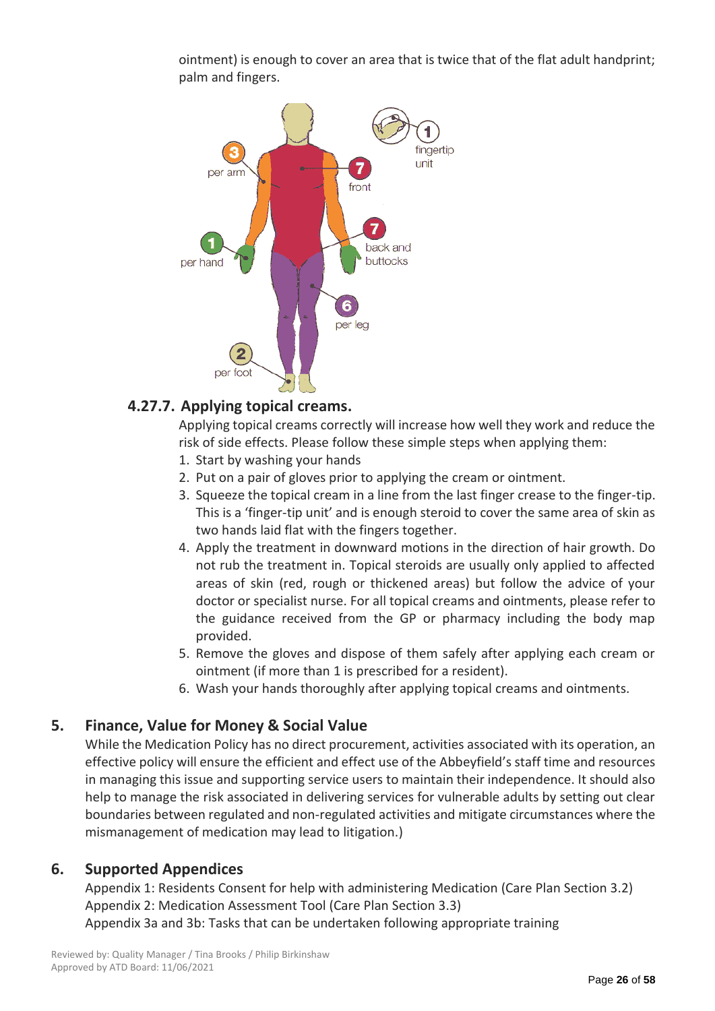ointment) is enough to cover an area that is twice that of the flat adult handprint; palm and fingers.



## **4.27.7. Applying topical creams.**

Applying topical creams correctly will increase how well they work and reduce the risk of side effects. Please follow these simple steps when applying them:

- 1. Start by washing your hands
- 2. Put on a pair of gloves prior to applying the cream or ointment.
- 3. Squeeze the topical cream in a line from the last finger crease to the finger-tip. This is a 'finger-tip unit' and is enough steroid to cover the same area of skin as two hands laid flat with the fingers together.
- 4. Apply the treatment in downward motions in the direction of hair growth. Do not rub the treatment in. Topical steroids are usually only applied to affected areas of skin (red, rough or thickened areas) but follow the advice of your doctor or specialist nurse. For all topical creams and ointments, please refer to the guidance received from the GP or pharmacy including the body map provided.
- 5. Remove the gloves and dispose of them safely after applying each cream or ointment (if more than 1 is prescribed for a resident).
- 6. Wash your hands thoroughly after applying topical creams and ointments.

## **5. Finance, Value for Money & Social Value**

While the Medication Policy has no direct procurement, activities associated with its operation, an effective policy will ensure the efficient and effect use of the Abbeyfield's staff time and resources in managing this issue and supporting service users to maintain their independence. It should also help to manage the risk associated in delivering services for vulnerable adults by setting out clear boundaries between regulated and non-regulated activities and mitigate circumstances where the mismanagement of medication may lead to litigation.)

## **6. Supported Appendices**

Appendix 1: Residents Consent for help with administering Medication (Care Plan Section 3.2) Appendix 2: Medication Assessment Tool (Care Plan Section 3.3) Appendix 3a and 3b: Tasks that can be undertaken following appropriate training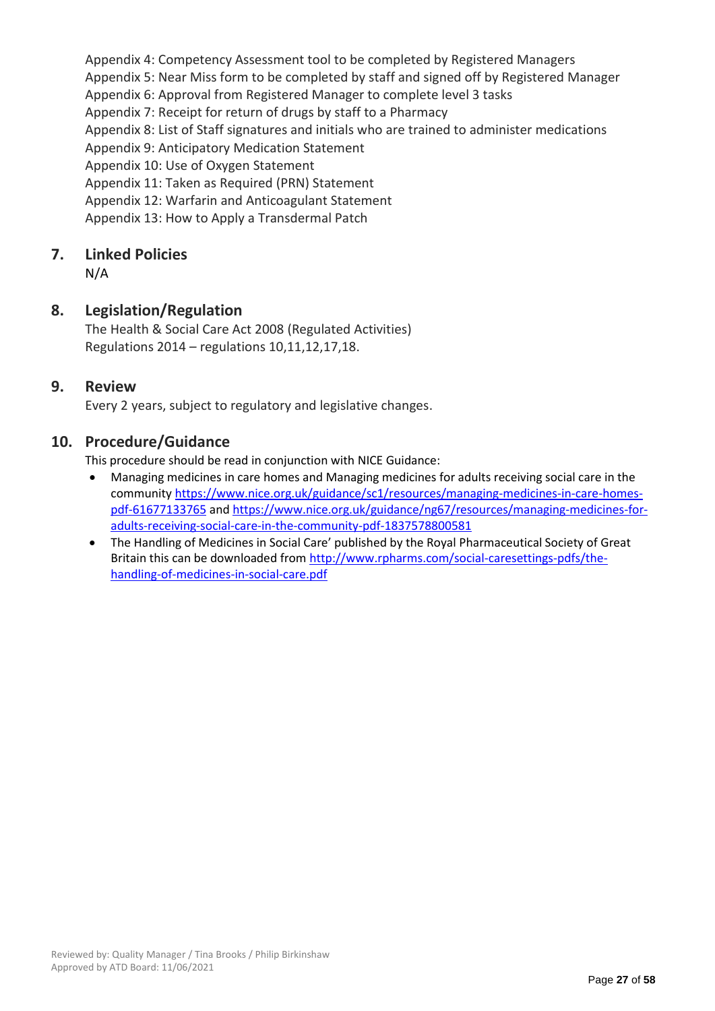Appendix 4: Competency Assessment tool to be completed by Registered Managers Appendix 5: Near Miss form to be completed by staff and signed off by Registered Manager Appendix 6: Approval from Registered Manager to complete level 3 tasks Appendix 7: Receipt for return of drugs by staff to a Pharmacy Appendix 8: List of Staff signatures and initials who are trained to administer medications Appendix 9: Anticipatory Medication Statement Appendix 10: Use of Oxygen Statement Appendix 11: Taken as Required (PRN) Statement Appendix 12: Warfarin and Anticoagulant Statement Appendix 13: How to Apply a Transdermal Patch

## **7. Linked Policies**

N/A

## **8. Legislation/Regulation**

The Health & Social Care Act 2008 (Regulated Activities) Regulations 2014 – regulations 10,11,12,17,18.

## **9. Review**

Every 2 years, subject to regulatory and legislative changes.

## **10. Procedure/Guidance**

This procedure should be read in conjunction with NICE Guidance:

- Managing medicines in care homes and Managing medicines for adults receiving social care in the communit[y https://www.nice.org.uk/guidance/sc1/resources/managing-medicines-in-care-homes](https://www.nice.org.uk/guidance/sc1/resources/managing-medicines-in-care-homes-pdf-61677133765)[pdf-61677133765](https://www.nice.org.uk/guidance/sc1/resources/managing-medicines-in-care-homes-pdf-61677133765) an[d https://www.nice.org.uk/guidance/ng67/resources/managing-medicines-for](https://www.nice.org.uk/guidance/ng67/resources/managing-medicines-for-adults-receiving-social-care-in-the-community-pdf-1837578800581)[adults-receiving-social-care-in-the-community-pdf-1837578800581](https://www.nice.org.uk/guidance/ng67/resources/managing-medicines-for-adults-receiving-social-care-in-the-community-pdf-1837578800581)
- The Handling of Medicines in Social Care' published by the Royal Pharmaceutical Society of Great Britain this can be downloaded from http://www.rpharms.com/social-caresettings-pdfs/thehandling-of-medicines-in-social-care.pdf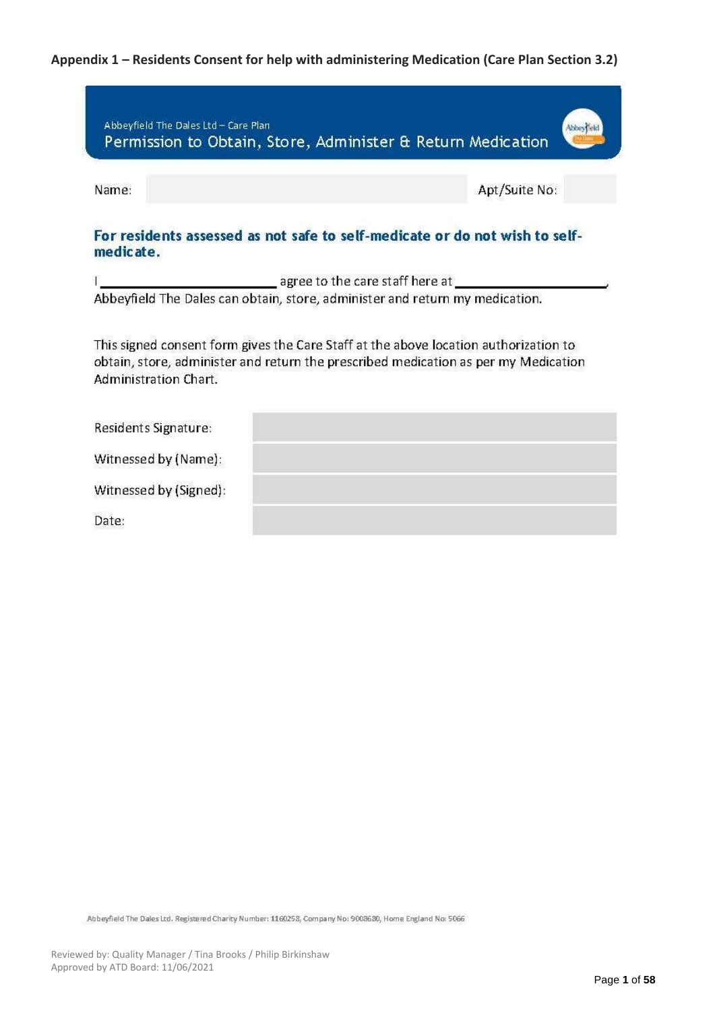## **Appendix 1 – Residents Consent for help with administering Medication (Care Plan Section 3.2)**

| Abbeyfield The Dales Ltd - Care Plan | Permission to Obtain, Store, Administer & Return Medication                                                                                                                 |               |
|--------------------------------------|-----------------------------------------------------------------------------------------------------------------------------------------------------------------------------|---------------|
| Name:                                |                                                                                                                                                                             | Apt/Suite No: |
| medicate.                            | For residents assessed as not safe to self-medicate or do not wish to self-                                                                                                 |               |
|                                      | agree to the care staff here at which are approximately                                                                                                                     |               |
|                                      | Abbeyfield The Dales can obtain, store, administer and return my medication.                                                                                                |               |
| Administration Chart.                | This signed consent form gives the Care Staff at the above location authorization to<br>obtain, store, administer and return the prescribed medication as per my Medication |               |
| Residents Signature:                 |                                                                                                                                                                             |               |
| Witnessed by (Name):                 |                                                                                                                                                                             |               |
| Witnessed by (Signed):               |                                                                                                                                                                             |               |
| Date:                                |                                                                                                                                                                             |               |

Abbeyfield The Dales Ltd. Registered Charity Number: 1160258, Company No: 9008680, Home England No: 5066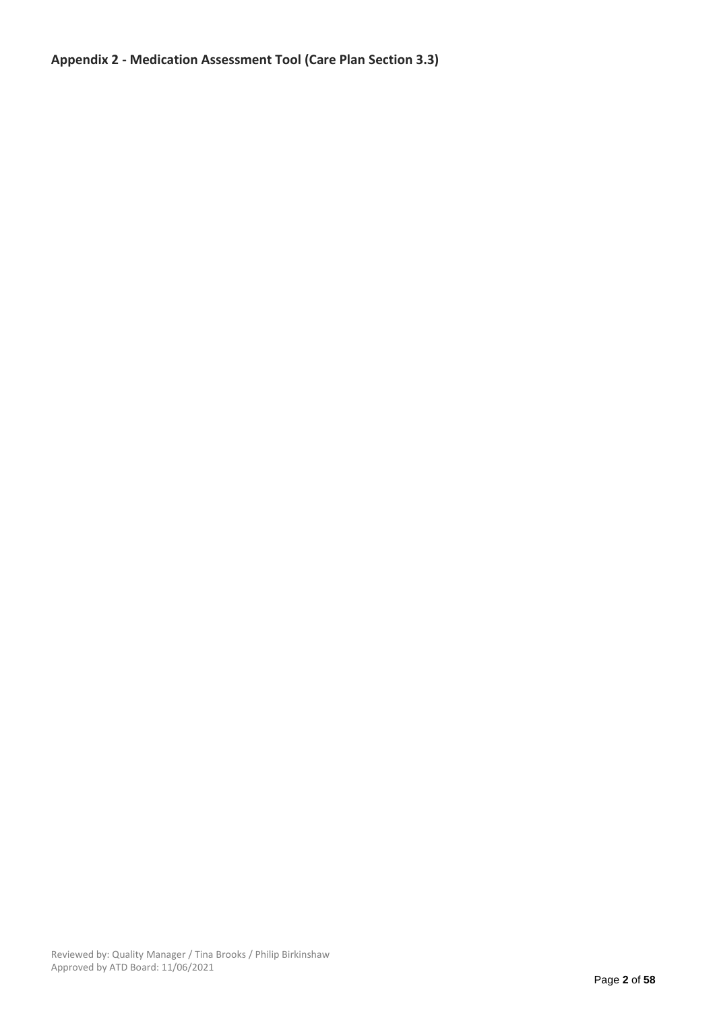## **Appendix 2 - Medication Assessment Tool (Care Plan Section 3.3)**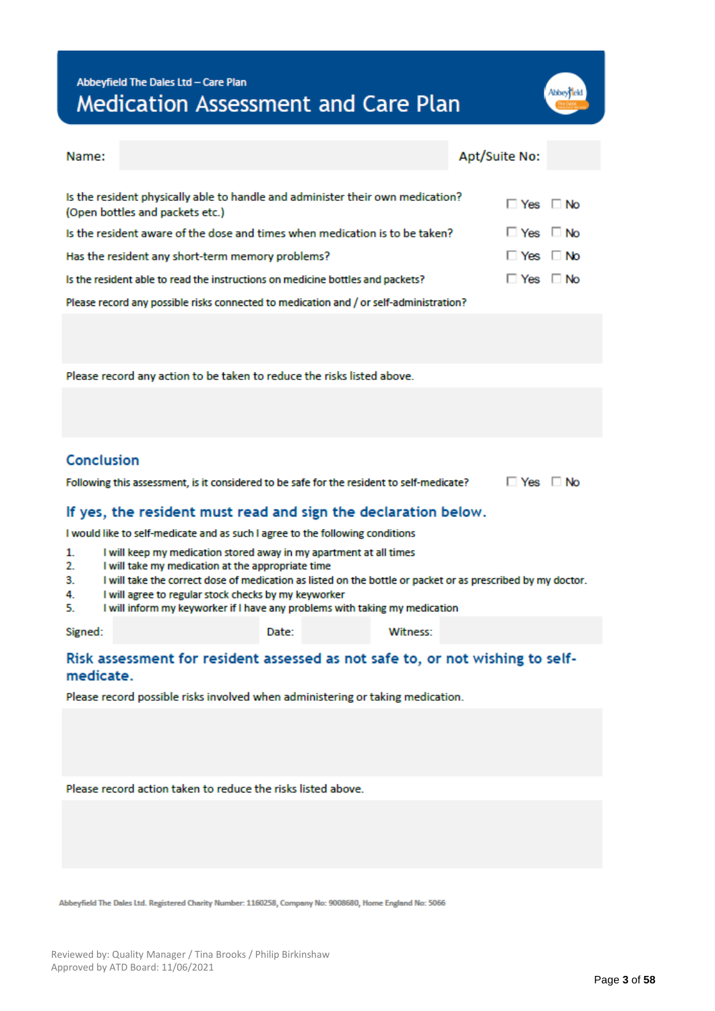## Abbeyfield The Dales Ltd - Care Plan Medication Assessment and Care Plan

| Abbey |  |
|-------|--|
|       |  |

| Name:                                                          |                                                                                                                         | Apt/Suite No:        |  |  |  |  |
|----------------------------------------------------------------|-------------------------------------------------------------------------------------------------------------------------|----------------------|--|--|--|--|
|                                                                |                                                                                                                         |                      |  |  |  |  |
|                                                                | Is the resident physically able to handle and administer their own medication?<br>(Open bottles and packets etc.)       | $\Box$ Yes $\Box$ No |  |  |  |  |
|                                                                | Is the resident aware of the dose and times when medication is to be taken?                                             | $\Box$ Yes $\Box$ No |  |  |  |  |
|                                                                | Has the resident any short-term memory problems?                                                                        | $\Box$ Yes $\Box$ No |  |  |  |  |
|                                                                | Is the resident able to read the instructions on medicine bottles and packets?                                          | <b>No</b> Yes DNo    |  |  |  |  |
|                                                                | Please record any possible risks connected to medication and / or self-administration?                                  |                      |  |  |  |  |
|                                                                |                                                                                                                         |                      |  |  |  |  |
|                                                                |                                                                                                                         |                      |  |  |  |  |
|                                                                | Please record any action to be taken to reduce the risks listed above.                                                  |                      |  |  |  |  |
|                                                                |                                                                                                                         |                      |  |  |  |  |
|                                                                |                                                                                                                         |                      |  |  |  |  |
|                                                                |                                                                                                                         |                      |  |  |  |  |
| Conclusion                                                     |                                                                                                                         |                      |  |  |  |  |
|                                                                | Following this assessment, is it considered to be safe for the resident to self-medicate?                               | $\Box$ Yes $\Box$ No |  |  |  |  |
| If yes, the resident must read and sign the declaration below. |                                                                                                                         |                      |  |  |  |  |
|                                                                | would like to self-medicate and as such I agree to the following conditions                                             |                      |  |  |  |  |
| 1.<br>2.                                                       | I will keep my medication stored away in my apartment at all times<br>I will take my medication at the appropriate time |                      |  |  |  |  |
| 3.                                                             | I will take the correct dose of medication as listed on the bottle or packet or as prescribed by my doctor.             |                      |  |  |  |  |

- 4. I will agree to regular stock checks by my keyworker
- I will inform my keyworker if I have any problems with taking my medication 5.

Signed:

Date:

Witness:

### Risk assessment for resident assessed as not safe to, or not wishing to selfmedicate.

Please record possible risks involved when administering or taking medication.

Please record action taken to reduce the risks listed above.

Abbeyfield The Dales Ltd. Registered Charity Number: 1160258, Company No: 9008680, Home England No: 5066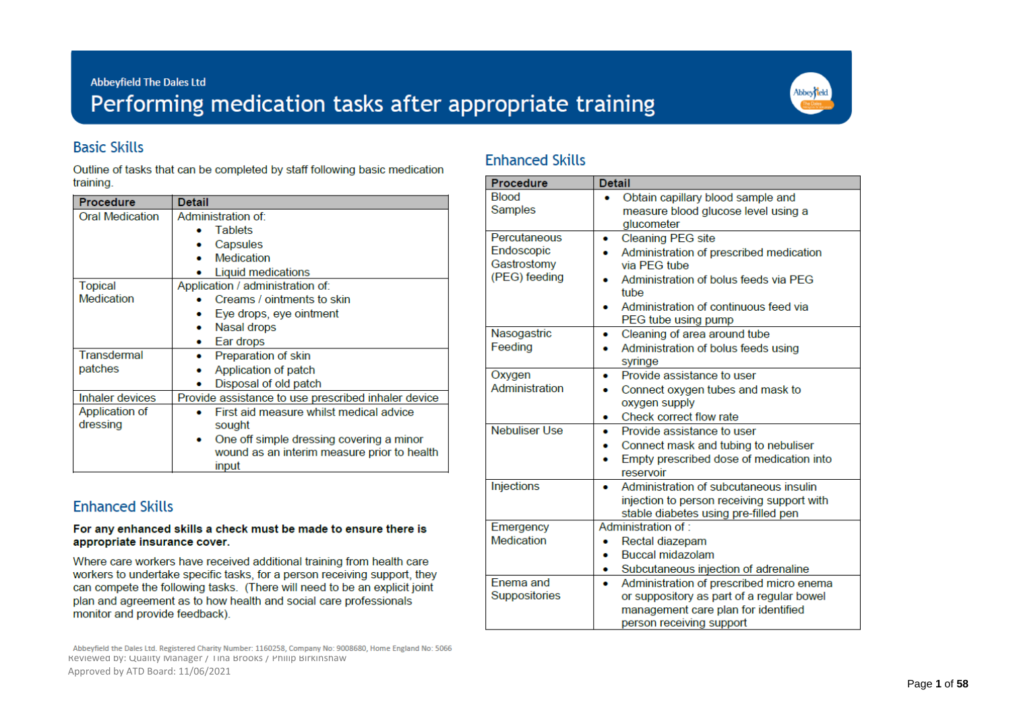## Abbeyfield The Dales Ltd Performing medication tasks after appropriate training



## **Basic Skills**

Outline of tasks that can be completed by staff following basic medication training.

| <b>Procedure</b>       | <b>Detail</b>                                       |  |  |
|------------------------|-----------------------------------------------------|--|--|
| <b>Oral Medication</b> | Administration of:                                  |  |  |
|                        | <b>Tablets</b>                                      |  |  |
|                        | Capsules                                            |  |  |
|                        | Medication                                          |  |  |
|                        | Liquid medications                                  |  |  |
| Topical                | Application / administration of:                    |  |  |
| <b>Medication</b>      | Creams / ointments to skin                          |  |  |
|                        | Eye drops, eye ointment                             |  |  |
|                        | Nasal drops                                         |  |  |
|                        | Ear drops                                           |  |  |
| Transdermal            | Preparation of skin                                 |  |  |
| patches                | Application of patch                                |  |  |
|                        | Disposal of old patch                               |  |  |
| Inhaler devices        | Provide assistance to use prescribed inhaler device |  |  |
| Application of         | First aid measure whilst medical advice             |  |  |
| dressing               | sought                                              |  |  |
|                        | One off simple dressing covering a minor            |  |  |
|                        | wound as an interim measure prior to health         |  |  |
|                        | input                                               |  |  |

## **Fnhanced Skills**

#### For any enhanced skills a check must be made to ensure there is appropriate insurance cover.

Where care workers have received additional training from health care workers to undertake specific tasks, for a person receiving support, they can compete the following tasks. (There will need to be an explicit joint plan and agreement as to how health and social care professionals monitor and provide feedback).

Abbeyfield the Dales Ltd. Registered Charity Number: 1160258, Company No: 9008680, Home England No: 5066 Reviewed by: Quality Manager / Tina Brooks / Philip Birkinshaw Approved by ATD Board: 11/06/2021

## **Enhanced Skills**

| Procedure            | <b>Detail</b>                                 |
|----------------------|-----------------------------------------------|
| <b>Blood</b>         | Obtain capillary blood sample and             |
| <b>Samples</b>       | measure blood glucose level using a           |
|                      | glucometer                                    |
| Percutaneous         | <b>Cleaning PEG site</b><br>۰                 |
| Endoscopic           | Administration of prescribed medication<br>۰  |
| Gastrostomy          | via PEG tube                                  |
| (PEG) feeding        | Administration of bolus feeds via PFG<br>tube |
|                      | Administration of continuous feed via         |
|                      | PEG tube using pump                           |
| Nasogastric          | Cleaning of area around tube<br>۰             |
| Feeding              | Administration of bolus feeds using<br>۰      |
|                      | syringe                                       |
| Oxygen               | Provide assistance to user<br>۰               |
| Administration       | Connect oxygen tubes and mask to              |
|                      | oxygen supply                                 |
|                      | Check correct flow rate<br>۰                  |
| <b>Nebuliser Use</b> | Provide assistance to user<br>۰               |
|                      | Connect mask and tubing to nebuliser<br>۰     |
|                      | Empty prescribed dose of medication into<br>۰ |
|                      | reservoir                                     |
| <b>Injections</b>    | Administration of subcutaneous insulin<br>۰   |
|                      | injection to person receiving support with    |
|                      | stable diabetes using pre-filled pen          |
| Emergency            | Administration of:                            |
| Medication           | Rectal diazepam                               |
|                      | <b>Buccal midazolam</b><br>۰                  |
|                      | Subcutaneous injection of adrenaline<br>۰     |
| Fnema and            | Administration of prescribed micro enema      |
| Suppositories        | or suppository as part of a regular bowel     |
|                      | management care plan for identified           |
|                      | person receiving support                      |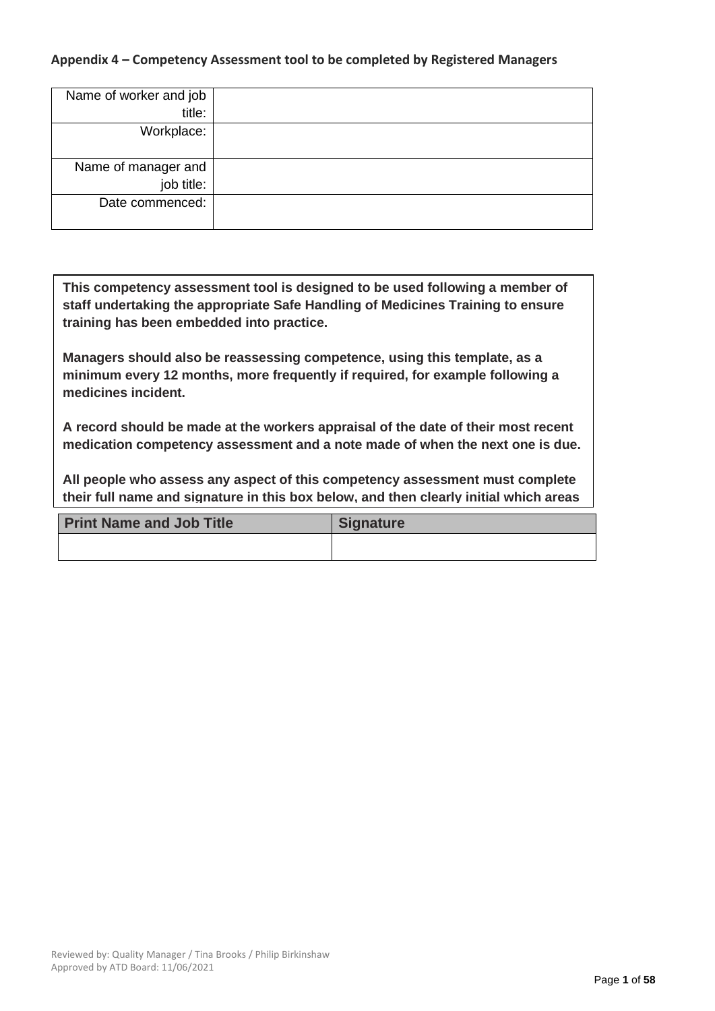### **Appendix 4 – Competency Assessment tool to be completed by Registered Managers**

| Name of worker and job |  |
|------------------------|--|
| title:                 |  |
| Workplace:             |  |
|                        |  |
| Name of manager and    |  |
| job title:             |  |
| Date commenced:        |  |
|                        |  |

**This competency assessment tool is designed to be used following a member of staff undertaking the appropriate Safe Handling of Medicines Training to ensure training has been embedded into practice.**

**Managers should also be reassessing competence, using this template, as a minimum every 12 months, more frequently if required, for example following a medicines incident.**

**A record should be made at the workers appraisal of the date of their most recent medication competency assessment and a note made of when the next one is due.**

**All people who assess any aspect of this competency assessment must complete their full name and signature in this box below, and then clearly initial which areas** 

| <b>Print Name and Job Title</b> | <b>Signature</b> |
|---------------------------------|------------------|
|                                 |                  |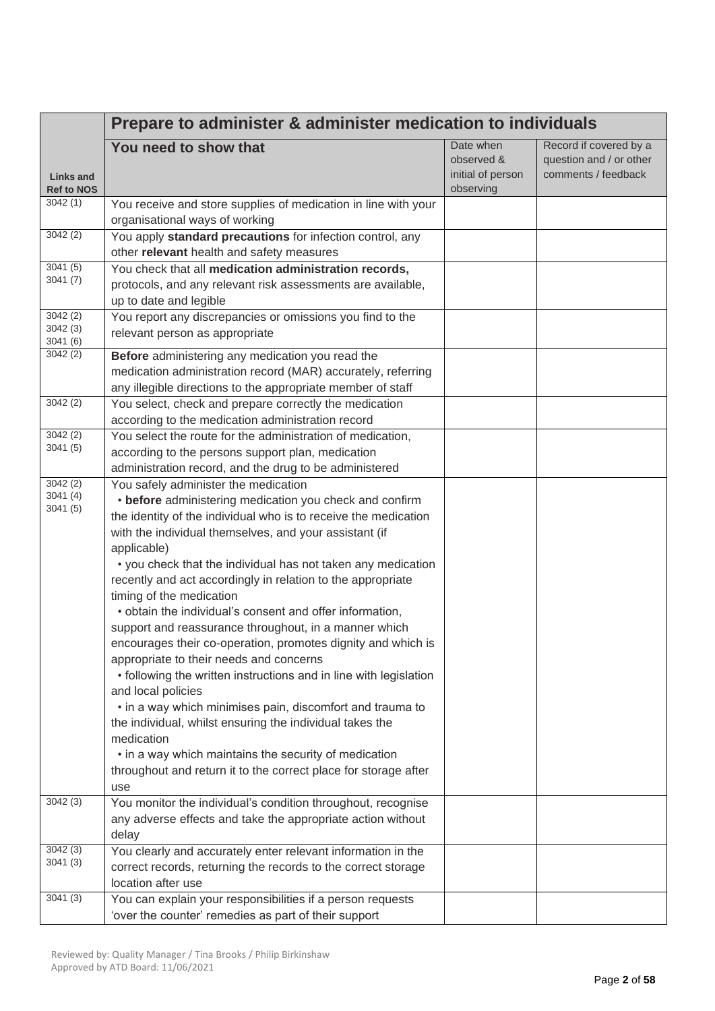|                                       | Prepare to administer & administer medication to individuals                                                                                                                                                                                                                                                                                                                                                                                                                                                                                                                                                                                                                                                                                                                                   |                                                           |                                                                          |  |  |
|---------------------------------------|------------------------------------------------------------------------------------------------------------------------------------------------------------------------------------------------------------------------------------------------------------------------------------------------------------------------------------------------------------------------------------------------------------------------------------------------------------------------------------------------------------------------------------------------------------------------------------------------------------------------------------------------------------------------------------------------------------------------------------------------------------------------------------------------|-----------------------------------------------------------|--------------------------------------------------------------------------|--|--|
| <b>Links and</b><br><b>Ref to NOS</b> | You need to show that                                                                                                                                                                                                                                                                                                                                                                                                                                                                                                                                                                                                                                                                                                                                                                          | Date when<br>observed &<br>initial of person<br>observing | Record if covered by a<br>question and / or other<br>comments / feedback |  |  |
| 3042(1)                               | You receive and store supplies of medication in line with your<br>organisational ways of working                                                                                                                                                                                                                                                                                                                                                                                                                                                                                                                                                                                                                                                                                               |                                                           |                                                                          |  |  |
| 3042(2)                               | You apply standard precautions for infection control, any<br>other relevant health and safety measures                                                                                                                                                                                                                                                                                                                                                                                                                                                                                                                                                                                                                                                                                         |                                                           |                                                                          |  |  |
| 3041(5)<br>3041(7)                    | You check that all medication administration records,<br>protocols, and any relevant risk assessments are available,<br>up to date and legible                                                                                                                                                                                                                                                                                                                                                                                                                                                                                                                                                                                                                                                 |                                                           |                                                                          |  |  |
| 3042(2)<br>3042 (3)<br>3041(6)        | You report any discrepancies or omissions you find to the<br>relevant person as appropriate                                                                                                                                                                                                                                                                                                                                                                                                                                                                                                                                                                                                                                                                                                    |                                                           |                                                                          |  |  |
| 3042(2)                               | Before administering any medication you read the<br>medication administration record (MAR) accurately, referring<br>any illegible directions to the appropriate member of staff                                                                                                                                                                                                                                                                                                                                                                                                                                                                                                                                                                                                                |                                                           |                                                                          |  |  |
| 3042(2)                               | You select, check and prepare correctly the medication<br>according to the medication administration record                                                                                                                                                                                                                                                                                                                                                                                                                                                                                                                                                                                                                                                                                    |                                                           |                                                                          |  |  |
| 3042(2)<br>3041 (5)                   | You select the route for the administration of medication,<br>according to the persons support plan, medication<br>administration record, and the drug to be administered                                                                                                                                                                                                                                                                                                                                                                                                                                                                                                                                                                                                                      |                                                           |                                                                          |  |  |
| 3042(2)<br>3041(4)<br>3041(5)         | You safely administer the medication<br>• before administering medication you check and confirm<br>the identity of the individual who is to receive the medication<br>with the individual themselves, and your assistant (if<br>applicable)<br>• you check that the individual has not taken any medication<br>recently and act accordingly in relation to the appropriate<br>timing of the medication<br>• obtain the individual's consent and offer information,<br>support and reassurance throughout, in a manner which<br>encourages their co-operation, promotes dignity and which is<br>appropriate to their needs and concerns<br>• following the written instructions and in line with legislation<br>and local policies<br>• in a way which minimises pain, discomfort and trauma to |                                                           |                                                                          |  |  |
| 3042(3)                               | the individual, whilst ensuring the individual takes the<br>medication<br>• in a way which maintains the security of medication<br>throughout and return it to the correct place for storage after<br>use<br>You monitor the individual's condition throughout, recognise                                                                                                                                                                                                                                                                                                                                                                                                                                                                                                                      |                                                           |                                                                          |  |  |
|                                       | any adverse effects and take the appropriate action without<br>delay                                                                                                                                                                                                                                                                                                                                                                                                                                                                                                                                                                                                                                                                                                                           |                                                           |                                                                          |  |  |
| 3042(3)<br>3041 (3)<br>3041(3)        | You clearly and accurately enter relevant information in the<br>correct records, returning the records to the correct storage<br>location after use                                                                                                                                                                                                                                                                                                                                                                                                                                                                                                                                                                                                                                            |                                                           |                                                                          |  |  |
|                                       | You can explain your responsibilities if a person requests<br>'over the counter' remedies as part of their support                                                                                                                                                                                                                                                                                                                                                                                                                                                                                                                                                                                                                                                                             |                                                           |                                                                          |  |  |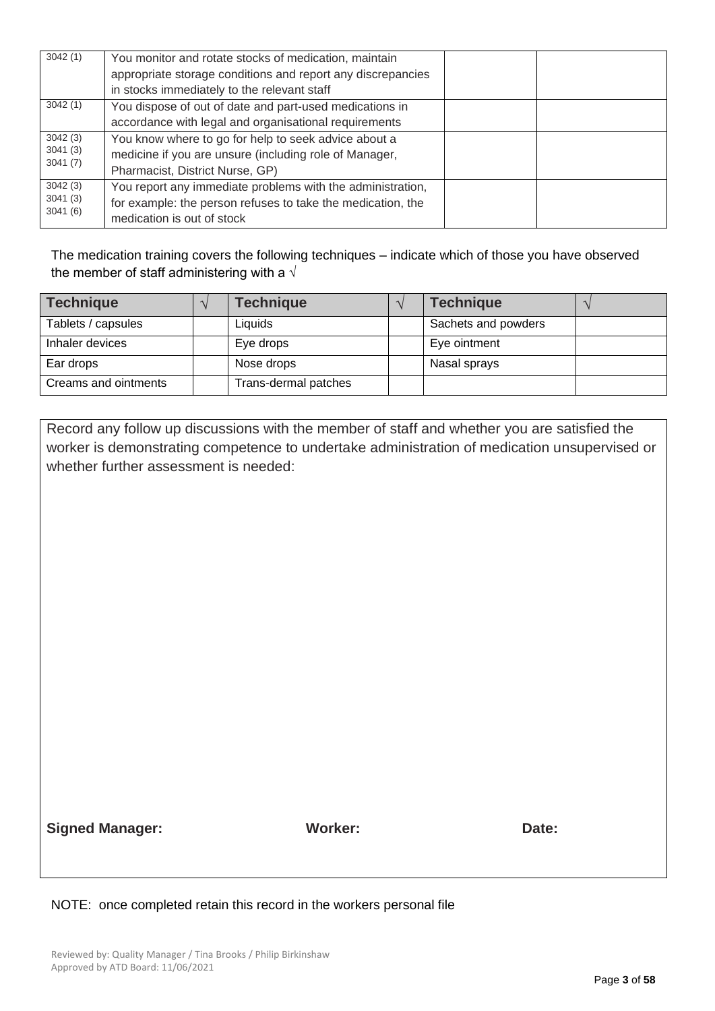| 3042(1) | You monitor and rotate stocks of medication, maintain       |  |
|---------|-------------------------------------------------------------|--|
|         | appropriate storage conditions and report any discrepancies |  |
|         | in stocks immediately to the relevant staff                 |  |
| 3042(1) | You dispose of out of date and part-used medications in     |  |
|         | accordance with legal and organisational requirements       |  |
| 3042(3) | You know where to go for help to seek advice about a        |  |
| 3041(3) | medicine if you are unsure (including role of Manager,      |  |
| 3041(7) | Pharmacist, District Nurse, GP)                             |  |
| 3042(3) | You report any immediate problems with the administration,  |  |
| 3041(3) | for example: the person refuses to take the medication, the |  |
| 3041(6) | medication is out of stock                                  |  |

The medication training covers the following techniques – indicate which of those you have observed the member of staff administering with a  $\sqrt{ }$ 

| <b>Technique</b>     | <b>Technique</b>     | <b>Technique</b>    |  |
|----------------------|----------------------|---------------------|--|
| Tablets / capsules   | Liquids              | Sachets and powders |  |
| Inhaler devices      | Eye drops            | Eye ointment        |  |
| Ear drops            | Nose drops           | Nasal sprays        |  |
| Creams and ointments | Trans-dermal patches |                     |  |

Record any follow up discussions with the member of staff and whether you are satisfied the worker is demonstrating competence to undertake administration of medication unsupervised or whether further assessment is needed:

**Signed Manager: Worker: Date:**

NOTE: once completed retain this record in the workers personal file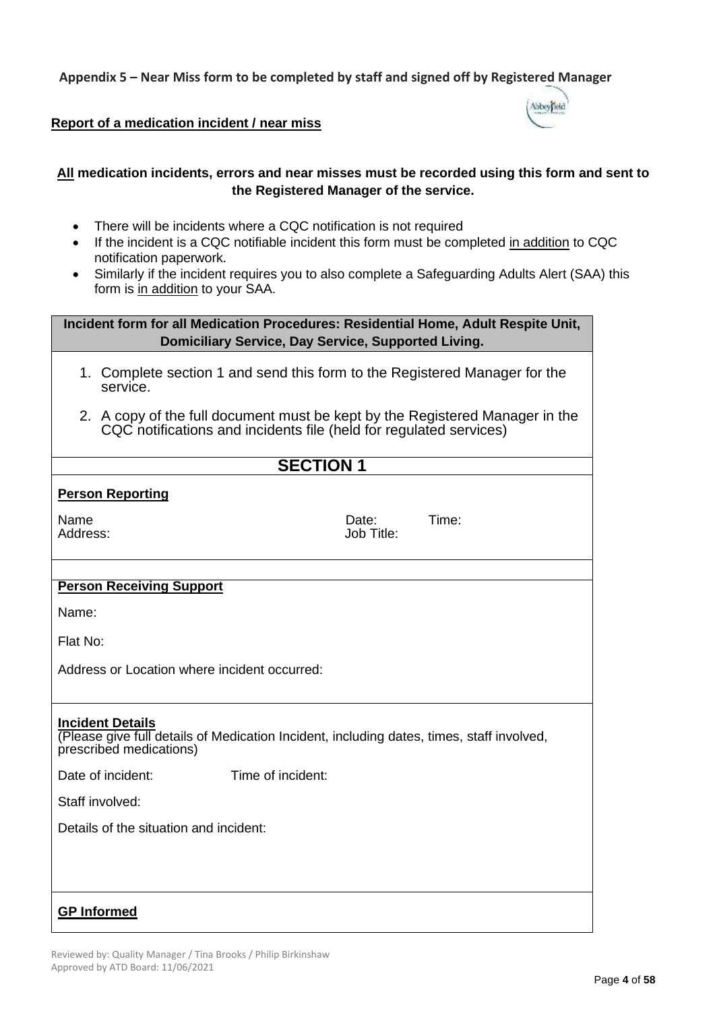**Appendix 5 – Near Miss form to be completed by staff and signed off by Registered Manager** 

## **Report of a medication incident / near miss**

### **All medication incidents, errors and near misses must be recorded using this form and sent to the Registered Manager of the service.**

- There will be incidents where a CQC notification is not required
- If the incident is a CQC notifiable incident this form must be completed in addition to CQC notification paperwork.
- Similarly if the incident requires you to also complete a Safeguarding Adults Alert (SAA) this form is in addition to your SAA.

| Incident form for all Medication Procedures: Residential Home, Adult Respite Unit,<br><b>Domiciliary Service, Day Service, Supported Living.</b>   |                     |       |  |  |
|----------------------------------------------------------------------------------------------------------------------------------------------------|---------------------|-------|--|--|
| 1. Complete section 1 and send this form to the Registered Manager for the<br>service.                                                             |                     |       |  |  |
| 2. A copy of the full document must be kept by the Registered Manager in the<br>CQC notifications and incidents file (held for regulated services) |                     |       |  |  |
| <b>SECTION 1</b>                                                                                                                                   |                     |       |  |  |
| <b>Person Reporting</b>                                                                                                                            |                     |       |  |  |
| Name<br>Address:                                                                                                                                   | Date:<br>Job Title: | Time: |  |  |
| <b>Person Receiving Support</b>                                                                                                                    |                     |       |  |  |
| Name:                                                                                                                                              |                     |       |  |  |
|                                                                                                                                                    |                     |       |  |  |
| Flat No:                                                                                                                                           |                     |       |  |  |
| Address or Location where incident occurred:                                                                                                       |                     |       |  |  |
| <b>Incident Details</b><br>(Please give full details of Medication Incident, including dates, times, staff involved,<br>prescribed medications)    |                     |       |  |  |
| Date of incident:<br>Time of incident:                                                                                                             |                     |       |  |  |
| Staff involved:                                                                                                                                    |                     |       |  |  |
| Details of the situation and incident:                                                                                                             |                     |       |  |  |
|                                                                                                                                                    |                     |       |  |  |
| <b>GP Informed</b>                                                                                                                                 |                     |       |  |  |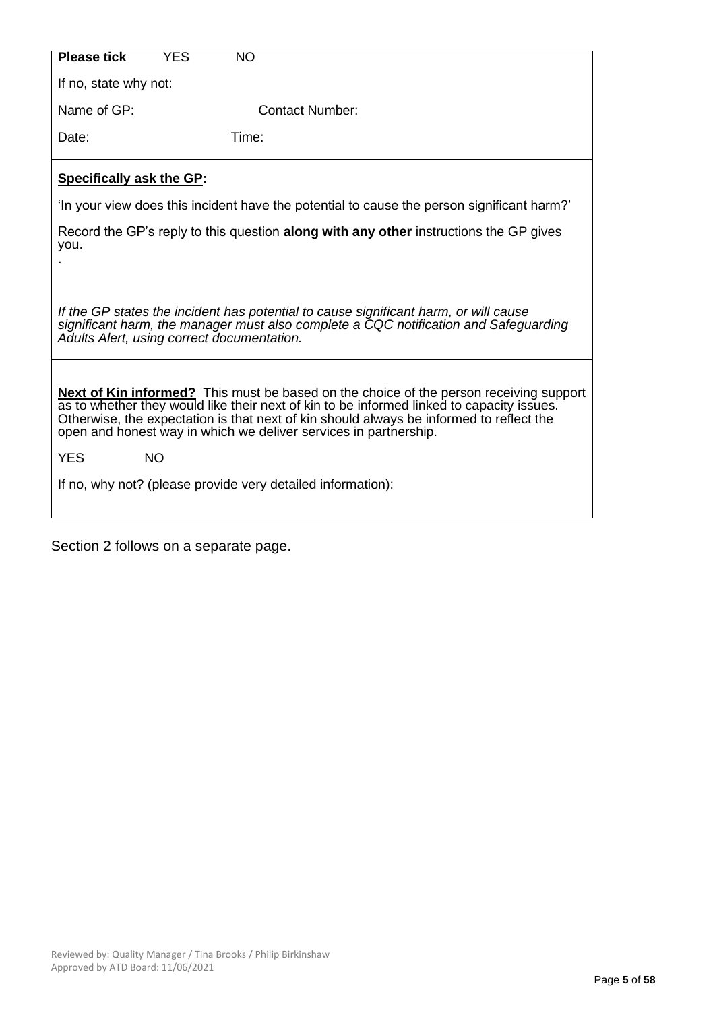| <b>Please tick</b>                                                                                                                                                                                                                                                                                                                                        | YES       | <b>NO</b>                                                                                    |  |  |
|-----------------------------------------------------------------------------------------------------------------------------------------------------------------------------------------------------------------------------------------------------------------------------------------------------------------------------------------------------------|-----------|----------------------------------------------------------------------------------------------|--|--|
| If no, state why not:                                                                                                                                                                                                                                                                                                                                     |           |                                                                                              |  |  |
| Name of GP:                                                                                                                                                                                                                                                                                                                                               |           | <b>Contact Number:</b>                                                                       |  |  |
| Date:                                                                                                                                                                                                                                                                                                                                                     |           | Time:                                                                                        |  |  |
| <b>Specifically ask the GP:</b>                                                                                                                                                                                                                                                                                                                           |           |                                                                                              |  |  |
|                                                                                                                                                                                                                                                                                                                                                           |           | 'In your view does this incident have the potential to cause the person significant harm?'   |  |  |
| you.                                                                                                                                                                                                                                                                                                                                                      |           | Record the GP's reply to this question <b>along with any other</b> instructions the GP gives |  |  |
| If the GP states the incident has potential to cause significant harm, or will cause<br>significant harm, the manager must also complete a CQC notification and Safeguarding<br>Adults Alert, using correct documentation.                                                                                                                                |           |                                                                                              |  |  |
| <b>Next of Kin informed?</b> This must be based on the choice of the person receiving support<br>as to whether they would like their next of kin to be informed linked to capacity issues.<br>Otherwise, the expectation is that next of kin should always be informed to reflect the<br>open and honest way in which we deliver services in partnership. |           |                                                                                              |  |  |
| <b>YES</b>                                                                                                                                                                                                                                                                                                                                                | <b>NO</b> |                                                                                              |  |  |
|                                                                                                                                                                                                                                                                                                                                                           |           | If no, why not? (please provide very detailed information):                                  |  |  |
|                                                                                                                                                                                                                                                                                                                                                           |           |                                                                                              |  |  |

Section 2 follows on a separate page.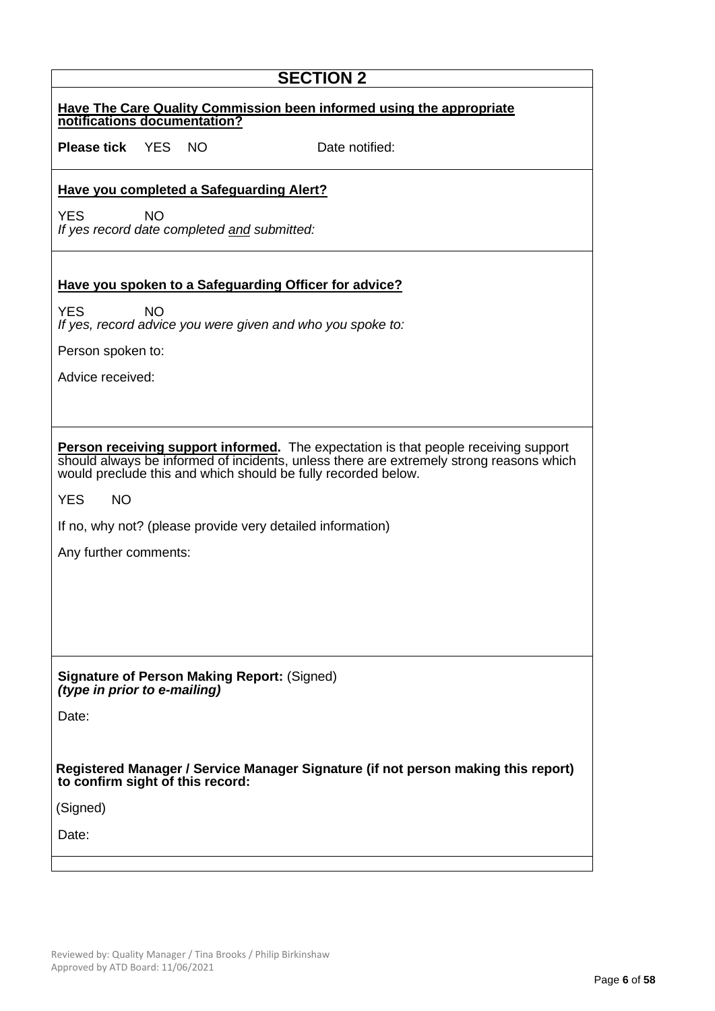| <b>SECTION 2</b>                                                                                                                                                                                                                                |  |  |  |  |
|-------------------------------------------------------------------------------------------------------------------------------------------------------------------------------------------------------------------------------------------------|--|--|--|--|
| <b>Have The Care Quality Commission been informed using the appropriate</b><br>notifications documentation?                                                                                                                                     |  |  |  |  |
| <b>Please tick</b> YES NO<br>Date notified:                                                                                                                                                                                                     |  |  |  |  |
| <b>Have you completed a Safeguarding Alert?</b>                                                                                                                                                                                                 |  |  |  |  |
| <b>YES</b><br><b>NO</b><br>If yes record date completed and submitted:                                                                                                                                                                          |  |  |  |  |
| Have you spoken to a Safeguarding Officer for advice?                                                                                                                                                                                           |  |  |  |  |
| <b>YES</b><br><b>NO</b><br>If yes, record advice you were given and who you spoke to:                                                                                                                                                           |  |  |  |  |
| Person spoken to:                                                                                                                                                                                                                               |  |  |  |  |
| Advice received:                                                                                                                                                                                                                                |  |  |  |  |
|                                                                                                                                                                                                                                                 |  |  |  |  |
| Person receiving support informed. The expectation is that people receiving support<br>should always be informed of incidents, unless there are extremely strong reasons which<br>would preclude this and which should be fully recorded below. |  |  |  |  |
| <b>YES</b><br><b>NO</b>                                                                                                                                                                                                                         |  |  |  |  |
| If no, why not? (please provide very detailed information)                                                                                                                                                                                      |  |  |  |  |
| Any further comments:                                                                                                                                                                                                                           |  |  |  |  |
|                                                                                                                                                                                                                                                 |  |  |  |  |
|                                                                                                                                                                                                                                                 |  |  |  |  |
|                                                                                                                                                                                                                                                 |  |  |  |  |
| <b>Signature of Person Making Report: (Signed)</b><br>(type in prior to e-mailing)                                                                                                                                                              |  |  |  |  |
| Date:                                                                                                                                                                                                                                           |  |  |  |  |
|                                                                                                                                                                                                                                                 |  |  |  |  |
| Registered Manager / Service Manager Signature (if not person making this report)<br>to confirm sight of this record:                                                                                                                           |  |  |  |  |
| (Signed)                                                                                                                                                                                                                                        |  |  |  |  |
| Date:                                                                                                                                                                                                                                           |  |  |  |  |
|                                                                                                                                                                                                                                                 |  |  |  |  |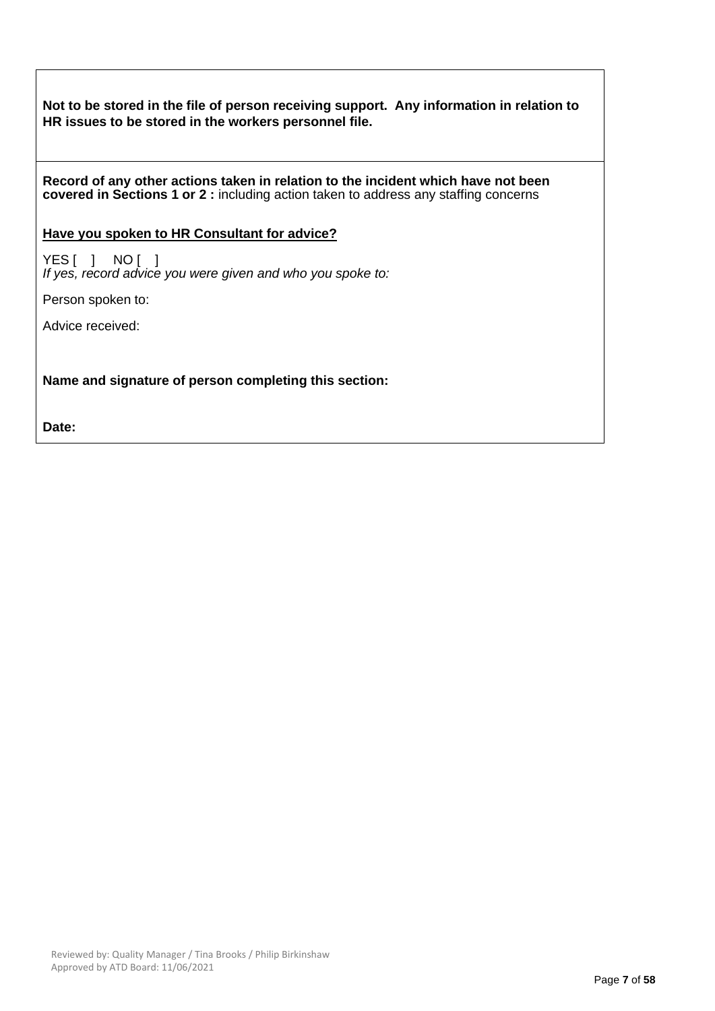**Not to be stored in the file of person receiving support. Any information in relation to HR issues to be stored in the workers personnel file.**

**Record of any other actions taken in relation to the incident which have not been covered in Sections 1 or 2 :** including action taken to address any staffing concerns

### **Have you spoken to HR Consultant for advice?**

YES [ ] NO [ ] *If yes, record advice you were given and who you spoke to:*

Person spoken to:

Advice received:

**Name and signature of person completing this section:**

**Date:**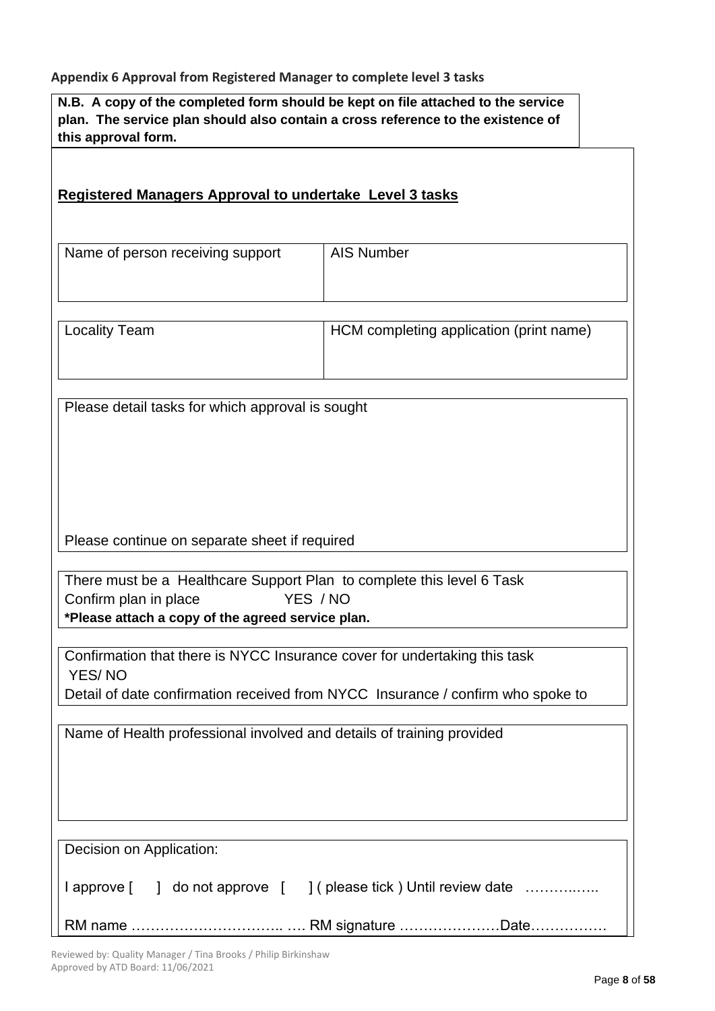### **Appendix 6 Approval from Registered Manager to complete level 3 tasks**

**N.B. A copy of the completed form should be kept on file attached to the service plan. The service plan should also contain a cross reference to the existence of this approval form.** 

| Registered Managers Approval to undertake Level 3 tasks                                                                                             |                                                                                 |  |  |  |
|-----------------------------------------------------------------------------------------------------------------------------------------------------|---------------------------------------------------------------------------------|--|--|--|
| Name of person receiving support                                                                                                                    | <b>AIS Number</b>                                                               |  |  |  |
| <b>Locality Team</b>                                                                                                                                | HCM completing application (print name)                                         |  |  |  |
| Please detail tasks for which approval is sought                                                                                                    |                                                                                 |  |  |  |
| Please continue on separate sheet if required                                                                                                       |                                                                                 |  |  |  |
| There must be a Healthcare Support Plan to complete this level 6 Task<br>Confirm plan in place<br>*Please attach a copy of the agreed service plan. | YES / NO                                                                        |  |  |  |
| Confirmation that there is NYCC Insurance cover for undertaking this task<br>YES/NO                                                                 | Detail of date confirmation received from NYCC Insurance / confirm who spoke to |  |  |  |
| Name of Health professional involved and details of training provided                                                                               |                                                                                 |  |  |  |
| Decision on Application:                                                                                                                            | I approve [ ] do not approve [ ] ( please tick ) Until review date              |  |  |  |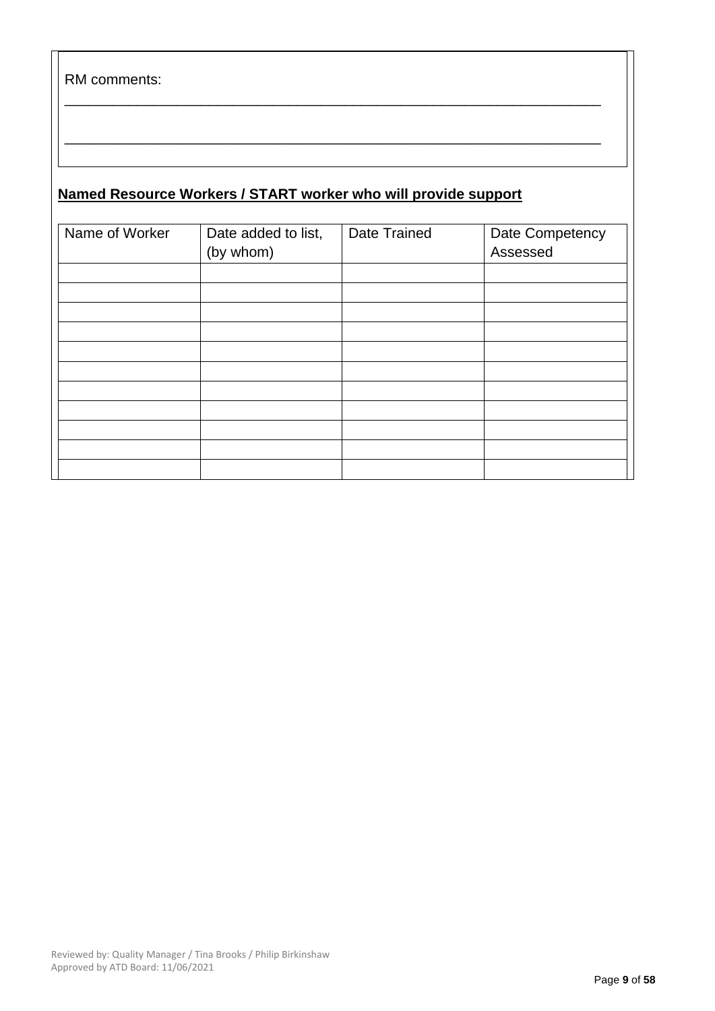RM comments:

## **Named Resource Workers / START worker who will provide support**

| Name of Worker | Date added to list,<br>(by whom) | Date Trained | Date Competency<br>Assessed |
|----------------|----------------------------------|--------------|-----------------------------|
|                |                                  |              |                             |
|                |                                  |              |                             |
|                |                                  |              |                             |
|                |                                  |              |                             |
|                |                                  |              |                             |
|                |                                  |              |                             |
|                |                                  |              |                             |
|                |                                  |              |                             |
|                |                                  |              |                             |
|                |                                  |              |                             |
|                |                                  |              |                             |

\_\_\_\_\_\_\_\_\_\_\_\_\_\_\_\_\_\_\_\_\_\_\_\_\_\_\_\_\_\_\_\_\_\_\_\_\_\_\_\_\_\_\_\_\_\_\_\_\_\_\_\_\_\_\_\_\_\_\_\_\_\_\_\_\_\_\_

\_\_\_\_\_\_\_\_\_\_\_\_\_\_\_\_\_\_\_\_\_\_\_\_\_\_\_\_\_\_\_\_\_\_\_\_\_\_\_\_\_\_\_\_\_\_\_\_\_\_\_\_\_\_\_\_\_\_\_\_\_\_\_\_\_\_\_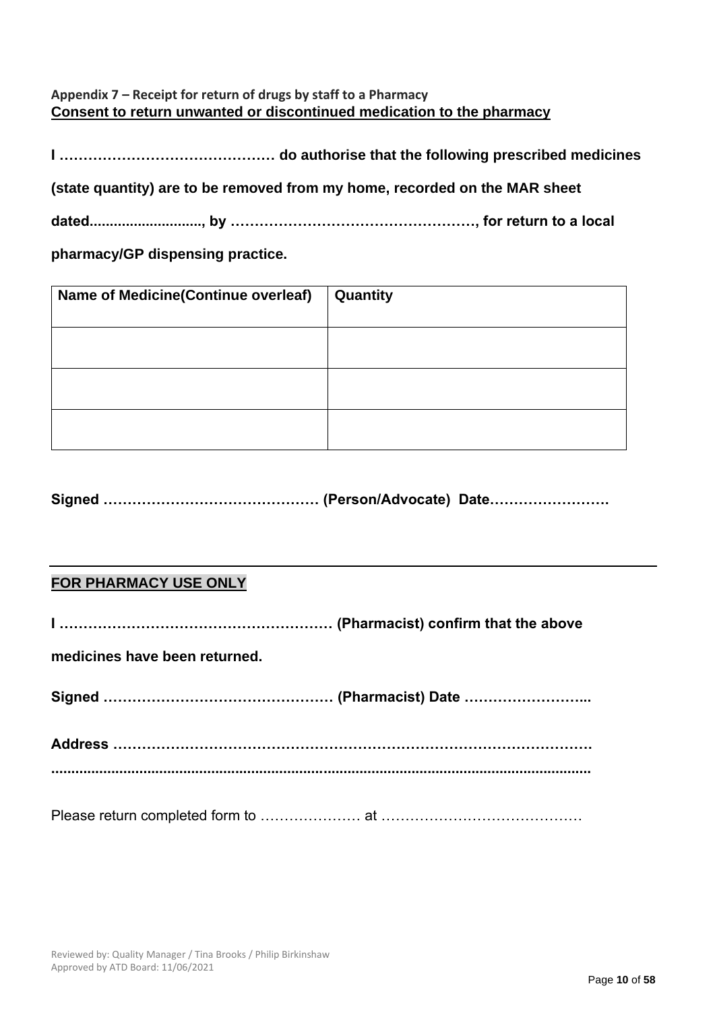## **Appendix 7 – Receipt for return of drugs by staff to a Pharmacy Consent to return unwanted or discontinued medication to the pharmacy**

**I ……………………………………… do authorise that the following prescribed medicines** 

**(state quantity) are to be removed from my home, recorded on the MAR sheet** 

**dated............................, by ……………………………………………, for return to a local** 

**pharmacy/GP dispensing practice.**

| Name of Medicine(Continue overleaf) | Quantity |
|-------------------------------------|----------|
|                                     |          |
|                                     |          |
|                                     |          |

**Signed ……………………………………… (Person/Advocate) Date…………………….**

## **FOR PHARMACY USE ONLY**

**I ………………………………………………… (Pharmacist) confirm that the above** 

**medicines have been returned.** 

**Signed ………………………………………… (Pharmacist) Date ……………………...**

**Address ………………………………………………………………………………………. .......................................................................................................................................**

Please return completed form to ………………… at ……………………………………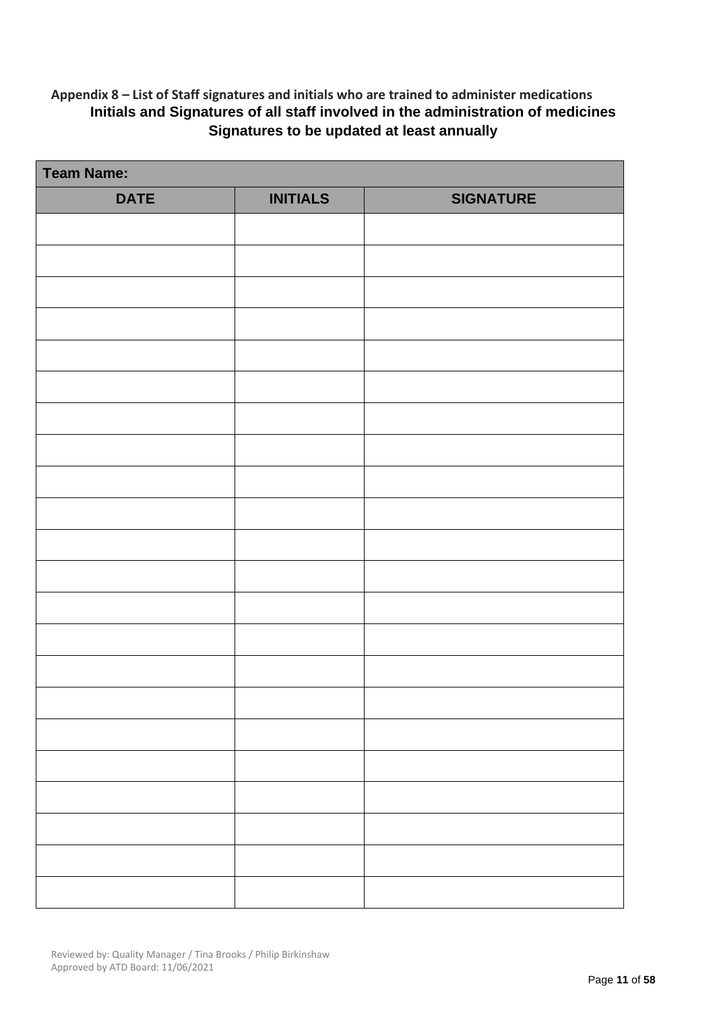## **Appendix 8 – List of Staff signatures and initials who are trained to administer medications Initials and Signatures of all staff involved in the administration of medicines Signatures to be updated at least annually**

| <b>Team Name:</b> |                 |                  |  |  |
|-------------------|-----------------|------------------|--|--|
| <b>DATE</b>       | <b>INITIALS</b> | <b>SIGNATURE</b> |  |  |
|                   |                 |                  |  |  |
|                   |                 |                  |  |  |
|                   |                 |                  |  |  |
|                   |                 |                  |  |  |
|                   |                 |                  |  |  |
|                   |                 |                  |  |  |
|                   |                 |                  |  |  |
|                   |                 |                  |  |  |
|                   |                 |                  |  |  |
|                   |                 |                  |  |  |
|                   |                 |                  |  |  |
|                   |                 |                  |  |  |
|                   |                 |                  |  |  |
|                   |                 |                  |  |  |
|                   |                 |                  |  |  |
|                   |                 |                  |  |  |
|                   |                 |                  |  |  |
|                   |                 |                  |  |  |
|                   |                 |                  |  |  |
|                   |                 |                  |  |  |
|                   |                 |                  |  |  |
|                   |                 |                  |  |  |
|                   |                 |                  |  |  |
|                   |                 |                  |  |  |
|                   |                 |                  |  |  |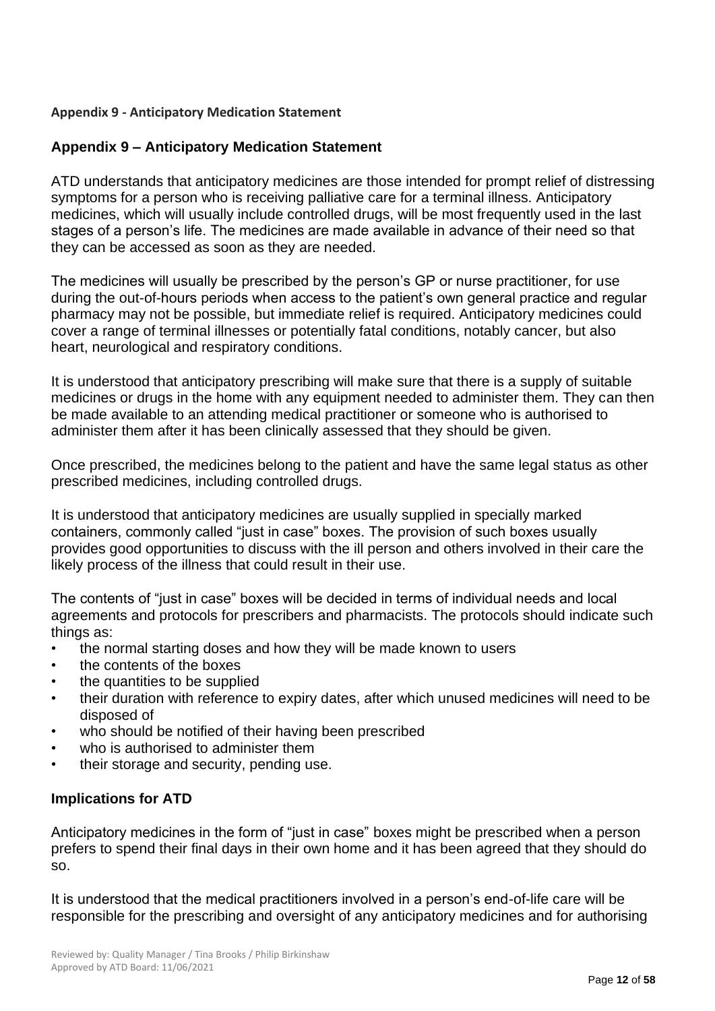## **Appendix 9 - Anticipatory Medication Statement**

## **Appendix 9 – Anticipatory Medication Statement**

ATD understands that anticipatory medicines are those intended for prompt relief of distressing symptoms for a person who is receiving palliative care for a terminal illness. Anticipatory medicines, which will usually include controlled drugs, will be most frequently used in the last stages of a person's life. The medicines are made available in advance of their need so that they can be accessed as soon as they are needed.

The medicines will usually be prescribed by the person's GP or nurse practitioner, for use during the out-of-hours periods when access to the patient's own general practice and regular pharmacy may not be possible, but immediate relief is required. Anticipatory medicines could cover a range of terminal illnesses or potentially fatal conditions, notably cancer, but also heart, neurological and respiratory conditions.

It is understood that anticipatory prescribing will make sure that there is a supply of suitable medicines or drugs in the home with any equipment needed to administer them. They can then be made available to an attending medical practitioner or someone who is authorised to administer them after it has been clinically assessed that they should be given.

Once prescribed, the medicines belong to the patient and have the same legal status as other prescribed medicines, including controlled drugs.

It is understood that anticipatory medicines are usually supplied in specially marked containers, commonly called "just in case" boxes. The provision of such boxes usually provides good opportunities to discuss with the ill person and others involved in their care the likely process of the illness that could result in their use.

The contents of "just in case" boxes will be decided in terms of individual needs and local agreements and protocols for prescribers and pharmacists. The protocols should indicate such things as:

- the normal starting doses and how they will be made known to users
- the contents of the boxes
- the quantities to be supplied
- their duration with reference to expiry dates, after which unused medicines will need to be disposed of
- who should be notified of their having been prescribed
- who is authorised to administer them
- their storage and security, pending use.

## **Implications for ATD**

Anticipatory medicines in the form of "just in case" boxes might be prescribed when a person prefers to spend their final days in their own home and it has been agreed that they should do so.

It is understood that the medical practitioners involved in a person's end-of-life care will be responsible for the prescribing and oversight of any anticipatory medicines and for authorising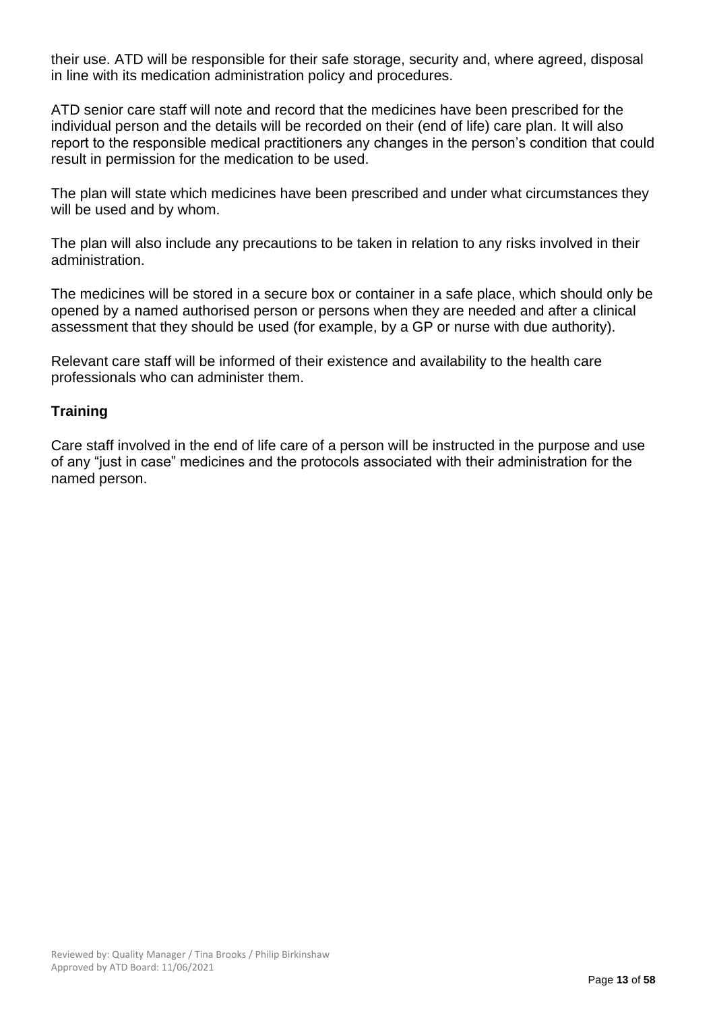their use. ATD will be responsible for their safe storage, security and, where agreed, disposal in line with its medication administration policy and procedures.

ATD senior care staff will note and record that the medicines have been prescribed for the individual person and the details will be recorded on their (end of life) care plan. It will also report to the responsible medical practitioners any changes in the person's condition that could result in permission for the medication to be used.

The plan will state which medicines have been prescribed and under what circumstances they will be used and by whom.

The plan will also include any precautions to be taken in relation to any risks involved in their administration.

The medicines will be stored in a secure box or container in a safe place, which should only be opened by a named authorised person or persons when they are needed and after a clinical assessment that they should be used (for example, by a GP or nurse with due authority).

Relevant care staff will be informed of their existence and availability to the health care professionals who can administer them.

## **Training**

Care staff involved in the end of life care of a person will be instructed in the purpose and use of any "just in case" medicines and the protocols associated with their administration for the named person.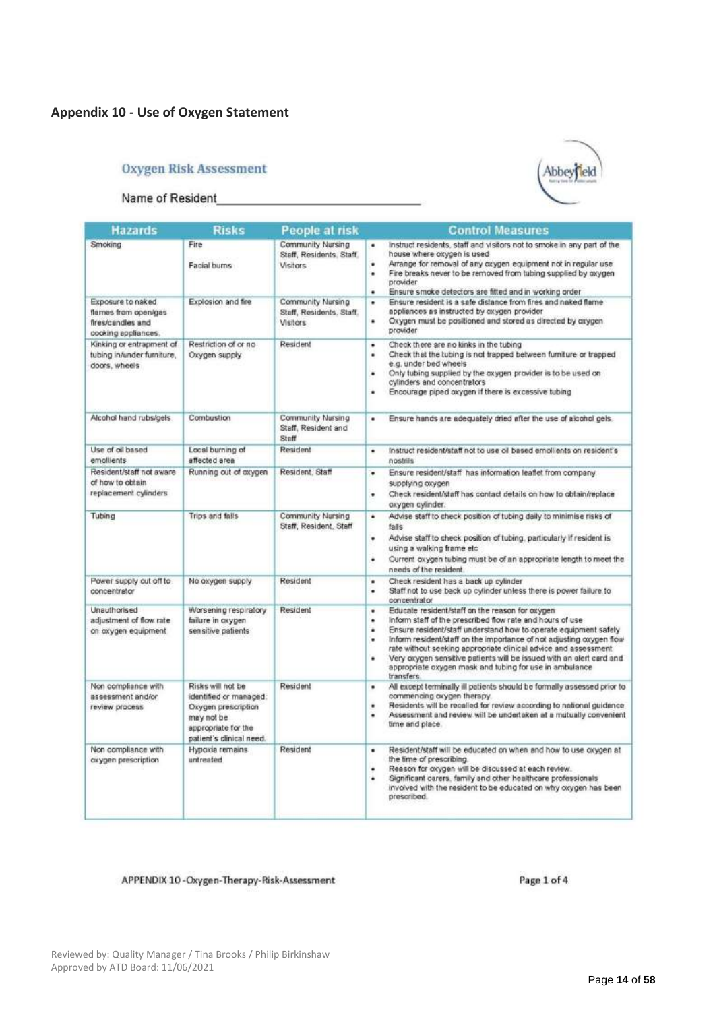### **Appendix 10 - Use of Oxygen Statement**

### **Oxygen Risk Assessment**





| <b>Hazards</b>                                                                        | <b>Risks</b>                                                                                                                        | People at risk                                                   | <b>Control Measures</b>                                                                                                                                                                                                                                                                                                                                                                                                                                                                               |  |
|---------------------------------------------------------------------------------------|-------------------------------------------------------------------------------------------------------------------------------------|------------------------------------------------------------------|-------------------------------------------------------------------------------------------------------------------------------------------------------------------------------------------------------------------------------------------------------------------------------------------------------------------------------------------------------------------------------------------------------------------------------------------------------------------------------------------------------|--|
| Smoking                                                                               | Fire<br>Facial burns                                                                                                                | Community Nursing<br>Staff, Residents, Staff,<br><b>Visitors</b> | Instruct residents, staff and visitors not to smoke in any part of the<br>٠<br>house where oxygen is used<br>Arrange for removal of any oxygen equipment not in regular use<br>Fire breaks never to be removed from tubing supplied by oxygen<br>٠<br>provider<br>Ensure smoke detectors are fitted and in working order<br>٠                                                                                                                                                                         |  |
| Exposure to naked<br>flames from open/gas<br>fires/candles and<br>cooking appliances. | Explosion and fire                                                                                                                  | Community Nursing<br>Staff, Residents, Staff,<br>Visitors        | Ensure resident is a safe distance from fires and naked flame<br>٠<br>appliances as instructed by oxygen provider<br>Oxygen must be positioned and stored as directed by oxygen<br>٠<br>provider                                                                                                                                                                                                                                                                                                      |  |
| Kinking or entrapment of<br>tubing in/under furniture.<br>doors, wheels               | Restriction of or no<br>Oxygen supply                                                                                               | Resident                                                         | Check there are no kinks in the tubing<br>٠<br>Check that the tubing is not trapped between furniture or trapped<br>٠<br>e.g. under bed wheels<br>Only tubing supplied by the oxygen provider is to be used on<br>٠<br>cylinders and concentrators<br>Encourage piped oxygen if there is excessive tubing<br>٠                                                                                                                                                                                        |  |
| Alcohol hand rubs/gels                                                                | Combustion                                                                                                                          | Community Nursing<br>Staff, Resident and<br>Steff                | Ensure hands are adequately dried after the use of alcohol gels.<br>٠                                                                                                                                                                                                                                                                                                                                                                                                                                 |  |
| Use of oil based<br>emollients                                                        | Local burning of<br>affected area                                                                                                   | Resident                                                         | Instruct resident/staff not to use oil based emollients on resident's<br>٠<br>nostrils                                                                                                                                                                                                                                                                                                                                                                                                                |  |
| Resident/staff not aware<br>of how to obtain<br>replacement cylinders                 | Running out of oxygen                                                                                                               | Resident, Staff                                                  | Ensure resident/staff has information leaflet from company.<br>٠<br>supplying oxygen<br>Check resident/staff has contact details on how to obtain/replace<br>٠<br>oxygen cylinder.                                                                                                                                                                                                                                                                                                                    |  |
| Tubing                                                                                | Trips and falls                                                                                                                     | Community Nursing<br>Staff, Resident, Staff                      | Advise staff to check position of tubing daily to minimise risks of<br>٠<br>fails<br>Advise staff to check position of tubing, particularly if resident is<br>٠<br>using a walking frame etc.<br>Current oxygen tubing must be of an appropriate length to meet the<br>٠<br>needs of the resident.                                                                                                                                                                                                    |  |
| Power supply cut off to<br>concentrator                                               | No oxygen supply                                                                                                                    | Resident                                                         | Check resident has a back up cylinder<br>٠<br>Staff not to use back up cylinder unless there is power failure to<br>٠<br>concentrator                                                                                                                                                                                                                                                                                                                                                                 |  |
| Unauthorised<br>adjustment of flow rate<br>on oxygen equipment                        | Worsening respiratory<br>failure in oxygen<br>sensitive patients                                                                    | Resident                                                         | Educate resident/staff on the reason for oxygen<br>٠<br>inform staff of the prescribed flow rate and hours of use<br>٠<br>Ensure resident/staff understand how to operate equipment safely<br>٠<br>inform resident/staff on the importance of not adjusting oxygen flow<br>٠<br>rate without seeking appropriate clinical advice and assessment<br>Very coygen sensitive patients will be issued with an alert card and<br>٠<br>appropriate oxygen mask and tubing for use in ambulance<br>transfers. |  |
| Non compliance with<br>assessment and/or<br>review process                            | Risks will not be<br>identified or managed.<br>Oxygen prescription<br>may not be<br>appropriate for the<br>patient's clinical need. | Resident                                                         | All except terminally ill patients should be formally assessed prior to<br>٠<br>commencing oxygen therapy.<br>Residents will be recalled for review according to national guidance<br>٠<br>Assessment and review will be undertaken at a mutually convenient<br>٠<br>time and place.                                                                                                                                                                                                                  |  |
| Non compliance with<br>axypen prescription                                            | Hypoxia remains<br>untreated                                                                                                        | Resident                                                         | Resident/staff will be educated on when and how to use oxygen at<br>٠<br>the time of prescribing.<br>Reason for oxygen will be discussed at each review.<br>٠<br>Significant carers, family and other healthcare professionals<br>٠<br>involved with the resident to be educated on why oxygen has been<br>prescribed.                                                                                                                                                                                |  |

#### APPENDIX 10 - Oxygen-Therapy-Risk-Assessment

Page 1 of 4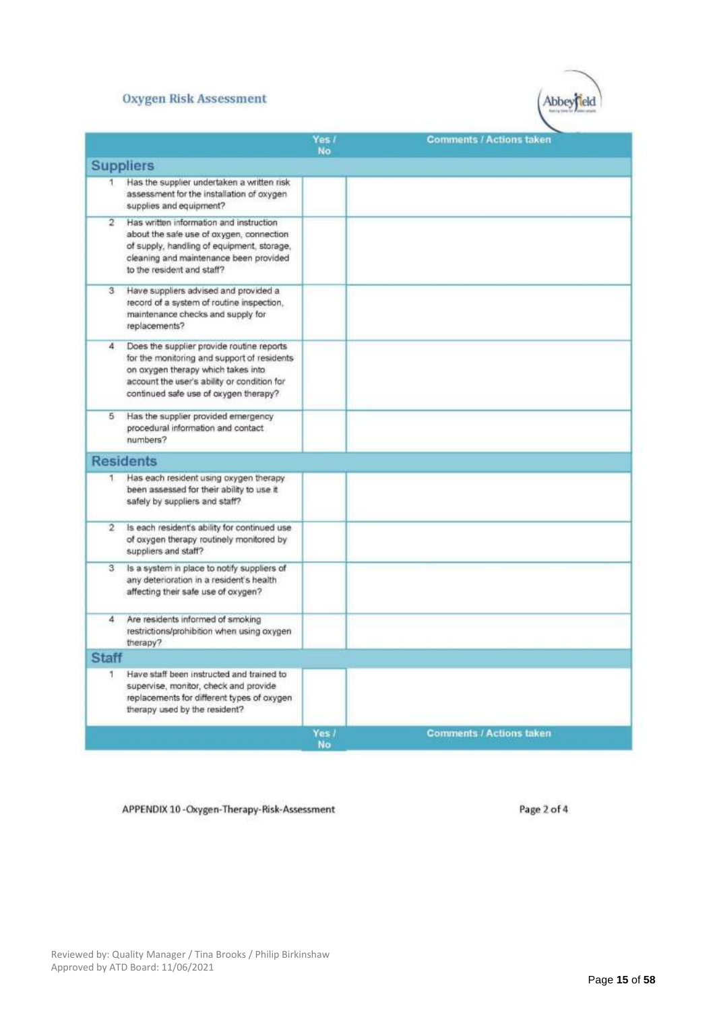#### **Oxygen Risk Assessment**



|                |                                                                                                                                                                                                                        | Yes /<br>No | <b>Comments / Actions taken</b> |
|----------------|------------------------------------------------------------------------------------------------------------------------------------------------------------------------------------------------------------------------|-------------|---------------------------------|
|                | <b>Suppliers</b>                                                                                                                                                                                                       |             |                                 |
| 1.             | Has the supplier undertaken a written risk<br>assessment for the installation of oxygen<br>supplies and equipment?                                                                                                     |             |                                 |
| 2              | Has written information and instruction<br>about the safe use of oxygen, connection<br>of supply, handling of equipment, storage,<br>cleaning and maintenance been provided<br>to the resident and staff?              |             |                                 |
| 3              | Have suppliers advised and provided a<br>record of a system of routine inspection,<br>maintenance checks and supply for<br>replacements?                                                                               |             |                                 |
| 4              | Does the supplier provide routine reports<br>for the monitoring and support of residents<br>on oxygen therapy which takes into<br>account the user's ability or condition for<br>continued safe use of oxygen therapy? |             |                                 |
| 5              | Has the supplier provided emergency<br>procedural information and contact<br>numbers?                                                                                                                                  |             |                                 |
|                | <b>Residents</b>                                                                                                                                                                                                       |             |                                 |
| 1.             | Has each resident using oxygen therapy<br>been assessed for their ability to use it<br>safely by suppliers and staff?                                                                                                  |             |                                 |
| $\overline{2}$ | Is each resident's ability for continued use<br>of oxygen therapy routinely monitored by<br>suppliers and staff?                                                                                                       |             |                                 |
| З.             | Is a system in place to notify suppliers of<br>any deterioration in a resident's health<br>affecting their safe use of oxygen?                                                                                         |             |                                 |
| 4              | Are residents informed of smoking<br>restrictions/prohibition when using oxygen<br>therapy?                                                                                                                            |             |                                 |
| <b>Staff</b>   |                                                                                                                                                                                                                        |             |                                 |
| 1.             | Have staff been instructed and trained to<br>supervise, monitor, check and provide<br>replacements for different types of oxygen<br>therapy used by the resident?                                                      |             |                                 |
|                |                                                                                                                                                                                                                        | Yes /<br>No | <b>Comments / Actions taken</b> |

APPENDIX 10-Oxygen-Therapy-Risk-Assessment

Page 2 of 4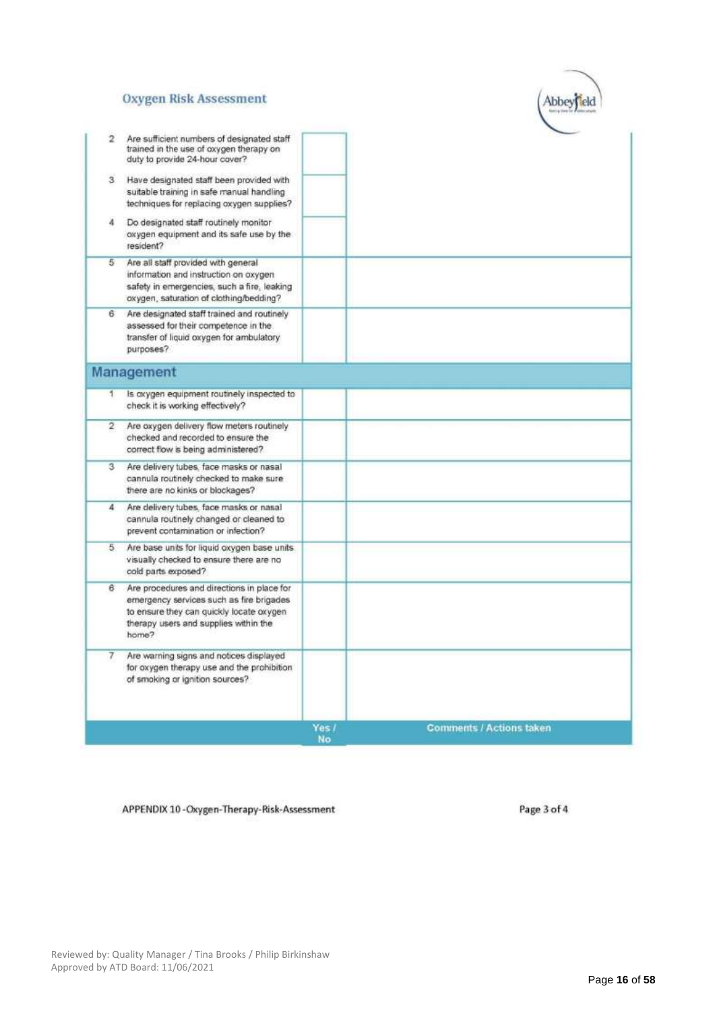#### **Oxygen Risk Assessment**



| Are sufficient numbers of designated staff<br>2<br>trained in the use of oxygen therapy on<br>duty to provide 24-hour cover?                                                              |             |                                 |
|-------------------------------------------------------------------------------------------------------------------------------------------------------------------------------------------|-------------|---------------------------------|
| Have designated staff been provided with<br>3<br>suitable training in safe manual handling<br>techniques for replacing oxygen supplies?                                                   |             |                                 |
| Do designated staff routinely monitor<br>4<br>oxygen equipment and its safe use by the<br>resident?                                                                                       |             |                                 |
| Are all staff provided with general<br>5<br>information and instruction on oxygen<br>safety in emergencies, such a fire, leaking<br>oxygen, saturation of clothing/bedding?               |             |                                 |
| Are designated staff trained and routinely<br>6.<br>assessed for their competence in the<br>transfer of liquid oxygen for ambulatory<br>purposes?                                         |             |                                 |
| Management                                                                                                                                                                                |             |                                 |
| Is oxygen equipment routinely inspected to<br>1<br>check it is working effectively?                                                                                                       |             |                                 |
| $\overline{2}$<br>Are oxygen delivery flow meters routinely<br>checked and recorded to ensure the<br>correct flow is being administered?                                                  |             |                                 |
| Are delivery tubes, face masks or nasal<br>3<br>cannula routinely checked to make sure<br>there are no kinks or blockages?                                                                |             |                                 |
| Are delivery tubes, face masks or nasal<br>4<br>cannula routinely changed or cleaned to<br>prevent contamination or infection?                                                            |             |                                 |
| 5.<br>Are base units for liquid oxygen base units<br>visually checked to ensure there are no<br>cold parts exposed?                                                                       |             |                                 |
| 6<br>Are procedures and directions in place for<br>emergency services such as fire brigades<br>to ensure they can quickly locate oxygen<br>therapy users and supplies within the<br>home? |             |                                 |
| Are warning signs and notices displayed<br>7<br>for oxygen therapy use and the prohibition<br>of smoking or ignition sources?                                                             |             |                                 |
|                                                                                                                                                                                           | Yes /<br>No | <b>Comments / Actions taken</b> |

APPENDIX 10-Oxygen-Therapy-Risk-Assessment

Page 3 of 4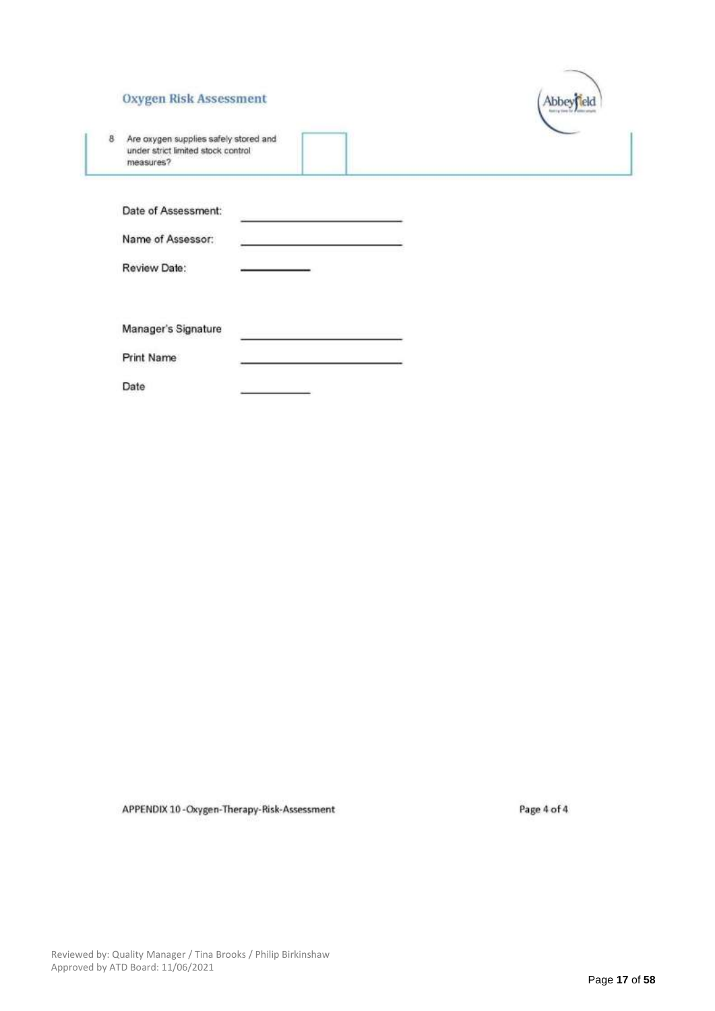#### **Oxygen Risk Assessment**



8 Are oxygen supplies safely stored and<br>under strict limited stock control measures?

| Date of Assessment: |  |
|---------------------|--|
| Name of Assessor:   |  |
| Review Date:        |  |
|                     |  |

Manager's Signature

Print Name

Date

APPENDIX 10-Oxygen-Therapy-Risk-Assessment

Page 4 of 4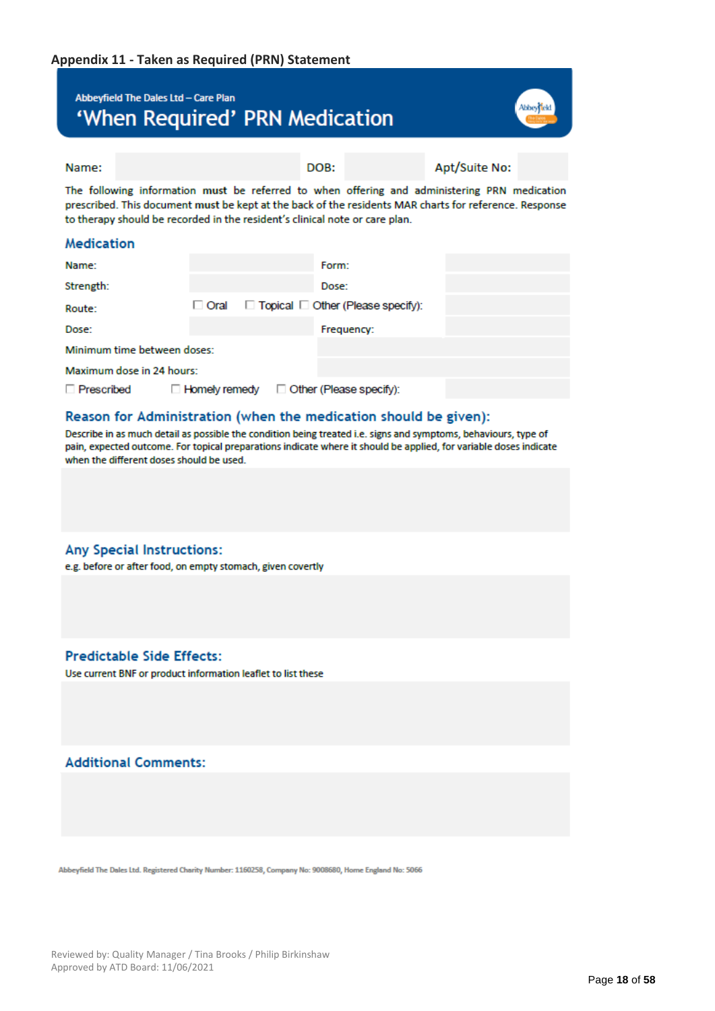## Abbeyfield The Dales Ltd - Care Plan 'When Required' PRN Medication



Apt/Suite No:

Name:

The following information must be referred to when offering and administering PRN medication prescribed. This document must be kept at the back of the residents MAR charts for reference. Response to therapy should be recorded in the resident's clinical note or care plan.

DOB:

### Medication

| Name:                       |                 |  | Form:                                         |  |
|-----------------------------|-----------------|--|-----------------------------------------------|--|
| Strength:                   |                 |  | Dose:                                         |  |
| Route:                      | $\Box$ Oral     |  | $\Box$ Topical $\Box$ Other (Please specify): |  |
| Dose:                       |                 |  | Frequency:                                    |  |
| Minimum time between doses: |                 |  |                                               |  |
| Maximum dose in 24 hours:   |                 |  |                                               |  |
| □ Prescribed                | □ Homely remedy |  | $\Box$ Other (Please specify):                |  |

### Reason for Administration (when the medication should be given):

Describe in as much detail as possible the condition being treated i.e. signs and symptoms, behaviours, type of pain, expected outcome. For topical preparations indicate where it should be applied, for variable doses indicate when the different doses should be used.

### **Any Special Instructions:**

e.g. before or after food, on empty stomach, given covertly

### **Predictable Side Effects:**

Use current BNF or product information leaflet to list these

### **Additional Comments:**

Abbeyfield The Dales Ltd. Registered Charity Number: 1160258, Company No: 9008680, Home England No: 5066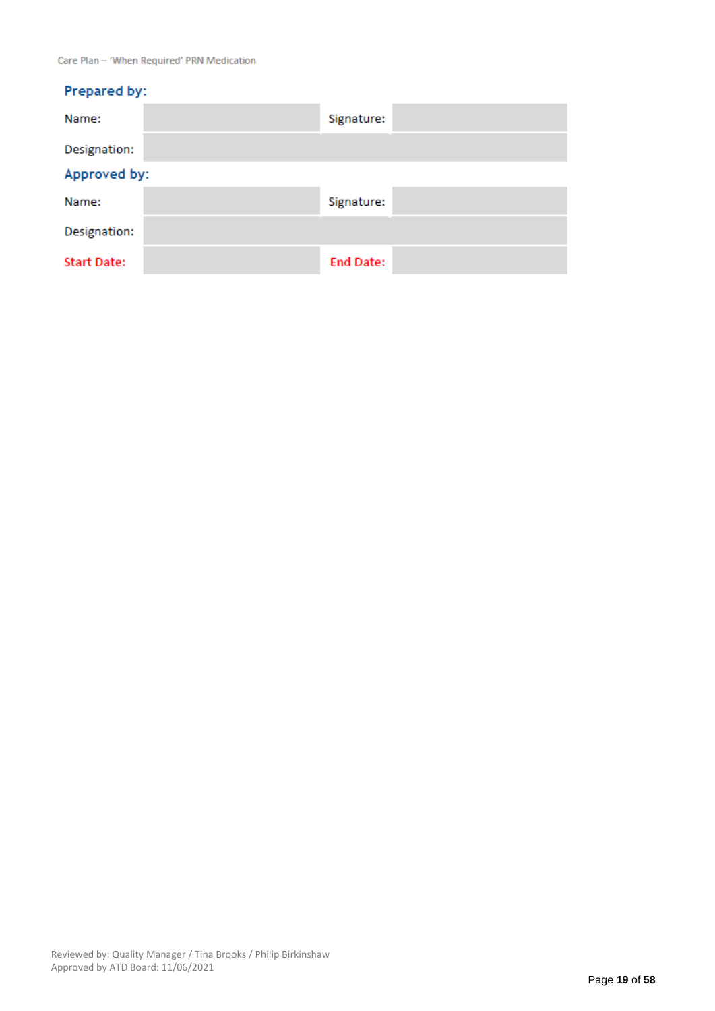| Prepared by:       |                  |  |  |  |
|--------------------|------------------|--|--|--|
| Name:              | Signature:       |  |  |  |
| Designation:       |                  |  |  |  |
| Approved by:       |                  |  |  |  |
| Name:              | Signature:       |  |  |  |
| Designation:       |                  |  |  |  |
| <b>Start Date:</b> | <b>End Date:</b> |  |  |  |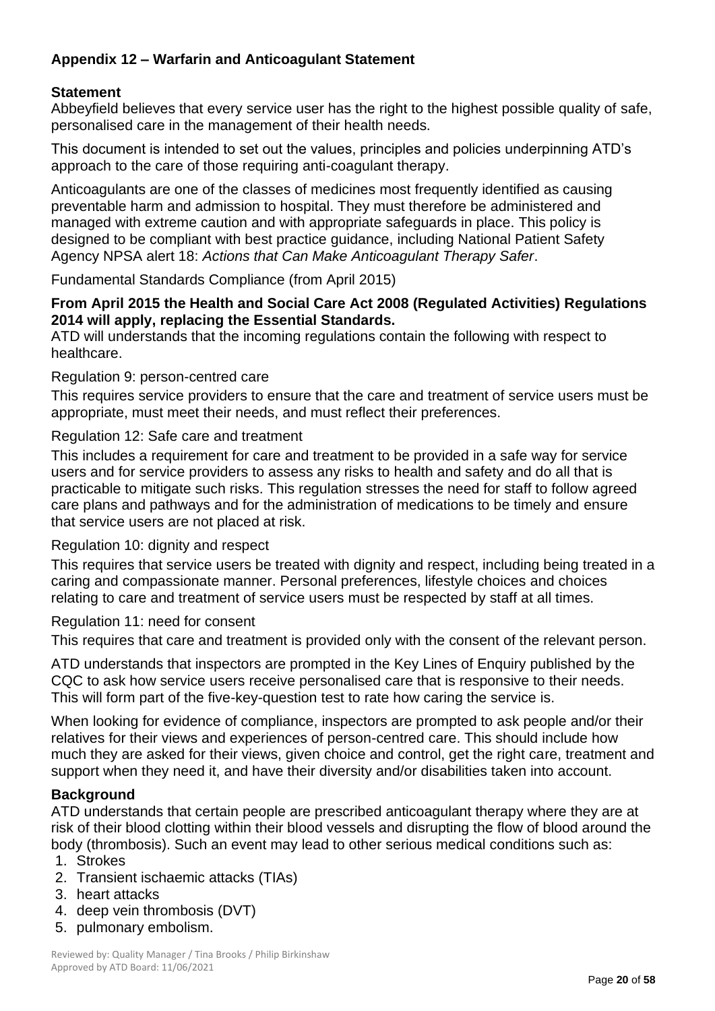## **Appendix 12 – Warfarin and Anticoagulant Statement**

## **Statement**

Abbeyfield believes that every service user has the right to the highest possible quality of safe, personalised care in the management of their health needs.

This document is intended to set out the values, principles and policies underpinning ATD's approach to the care of those requiring anti-coagulant therapy.

Anticoagulants are one of the classes of medicines most frequently identified as causing preventable harm and admission to hospital. They must therefore be administered and managed with extreme caution and with appropriate safeguards in place. This policy is designed to be compliant with best practice guidance, including National Patient Safety Agency NPSA alert 18: *Actions that Can Make Anticoagulant Therapy Safer*.

Fundamental Standards Compliance (from April 2015)

## **From April 2015 the Health and Social Care Act 2008 (Regulated Activities) Regulations 2014 will apply, replacing the Essential Standards.**

ATD will understands that the incoming regulations contain the following with respect to healthcare.

### Regulation 9: person-centred care

This requires service providers to ensure that the care and treatment of service users must be appropriate, must meet their needs, and must reflect their preferences.

### Regulation 12: Safe care and treatment

This includes a requirement for care and treatment to be provided in a safe way for service users and for service providers to assess any risks to health and safety and do all that is practicable to mitigate such risks. This regulation stresses the need for staff to follow agreed care plans and pathways and for the administration of medications to be timely and ensure that service users are not placed at risk.

### Regulation 10: dignity and respect

This requires that service users be treated with dignity and respect, including being treated in a caring and compassionate manner. Personal preferences, lifestyle choices and choices relating to care and treatment of service users must be respected by staff at all times.

## Regulation 11: need for consent

This requires that care and treatment is provided only with the consent of the relevant person.

ATD understands that inspectors are prompted in the Key Lines of Enquiry published by the CQC to ask how service users receive personalised care that is responsive to their needs. This will form part of the five-key-question test to rate how caring the service is.

When looking for evidence of compliance, inspectors are prompted to ask people and/or their relatives for their views and experiences of person-centred care. This should include how much they are asked for their views, given choice and control, get the right care, treatment and support when they need it, and have their diversity and/or disabilities taken into account.

### **Background**

ATD understands that certain people are prescribed anticoagulant therapy where they are at risk of their blood clotting within their blood vessels and disrupting the flow of blood around the body (thrombosis). Such an event may lead to other serious medical conditions such as:

- 1. Strokes
- 2. Transient ischaemic attacks (TIAs)
- 3. heart attacks
- 4. deep vein thrombosis (DVT)
- 5. pulmonary embolism.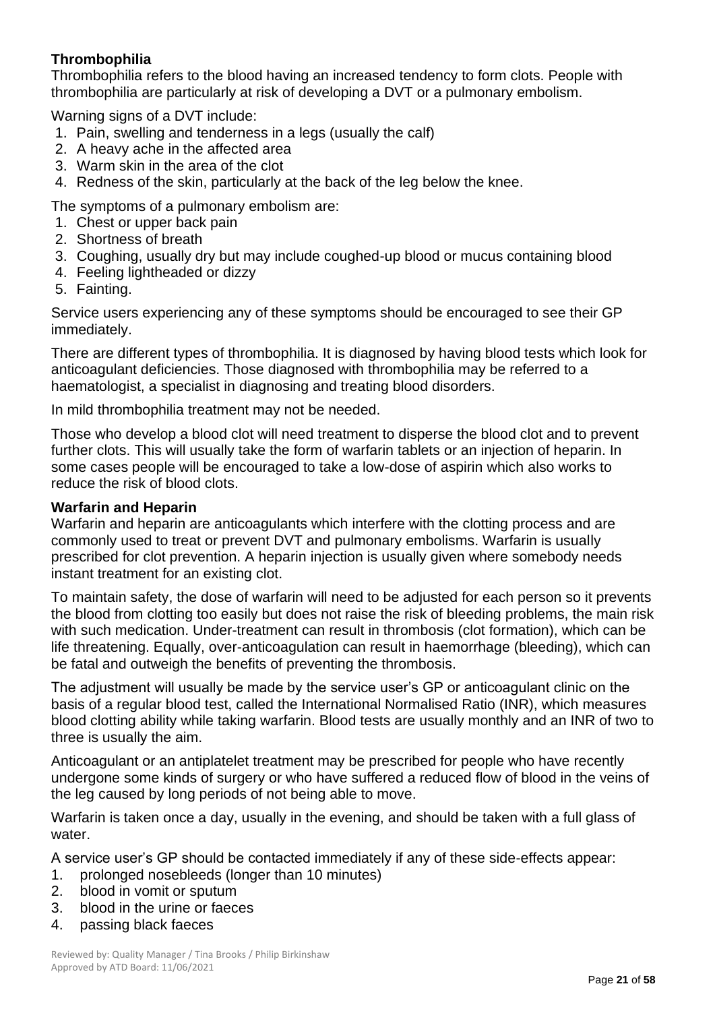## **Thrombophilia**

Thrombophilia refers to the blood having an increased tendency to form clots. People with thrombophilia are particularly at risk of developing a DVT or a pulmonary embolism.

Warning signs of a DVT include:

- 1. Pain, swelling and tenderness in a legs (usually the calf)
- 2. A heavy ache in the affected area
- 3. Warm skin in the area of the clot
- 4. Redness of the skin, particularly at the back of the leg below the knee.

The symptoms of a pulmonary embolism are:

- 1. Chest or upper back pain
- 2. Shortness of breath
- 3. Coughing, usually dry but may include coughed-up blood or mucus containing blood
- 4. Feeling lightheaded or dizzy
- 5. Fainting.

Service users experiencing any of these symptoms should be encouraged to see their GP immediately.

There are different types of thrombophilia. It is diagnosed by having blood tests which look for anticoagulant deficiencies. Those diagnosed with thrombophilia may be referred to a haematologist, a specialist in diagnosing and treating blood disorders.

In mild thrombophilia treatment may not be needed.

Those who develop a blood clot will need treatment to disperse the blood clot and to prevent further clots. This will usually take the form of warfarin tablets or an injection of heparin. In some cases people will be encouraged to take a low-dose of aspirin which also works to reduce the risk of blood clots.

### **Warfarin and Heparin**

Warfarin and heparin are anticoagulants which interfere with the clotting process and are commonly used to treat or prevent DVT and pulmonary embolisms. Warfarin is usually prescribed for clot prevention. A heparin injection is usually given where somebody needs instant treatment for an existing clot.

To maintain safety, the dose of warfarin will need to be adjusted for each person so it prevents the blood from clotting too easily but does not raise the risk of bleeding problems, the main risk with such medication. Under-treatment can result in thrombosis (clot formation), which can be life threatening. Equally, over-anticoagulation can result in haemorrhage (bleeding), which can be fatal and outweigh the benefits of preventing the thrombosis.

The adjustment will usually be made by the service user's GP or anticoagulant clinic on the basis of a regular blood test, called the International Normalised Ratio (INR), which measures blood clotting ability while taking warfarin. Blood tests are usually monthly and an INR of two to three is usually the aim.

Anticoagulant or an antiplatelet treatment may be prescribed for people who have recently undergone some kinds of surgery or who have suffered a reduced flow of blood in the veins of the leg caused by long periods of not being able to move.

Warfarin is taken once a day, usually in the evening, and should be taken with a full glass of water.

A service user's GP should be contacted immediately if any of these side-effects appear:

- 1. prolonged nosebleeds (longer than 10 minutes)
- 2. blood in vomit or sputum
- 3. blood in the urine or faeces
- 4. passing black faeces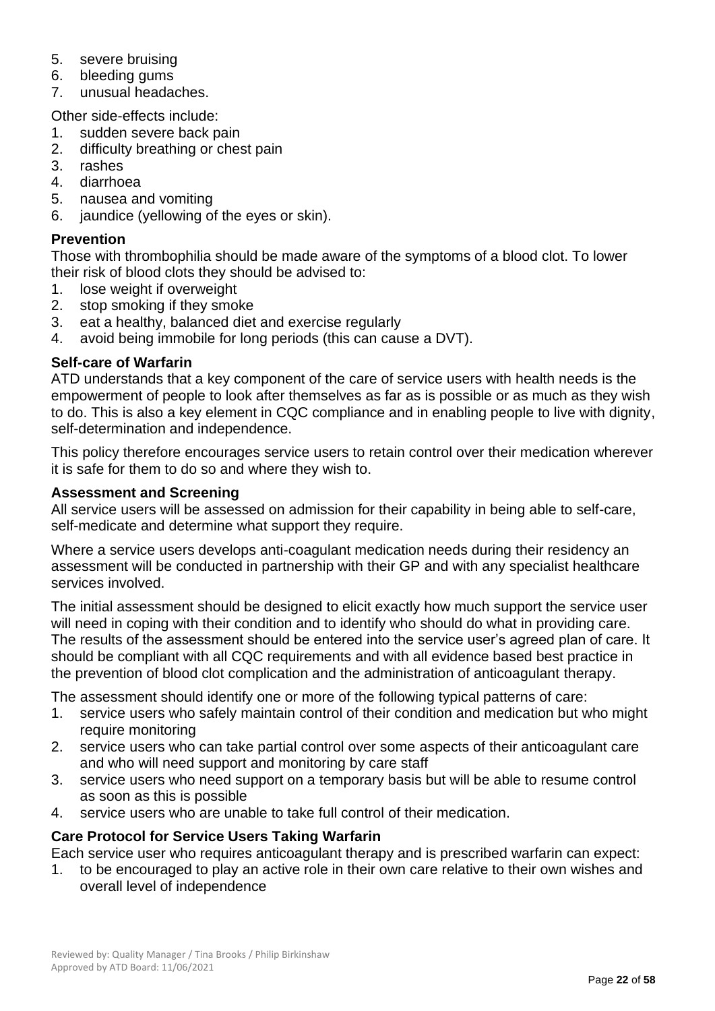- 5. severe bruising
- 6. bleeding gums
- 7. unusual headaches.

Other side-effects include:

- 1. sudden severe back pain
- 2. difficulty breathing or chest pain
- 3. rashes
- 4. diarrhoea
- 5. nausea and vomiting
- 6. jaundice (yellowing of the eyes or skin).

## **Prevention**

Those with thrombophilia should be made aware of the symptoms of a blood clot. To lower their risk of blood clots they should be advised to:

- 1. lose weight if overweight
- 2. stop smoking if they smoke
- 3. eat a healthy, balanced diet and exercise regularly
- 4. avoid being immobile for long periods (this can cause a DVT).

## **Self-care of Warfarin**

ATD understands that a key component of the care of service users with health needs is the empowerment of people to look after themselves as far as is possible or as much as they wish to do. This is also a key element in CQC compliance and in enabling people to live with dignity, self-determination and independence.

This policy therefore encourages service users to retain control over their medication wherever it is safe for them to do so and where they wish to.

## **Assessment and Screening**

All service users will be assessed on admission for their capability in being able to self-care, self-medicate and determine what support they require.

Where a service users develops anti-coagulant medication needs during their residency an assessment will be conducted in partnership with their GP and with any specialist healthcare services involved.

The initial assessment should be designed to elicit exactly how much support the service user will need in coping with their condition and to identify who should do what in providing care. The results of the assessment should be entered into the service user's agreed plan of care. It should be compliant with all CQC requirements and with all evidence based best practice in the prevention of blood clot complication and the administration of anticoagulant therapy.

The assessment should identify one or more of the following typical patterns of care:

- 1. service users who safely maintain control of their condition and medication but who might require monitoring
- 2. service users who can take partial control over some aspects of their anticoagulant care and who will need support and monitoring by care staff
- 3. service users who need support on a temporary basis but will be able to resume control as soon as this is possible
- 4. service users who are unable to take full control of their medication.

## **Care Protocol for Service Users Taking Warfarin**

Each service user who requires anticoagulant therapy and is prescribed warfarin can expect:

1. to be encouraged to play an active role in their own care relative to their own wishes and overall level of independence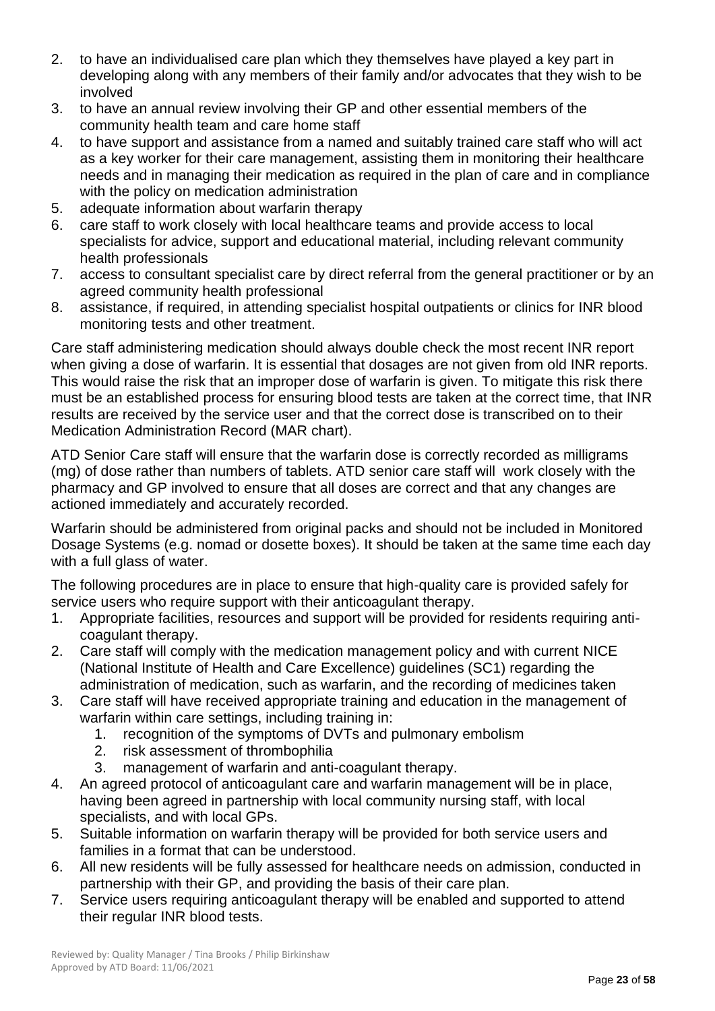- 2. to have an individualised care plan which they themselves have played a key part in developing along with any members of their family and/or advocates that they wish to be involved
- 3. to have an annual review involving their GP and other essential members of the community health team and care home staff
- 4. to have support and assistance from a named and suitably trained care staff who will act as a key worker for their care management, assisting them in monitoring their healthcare needs and in managing their medication as required in the plan of care and in compliance with the policy on medication administration
- 5. adequate information about warfarin therapy
- 6. care staff to work closely with local healthcare teams and provide access to local specialists for advice, support and educational material, including relevant community health professionals
- 7. access to consultant specialist care by direct referral from the general practitioner or by an agreed community health professional
- 8. assistance, if required, in attending specialist hospital outpatients or clinics for INR blood monitoring tests and other treatment.

Care staff administering medication should always double check the most recent INR report when giving a dose of warfarin. It is essential that dosages are not given from old INR reports. This would raise the risk that an improper dose of warfarin is given. To mitigate this risk there must be an established process for ensuring blood tests are taken at the correct time, that INR results are received by the service user and that the correct dose is transcribed on to their Medication Administration Record (MAR chart).

ATD Senior Care staff will ensure that the warfarin dose is correctly recorded as milligrams (mg) of dose rather than numbers of tablets. ATD senior care staff will work closely with the pharmacy and GP involved to ensure that all doses are correct and that any changes are actioned immediately and accurately recorded.

Warfarin should be administered from original packs and should not be included in Monitored Dosage Systems (e.g. nomad or dosette boxes). It should be taken at the same time each day with a full glass of water.

The following procedures are in place to ensure that high-quality care is provided safely for service users who require support with their anticoagulant therapy.

- 1. Appropriate facilities, resources and support will be provided for residents requiring anticoagulant therapy.
- 2. Care staff will comply with the medication management policy and with current NICE (National Institute of Health and Care Excellence) guidelines (SC1) regarding the administration of medication, such as warfarin, and the recording of medicines taken
- 3. Care staff will have received appropriate training and education in the management of warfarin within care settings, including training in:
	- 1. recognition of the symptoms of DVTs and pulmonary embolism
	- 2. risk assessment of thrombophilia
	- 3. management of warfarin and anti-coagulant therapy.
- 4. An agreed protocol of anticoagulant care and warfarin management will be in place, having been agreed in partnership with local community nursing staff, with local specialists, and with local GPs.
- 5. Suitable information on warfarin therapy will be provided for both service users and families in a format that can be understood.
- 6. All new residents will be fully assessed for healthcare needs on admission, conducted in partnership with their GP, and providing the basis of their care plan.
- 7. Service users requiring anticoagulant therapy will be enabled and supported to attend their regular INR blood tests.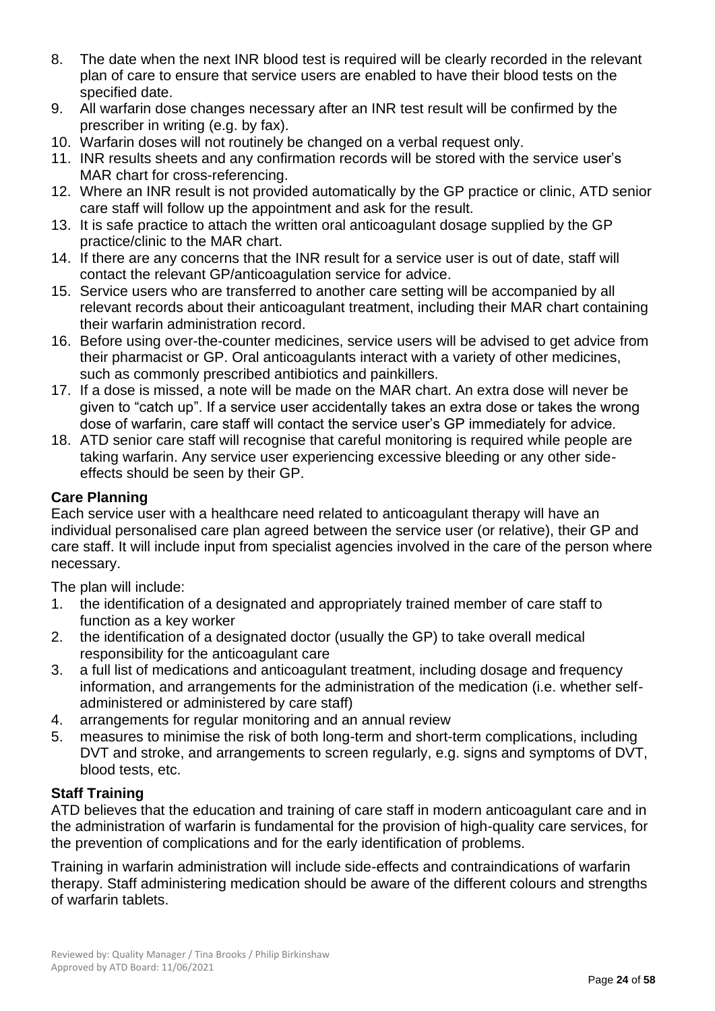- 8. The date when the next INR blood test is required will be clearly recorded in the relevant plan of care to ensure that service users are enabled to have their blood tests on the specified date.
- 9. All warfarin dose changes necessary after an INR test result will be confirmed by the prescriber in writing (e.g. by fax).
- 10. Warfarin doses will not routinely be changed on a verbal request only.
- 11. INR results sheets and any confirmation records will be stored with the service user's MAR chart for cross-referencing.
- 12. Where an INR result is not provided automatically by the GP practice or clinic, ATD senior care staff will follow up the appointment and ask for the result.
- 13. It is safe practice to attach the written oral anticoagulant dosage supplied by the GP practice/clinic to the MAR chart.
- 14. If there are any concerns that the INR result for a service user is out of date, staff will contact the relevant GP/anticoagulation service for advice.
- 15. Service users who are transferred to another care setting will be accompanied by all relevant records about their anticoagulant treatment, including their MAR chart containing their warfarin administration record.
- 16. Before using over-the-counter medicines, service users will be advised to get advice from their pharmacist or GP. Oral anticoagulants interact with a variety of other medicines, such as commonly prescribed antibiotics and painkillers.
- 17. If a dose is missed, a note will be made on the MAR chart. An extra dose will never be given to "catch up". If a service user accidentally takes an extra dose or takes the wrong dose of warfarin, care staff will contact the service user's GP immediately for advice.
- 18. ATD senior care staff will recognise that careful monitoring is required while people are taking warfarin. Any service user experiencing excessive bleeding or any other sideeffects should be seen by their GP.

## **Care Planning**

Each service user with a healthcare need related to anticoagulant therapy will have an individual personalised care plan agreed between the service user (or relative), their GP and care staff. It will include input from specialist agencies involved in the care of the person where necessary.

The plan will include:

- 1. the identification of a designated and appropriately trained member of care staff to function as a key worker
- 2. the identification of a designated doctor (usually the GP) to take overall medical responsibility for the anticoagulant care
- 3. a full list of medications and anticoagulant treatment, including dosage and frequency information, and arrangements for the administration of the medication (i.e. whether selfadministered or administered by care staff)
- 4. arrangements for regular monitoring and an annual review
- 5. measures to minimise the risk of both long-term and short-term complications, including DVT and stroke, and arrangements to screen regularly, e.g. signs and symptoms of DVT, blood tests, etc.

## **Staff Training**

ATD believes that the education and training of care staff in modern anticoagulant care and in the administration of warfarin is fundamental for the provision of high-quality care services, for the prevention of complications and for the early identification of problems.

Training in warfarin administration will include side-effects and contraindications of warfarin therapy. Staff administering medication should be aware of the different colours and strengths of warfarin tablets.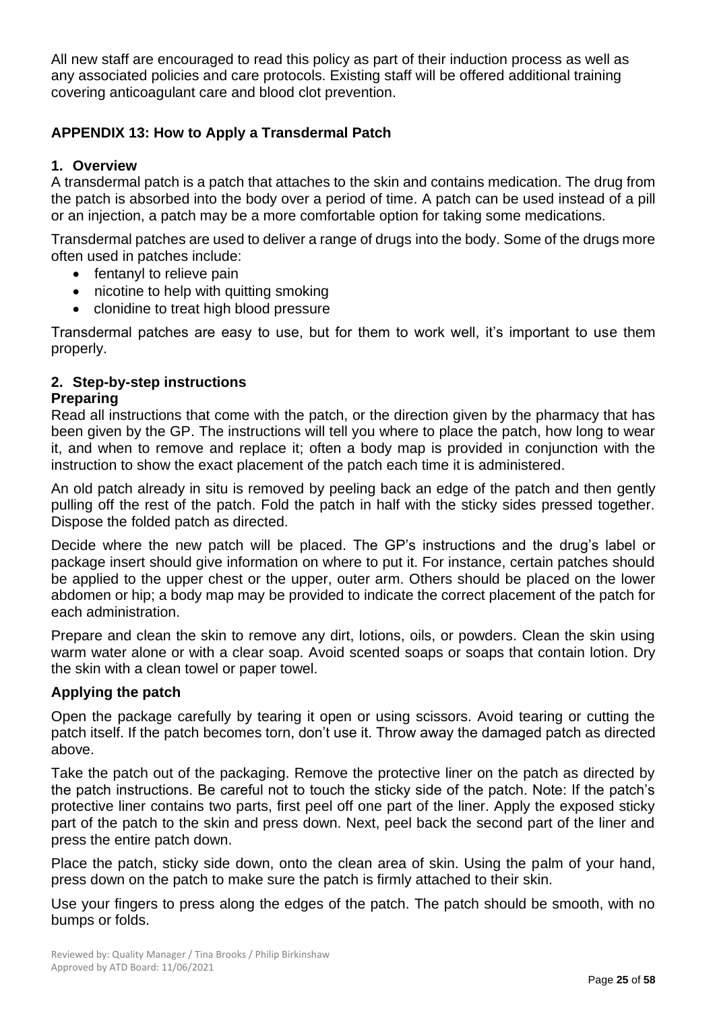All new staff are encouraged to read this policy as part of their induction process as well as any associated policies and care protocols. Existing staff will be offered additional training covering anticoagulant care and blood clot prevention.

## **APPENDIX 13: How to Apply a Transdermal Patch**

## **1. Overview**

A transdermal patch is a patch that attaches to the skin and contains medication. The drug from the patch is absorbed into the body over a period of time. A patch can be used instead of a pill or an injection, a patch may be a more comfortable option for taking some medications.

Transdermal patches are used to deliver a range of drugs into the body. Some of the drugs more often used in patches include:

- fentanyl to relieve pain
- nicotine to help with quitting smoking
- clonidine to treat high blood pressure

Transdermal patches are easy to use, but for them to work well, it's important to use them properly.

## **2. Step-by-step instructions**

### **Preparing**

Read all instructions that come with the patch, or the direction given by the pharmacy that has been given by the GP. The instructions will tell you where to place the patch, how long to wear it, and when to remove and replace it; often a body map is provided in conjunction with the instruction to show the exact placement of the patch each time it is administered.

An old patch already in situ is removed by peeling back an edge of the patch and then gently pulling off the rest of the patch. Fold the patch in half with the sticky sides pressed together. Dispose the folded patch as directed.

Decide where the new patch will be placed. The GP's instructions and the drug's label or package insert should give information on where to put it. For instance, certain patches should be applied to the upper chest or the upper, outer arm. Others should be placed on the lower abdomen or hip; a body map may be provided to indicate the correct placement of the patch for each administration.

Prepare and clean the skin to remove any dirt, lotions, oils, or powders. Clean the skin using warm water alone or with a clear soap. Avoid scented soaps or soaps that contain lotion. Dry the skin with a clean towel or paper towel.

## **Applying the patch**

Open the package carefully by tearing it open or using scissors. Avoid tearing or cutting the patch itself. If the patch becomes torn, don't use it. Throw away the damaged patch as directed above.

Take the patch out of the packaging. Remove the protective liner on the patch as directed by the patch instructions. Be careful not to touch the sticky side of the patch. Note: If the patch's protective liner contains two parts, first peel off one part of the liner. Apply the exposed sticky part of the patch to the skin and press down. Next, peel back the second part of the liner and press the entire patch down.

Place the patch, sticky side down, onto the clean area of skin. Using the palm of your hand, press down on the patch to make sure the patch is firmly attached to their skin.

Use your fingers to press along the edges of the patch. The patch should be smooth, with no bumps or folds.